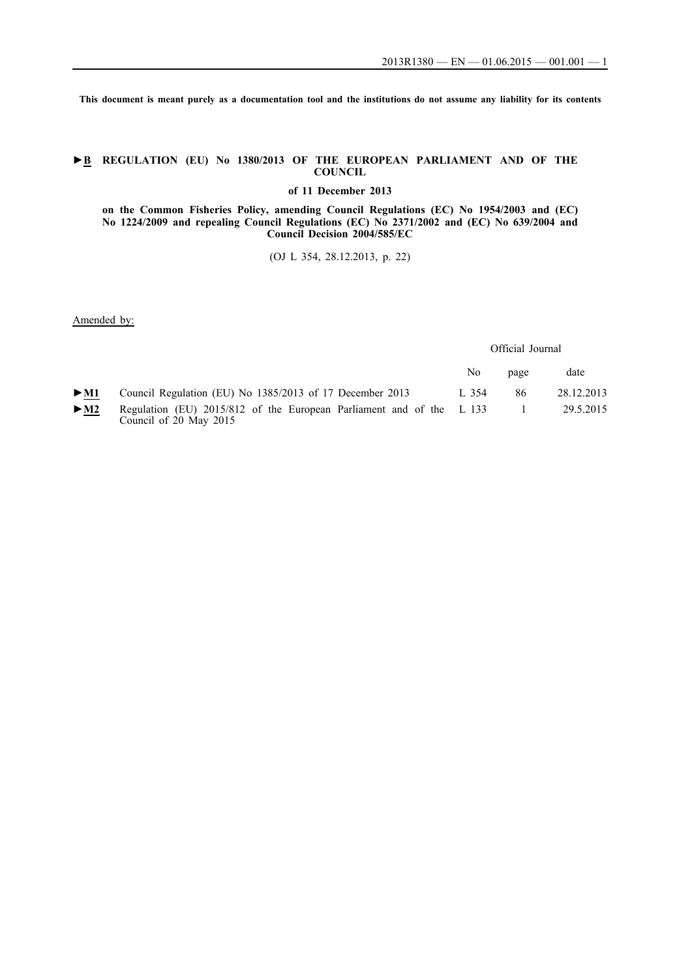**This document is meant purely as a documentation tool and the institutions do not assume any liability for its contents**

### **►B REGULATION (EU) No 1380/2013 OF THE EUROPEAN PARLIAMENT AND OF THE COUNCIL**

**of 11 December 2013**

### **on the Common Fisheries Policy, amending Council Regulations (EC) No 1954/2003 and (EC) No 1224/2009 and repealing Council Regulations (EC) No 2371/2002 and (EC) No 639/2004 and Council Decision 2004/585/EC**

(OJ L 354, 28.12.2013, p. 22)

Amended by:

Official Journal

|        |                                                                                                | No.   | page | date       |
|--------|------------------------------------------------------------------------------------------------|-------|------|------------|
| $>$ M1 | Council Regulation (EU) No 1385/2013 of 17 December 2013                                       | L 354 | 86   | 28.12.2013 |
| $>$ M2 | Regulation (EU) 2015/812 of the European Parliament and of the L 133<br>Council of 20 May 2015 |       |      | 29.5.2015  |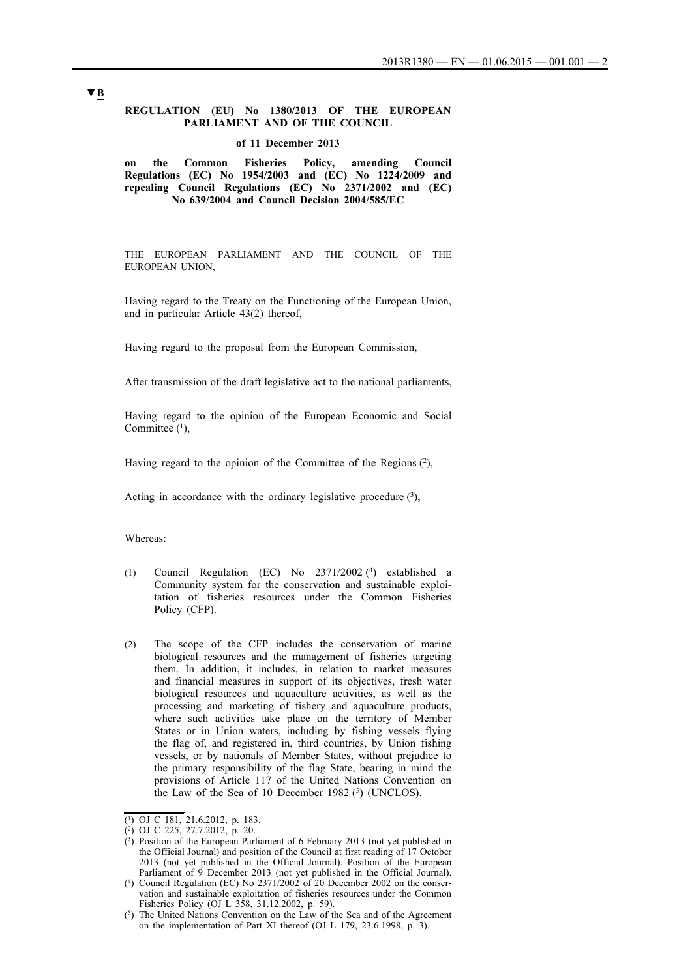### **REGULATION (EU) No 1380/2013 OF THE EUROPEAN PARLIAMENT AND OF THE COUNCIL**

#### **of 11 December 2013**

**on the Common Fisheries Policy, amending Council Regulations (EC) No 1954/2003 and (EC) No 1224/2009 and repealing Council Regulations (EC) No 2371/2002 and (EC) No 639/2004 and Council Decision 2004/585/EC**

THE EUROPEAN PARLIAMENT AND THE COUNCIL OF THE EUROPEAN UNION,

Having regard to the Treaty on the Functioning of the European Union, and in particular Article 43(2) thereof,

Having regard to the proposal from the European Commission,

After transmission of the draft legislative act to the national parliaments,

Having regard to the opinion of the European Economic and Social Committee  $(1)$ ,

Having regard to the opinion of the Committee of the Regions  $(2)$ ,

Acting in accordance with the ordinary legislative procedure  $(3)$ ,

Whereas:

- (1) Council Regulation (EC) No 2371/2002 (4) established a Community system for the conservation and sustainable exploitation of fisheries resources under the Common Fisheries Policy (CFP).
- (2) The scope of the CFP includes the conservation of marine biological resources and the management of fisheries targeting them. In addition, it includes, in relation to market measures and financial measures in support of its objectives, fresh water biological resources and aquaculture activities, as well as the processing and marketing of fishery and aquaculture products, where such activities take place on the territory of Member States or in Union waters, including by fishing vessels flying the flag of, and registered in, third countries, by Union fishing vessels, or by nationals of Member States, without prejudice to the primary responsibility of the flag State, bearing in mind the provisions of Article 117 of the United Nations Convention on the Law of the Sea of 10 December 1982  $(5)$  (UNCLOS).

 $\overline{(^1)}$  OJ C 181, 21.6.2012, p. 183.

 $(2)$  OJ C 225, 27.7.2012, p. 20.

 $(3)$  Position of the European Parliament of 6 February 2013 (not yet published in the Official Journal) and position of the Council at first reading of 17 October 2013 (not yet published in the Official Journal). Position of the European Parliament of 9 December 2013 (not yet published in the Official Journal).

<sup>(4)</sup> Council Regulation (EC) No  $2371/2002$  of 20 December 2002 on the conservation and sustainable exploitation of fisheries resources under the Common Fisheries Policy (OJ L 358, 31.12.2002, p. 59).

<sup>(5)</sup> The United Nations Convention on the Law of the Sea and of the Agreement on the implementation of Part XI thereof (OJ L 179, 23.6.1998, p. 3).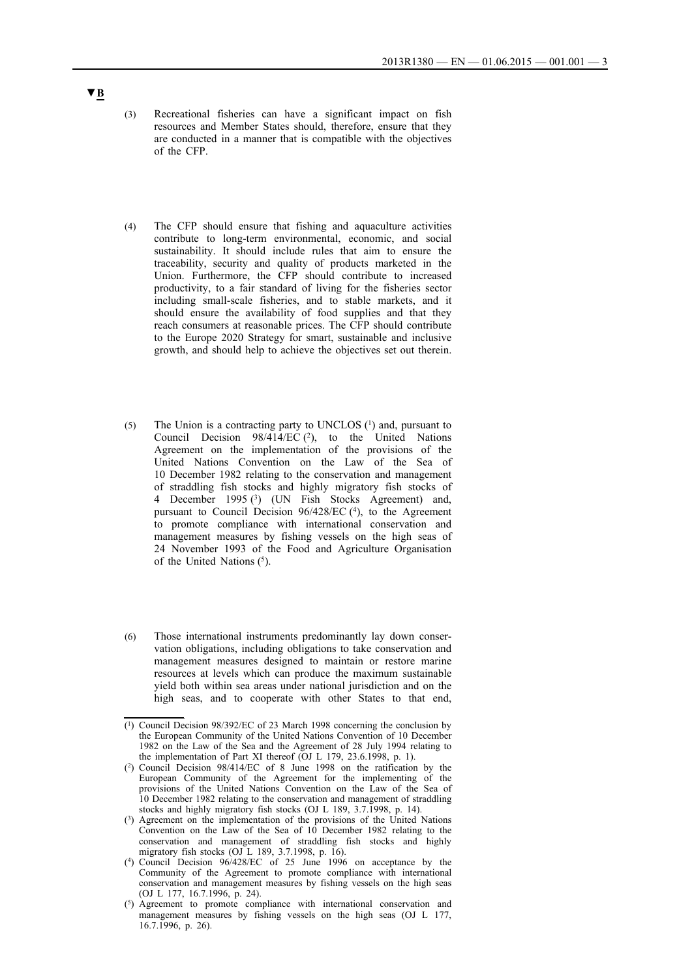- (3) Recreational fisheries can have a significant impact on fish resources and Member States should, therefore, ensure that they are conducted in a manner that is compatible with the objectives of the CFP.
- (4) The CFP should ensure that fishing and aquaculture activities contribute to long-term environmental, economic, and social sustainability. It should include rules that aim to ensure the traceability, security and quality of products marketed in the Union. Furthermore, the CFP should contribute to increased productivity, to a fair standard of living for the fisheries sector including small-scale fisheries, and to stable markets, and it should ensure the availability of food supplies and that they reach consumers at reasonable prices. The CFP should contribute to the Europe 2020 Strategy for smart, sustainable and inclusive growth, and should help to achieve the objectives set out therein.
- (5) The Union is a contracting party to UNCLOS (1) and, pursuant to Council Decision  $98/414/EC$  (2), to the United Nations Agreement on the implementation of the provisions of the United Nations Convention on the Law of the Sea of 10 December 1982 relating to the conservation and management of straddling fish stocks and highly migratory fish stocks of 4 December 1995 (3) (UN Fish Stocks Agreement) and, pursuant to Council Decision 96/428/EC (4), to the Agreement to promote compliance with international conservation and management measures by fishing vessels on the high seas of 24 November 1993 of the Food and Agriculture Organisation of the United Nations (5).
- (6) Those international instruments predominantly lay down conservation obligations, including obligations to take conservation and management measures designed to maintain or restore marine resources at levels which can produce the maximum sustainable yield both within sea areas under national jurisdiction and on the high seas, and to cooperate with other States to that end,

- (2) Council Decision 98/414/EC of 8 June 1998 on the ratification by the European Community of the Agreement for the implementing of the provisions of the United Nations Convention on the Law of the Sea of 10 December 1982 relating to the conservation and management of straddling stocks and highly migratory fish stocks (OJ L 189, 3.7.1998, p. 14).
- (3) Agreement on the implementation of the provisions of the United Nations Convention on the Law of the Sea of 10 December 1982 relating to the conservation and management of straddling fish stocks and highly migratory fish stocks (OJ L 189, 3.7.1998, p. 16).
- (4) Council Decision 96/428/EC of 25 June 1996 on acceptance by the Community of the Agreement to promote compliance with international conservation and management measures by fishing vessels on the high seas (OJ L 177, 16.7.1996, p. 24).
- (5) Agreement to promote compliance with international conservation and management measures by fishing vessels on the high seas (OJ L 177, 16.7.1996, p. 26).

<sup>(1)</sup> Council Decision 98/392/EC of 23 March 1998 concerning the conclusion by the European Community of the United Nations Convention of 10 December 1982 on the Law of the Sea and the Agreement of 28 July 1994 relating to the implementation of Part XI thereof (OJ L 179, 23.6.1998, p. 1).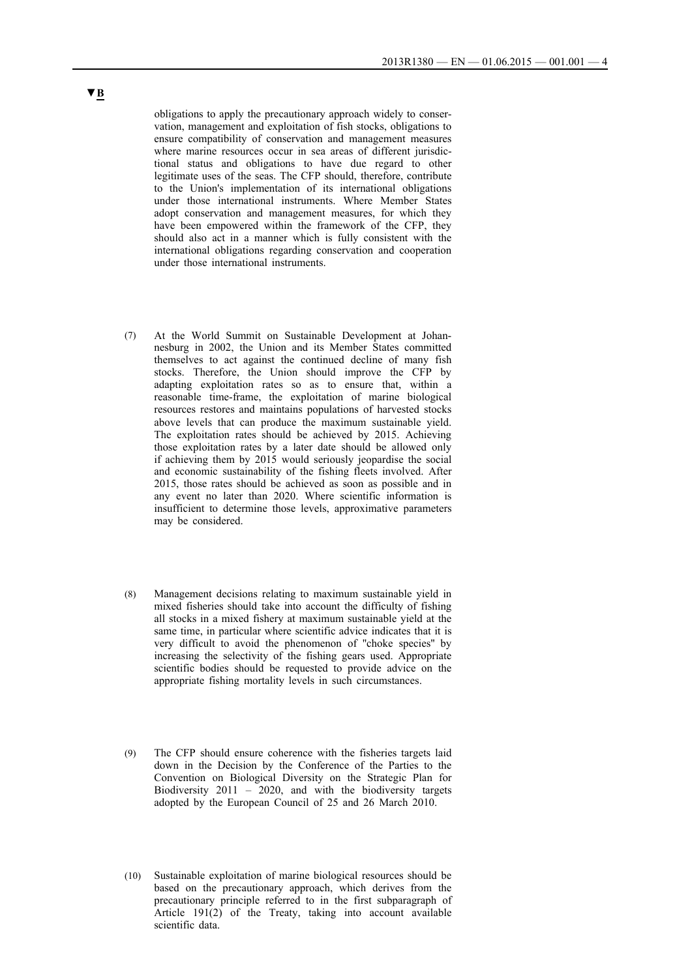obligations to apply the precautionary approach widely to conservation, management and exploitation of fish stocks, obligations to ensure compatibility of conservation and management measures where marine resources occur in sea areas of different jurisdictional status and obligations to have due regard to other legitimate uses of the seas. The CFP should, therefore, contribute to the Union's implementation of its international obligations under those international instruments. Where Member States adopt conservation and management measures, for which they have been empowered within the framework of the CFP, they should also act in a manner which is fully consistent with the international obligations regarding conservation and cooperation under those international instruments.

- (7) At the World Summit on Sustainable Development at Johannesburg in 2002, the Union and its Member States committed themselves to act against the continued decline of many fish stocks. Therefore, the Union should improve the CFP by adapting exploitation rates so as to ensure that, within a reasonable time-frame, the exploitation of marine biological resources restores and maintains populations of harvested stocks above levels that can produce the maximum sustainable yield. The exploitation rates should be achieved by 2015. Achieving those exploitation rates by a later date should be allowed only if achieving them by 2015 would seriously jeopardise the social and economic sustainability of the fishing fleets involved. After 2015, those rates should be achieved as soon as possible and in any event no later than 2020. Where scientific information is insufficient to determine those levels, approximative parameters may be considered.
- (8) Management decisions relating to maximum sustainable yield in mixed fisheries should take into account the difficulty of fishing all stocks in a mixed fishery at maximum sustainable yield at the same time, in particular where scientific advice indicates that it is very difficult to avoid the phenomenon of ''choke species'' by increasing the selectivity of the fishing gears used. Appropriate scientific bodies should be requested to provide advice on the appropriate fishing mortality levels in such circumstances.
- (9) The CFP should ensure coherence with the fisheries targets laid down in the Decision by the Conference of the Parties to the Convention on Biological Diversity on the Strategic Plan for Biodiversity  $2011 - 2020$ , and with the biodiversity targets adopted by the European Council of 25 and 26 March 2010.
- (10) Sustainable exploitation of marine biological resources should be based on the precautionary approach, which derives from the precautionary principle referred to in the first subparagraph of Article 191(2) of the Treaty, taking into account available scientific data.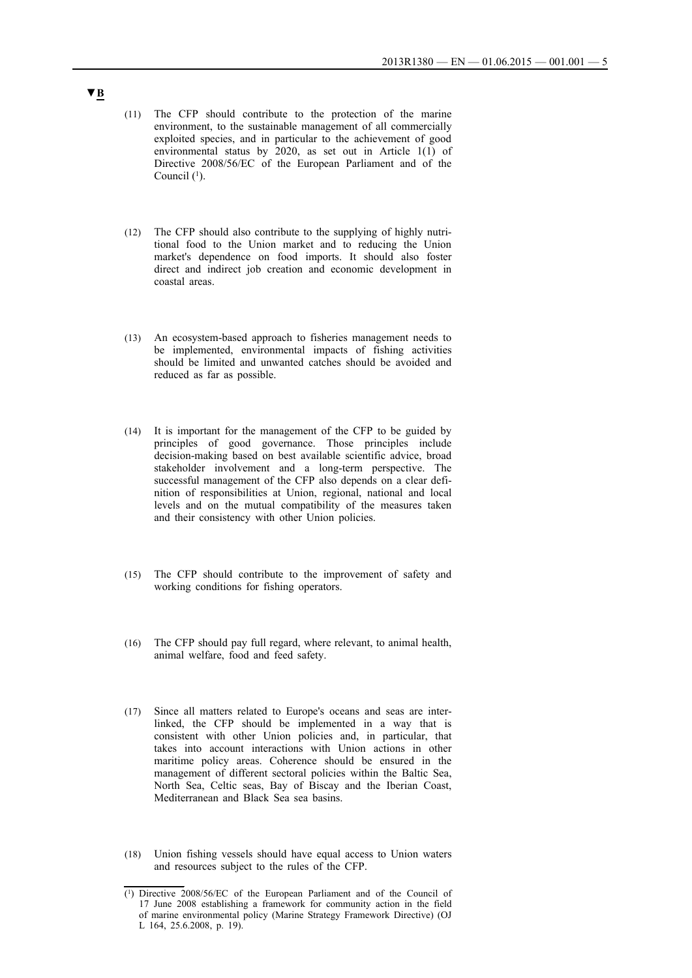- (11) The CFP should contribute to the protection of the marine environment, to the sustainable management of all commercially exploited species, and in particular to the achievement of good environmental status by 2020, as set out in Article 1(1) of Directive 2008/56/EC of the European Parliament and of the Council  $(1)$ .
- (12) The CFP should also contribute to the supplying of highly nutritional food to the Union market and to reducing the Union market's dependence on food imports. It should also foster direct and indirect job creation and economic development in coastal areas.
- (13) An ecosystem-based approach to fisheries management needs to be implemented, environmental impacts of fishing activities should be limited and unwanted catches should be avoided and reduced as far as possible.
- (14) It is important for the management of the CFP to be guided by principles of good governance. Those principles include decision-making based on best available scientific advice, broad stakeholder involvement and a long-term perspective. The successful management of the CFP also depends on a clear definition of responsibilities at Union, regional, national and local levels and on the mutual compatibility of the measures taken and their consistency with other Union policies.
- (15) The CFP should contribute to the improvement of safety and working conditions for fishing operators.
- (16) The CFP should pay full regard, where relevant, to animal health, animal welfare, food and feed safety.
- (17) Since all matters related to Europe's oceans and seas are interlinked, the CFP should be implemented in a way that is consistent with other Union policies and, in particular, that takes into account interactions with Union actions in other maritime policy areas. Coherence should be ensured in the management of different sectoral policies within the Baltic Sea, North Sea, Celtic seas, Bay of Biscay and the Iberian Coast, Mediterranean and Black Sea sea basins.
- (18) Union fishing vessels should have equal access to Union waters and resources subject to the rules of the CFP.

<sup>(1)</sup> Directive 2008/56/EC of the European Parliament and of the Council of 17 June 2008 establishing a framework for community action in the field of marine environmental policy (Marine Strategy Framework Directive) (OJ L 164, 25.6.2008, p. 19).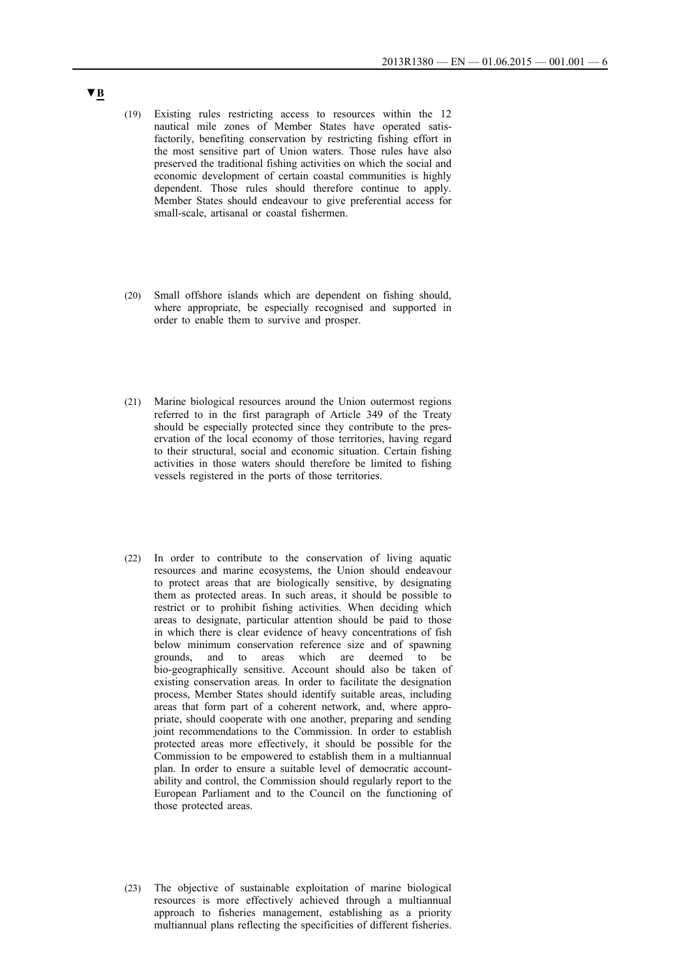- (19) Existing rules restricting access to resources within the 12 nautical mile zones of Member States have operated satisfactorily, benefiting conservation by restricting fishing effort in the most sensitive part of Union waters. Those rules have also preserved the traditional fishing activities on which the social and economic development of certain coastal communities is highly dependent. Those rules should therefore continue to apply. Member States should endeavour to give preferential access for small-scale, artisanal or coastal fishermen.
- (20) Small offshore islands which are dependent on fishing should, where appropriate, be especially recognised and supported in order to enable them to survive and prosper.
- (21) Marine biological resources around the Union outermost regions referred to in the first paragraph of Article 349 of the Treaty should be especially protected since they contribute to the preservation of the local economy of those territories, having regard to their structural, social and economic situation. Certain fishing activities in those waters should therefore be limited to fishing vessels registered in the ports of those territories.
- (22) In order to contribute to the conservation of living aquatic resources and marine ecosystems, the Union should endeavour to protect areas that are biologically sensitive, by designating them as protected areas. In such areas, it should be possible to restrict or to prohibit fishing activities. When deciding which areas to designate, particular attention should be paid to those in which there is clear evidence of heavy concentrations of fish below minimum conservation reference size and of spawning grounds, and to areas which are deemed to be bio-geographically sensitive. Account should also be taken of existing conservation areas. In order to facilitate the designation process, Member States should identify suitable areas, including areas that form part of a coherent network, and, where appropriate, should cooperate with one another, preparing and sending joint recommendations to the Commission. In order to establish protected areas more effectively, it should be possible for the Commission to be empowered to establish them in a multiannual plan. In order to ensure a suitable level of democratic accountability and control, the Commission should regularly report to the European Parliament and to the Council on the functioning of those protected areas.
- (23) The objective of sustainable exploitation of marine biological resources is more effectively achieved through a multiannual approach to fisheries management, establishing as a priority multiannual plans reflecting the specificities of different fisheries.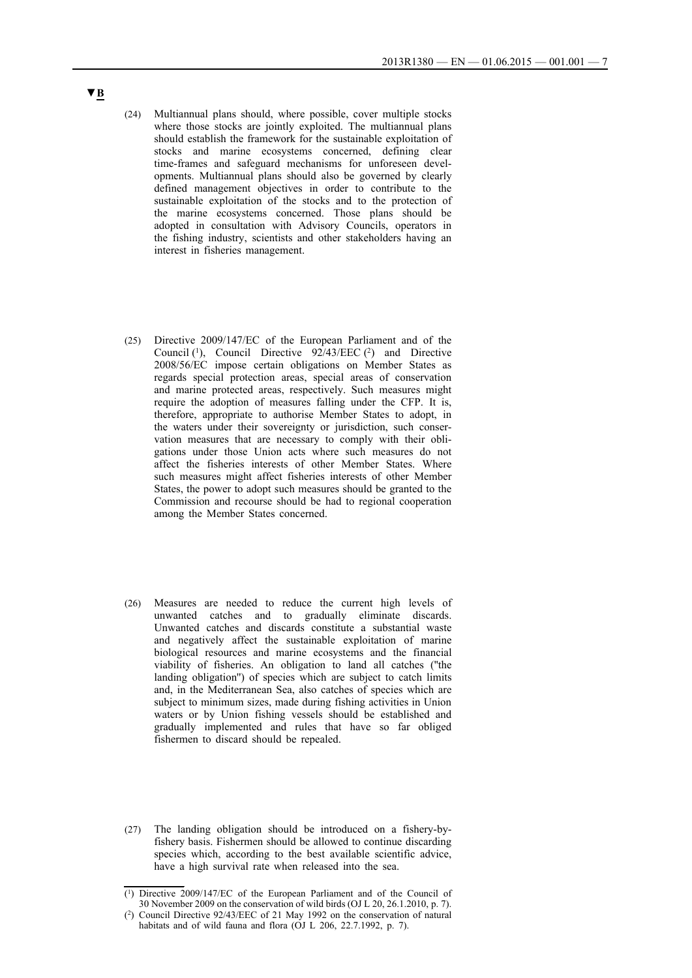- (24) Multiannual plans should, where possible, cover multiple stocks where those stocks are jointly exploited. The multiannual plans should establish the framework for the sustainable exploitation of stocks and marine ecosystems concerned, defining clear time-frames and safeguard mechanisms for unforeseen developments. Multiannual plans should also be governed by clearly defined management objectives in order to contribute to the sustainable exploitation of the stocks and to the protection of the marine ecosystems concerned. Those plans should be adopted in consultation with Advisory Councils, operators in the fishing industry, scientists and other stakeholders having an interest in fisheries management.
- (25) Directive 2009/147/EC of the European Parliament and of the Council  $(1)$ , Council Directive 92/43/EEC  $(2)$  and Directive 2008/56/EC impose certain obligations on Member States as regards special protection areas, special areas of conservation and marine protected areas, respectively. Such measures might require the adoption of measures falling under the CFP. It is, therefore, appropriate to authorise Member States to adopt, in the waters under their sovereignty or jurisdiction, such conservation measures that are necessary to comply with their obligations under those Union acts where such measures do not affect the fisheries interests of other Member States. Where such measures might affect fisheries interests of other Member States, the power to adopt such measures should be granted to the Commission and recourse should be had to regional cooperation among the Member States concerned.
- (26) Measures are needed to reduce the current high levels of unwanted catches and to gradually eliminate discards. Unwanted catches and discards constitute a substantial waste and negatively affect the sustainable exploitation of marine biological resources and marine ecosystems and the financial viability of fisheries. An obligation to land all catches (''the landing obligation'') of species which are subject to catch limits and, in the Mediterranean Sea, also catches of species which are subject to minimum sizes, made during fishing activities in Union waters or by Union fishing vessels should be established and gradually implemented and rules that have so far obliged fishermen to discard should be repealed.
- (27) The landing obligation should be introduced on a fishery-byfishery basis. Fishermen should be allowed to continue discarding species which, according to the best available scientific advice, have a high survival rate when released into the sea.

<sup>(1)</sup> Directive 2009/147/EC of the European Parliament and of the Council of 30 November 2009 on the conservation of wild birds (OJ L 20, 26.1.2010, p. 7).

<sup>(2)</sup> Council Directive 92/43/EEC of 21 May 1992 on the conservation of natural habitats and of wild fauna and flora (OJ L 206, 22.7.1992, p. 7).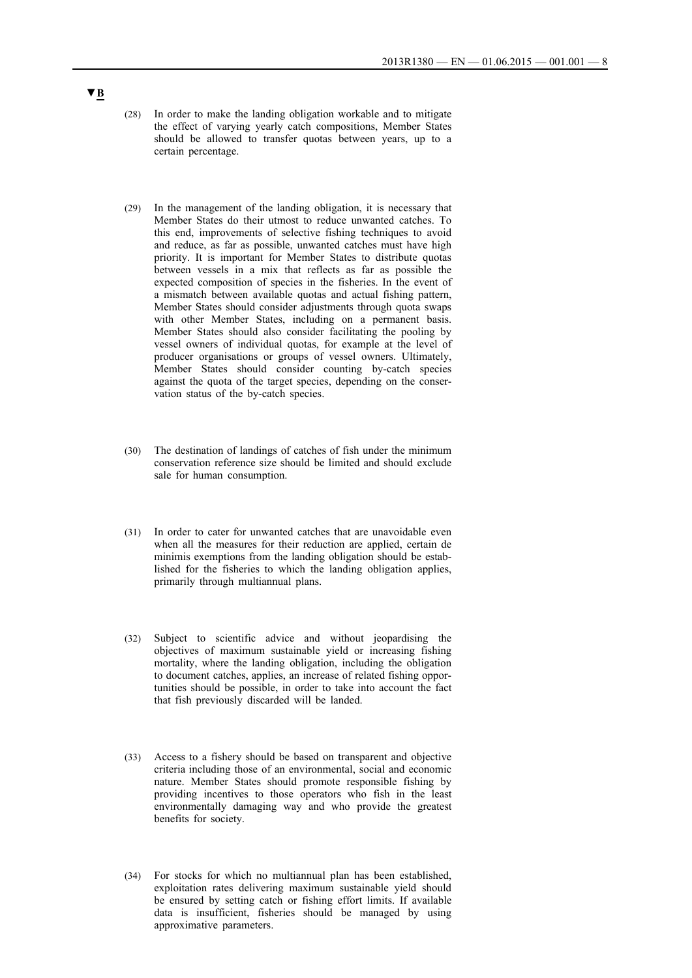- (28) In order to make the landing obligation workable and to mitigate the effect of varying yearly catch compositions, Member States should be allowed to transfer quotas between years, up to a certain percentage.
- (29) In the management of the landing obligation, it is necessary that Member States do their utmost to reduce unwanted catches. To this end, improvements of selective fishing techniques to avoid and reduce, as far as possible, unwanted catches must have high priority. It is important for Member States to distribute quotas between vessels in a mix that reflects as far as possible the expected composition of species in the fisheries. In the event of a mismatch between available quotas and actual fishing pattern, Member States should consider adjustments through quota swaps with other Member States, including on a permanent basis. Member States should also consider facilitating the pooling by vessel owners of individual quotas, for example at the level of producer organisations or groups of vessel owners. Ultimately, Member States should consider counting by-catch species against the quota of the target species, depending on the conservation status of the by-catch species.
- (30) The destination of landings of catches of fish under the minimum conservation reference size should be limited and should exclude sale for human consumption.
- (31) In order to cater for unwanted catches that are unavoidable even when all the measures for their reduction are applied, certain de minimis exemptions from the landing obligation should be established for the fisheries to which the landing obligation applies, primarily through multiannual plans.
- (32) Subject to scientific advice and without jeopardising the objectives of maximum sustainable yield or increasing fishing mortality, where the landing obligation, including the obligation to document catches, applies, an increase of related fishing opportunities should be possible, in order to take into account the fact that fish previously discarded will be landed.
- (33) Access to a fishery should be based on transparent and objective criteria including those of an environmental, social and economic nature. Member States should promote responsible fishing by providing incentives to those operators who fish in the least environmentally damaging way and who provide the greatest benefits for society.
- (34) For stocks for which no multiannual plan has been established, exploitation rates delivering maximum sustainable yield should be ensured by setting catch or fishing effort limits. If available data is insufficient, fisheries should be managed by using approximative parameters.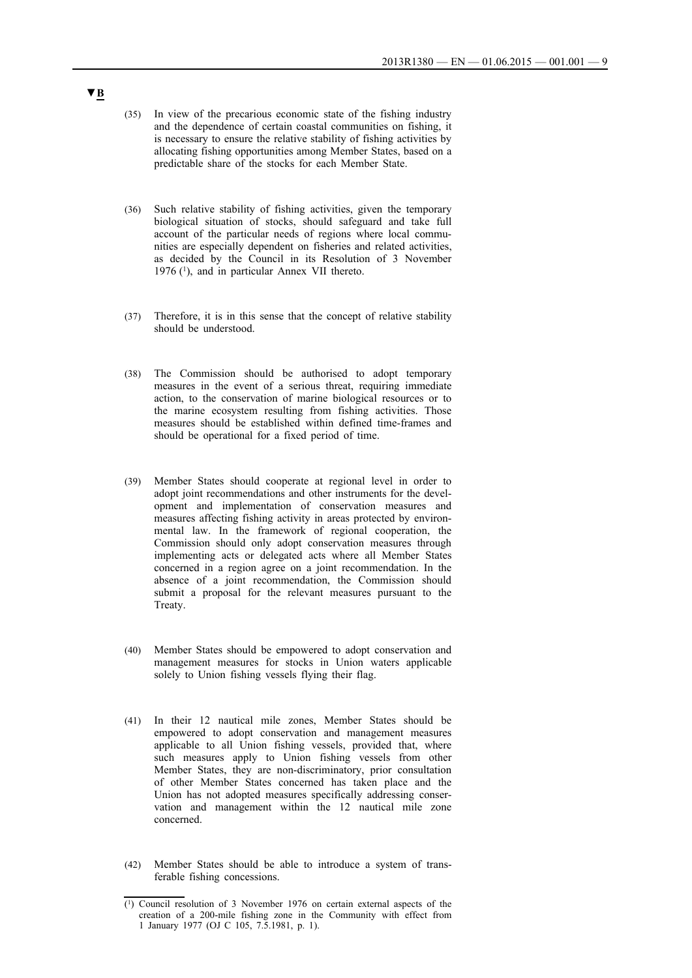- (35) In view of the precarious economic state of the fishing industry and the dependence of certain coastal communities on fishing, it is necessary to ensure the relative stability of fishing activities by allocating fishing opportunities among Member States, based on a predictable share of the stocks for each Member State.
- (36) Such relative stability of fishing activities, given the temporary biological situation of stocks, should safeguard and take full account of the particular needs of regions where local communities are especially dependent on fisheries and related activities, as decided by the Council in its Resolution of 3 November 1976 (1), and in particular Annex VII thereto.
- (37) Therefore, it is in this sense that the concept of relative stability should be understood.
- (38) The Commission should be authorised to adopt temporary measures in the event of a serious threat, requiring immediate action, to the conservation of marine biological resources or to the marine ecosystem resulting from fishing activities. Those measures should be established within defined time-frames and should be operational for a fixed period of time.
- (39) Member States should cooperate at regional level in order to adopt joint recommendations and other instruments for the development and implementation of conservation measures and measures affecting fishing activity in areas protected by environmental law. In the framework of regional cooperation, the Commission should only adopt conservation measures through implementing acts or delegated acts where all Member States concerned in a region agree on a joint recommendation. In the absence of a joint recommendation, the Commission should submit a proposal for the relevant measures pursuant to the Treaty.
- (40) Member States should be empowered to adopt conservation and management measures for stocks in Union waters applicable solely to Union fishing vessels flying their flag.
- (41) In their 12 nautical mile zones, Member States should be empowered to adopt conservation and management measures applicable to all Union fishing vessels, provided that, where such measures apply to Union fishing vessels from other Member States, they are non-discriminatory, prior consultation of other Member States concerned has taken place and the Union has not adopted measures specifically addressing conservation and management within the 12 nautical mile zone concerned.
- (42) Member States should be able to introduce a system of transferable fishing concessions.

<sup>(1)</sup> Council resolution of 3 November 1976 on certain external aspects of the creation of a 200-mile fishing zone in the Community with effect from 1 January 1977 (OJ C 105, 7.5.1981, p. 1).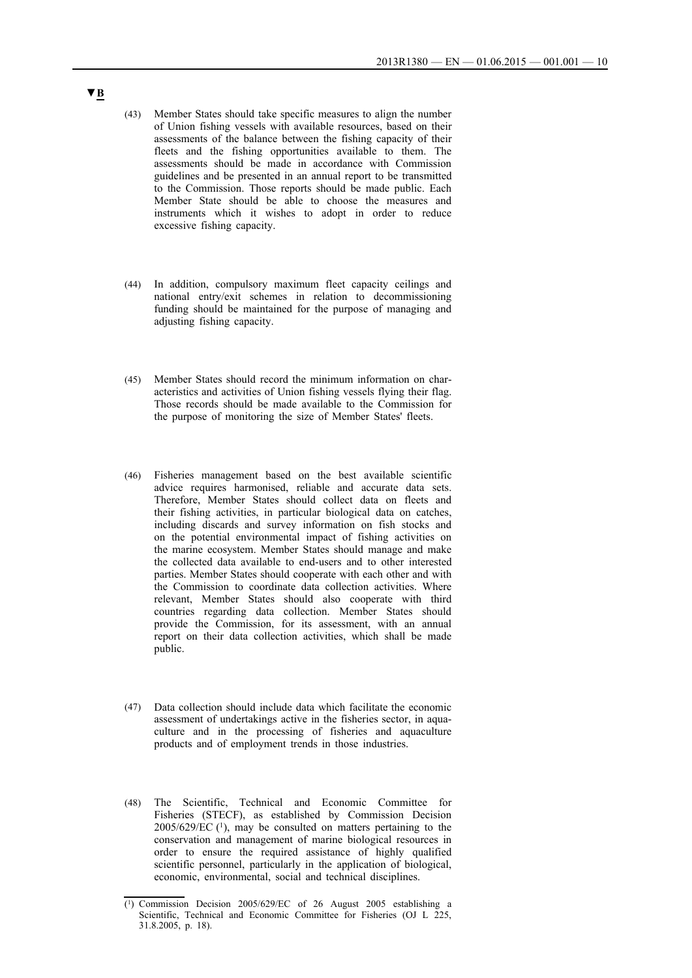- (43) Member States should take specific measures to align the number of Union fishing vessels with available resources, based on their assessments of the balance between the fishing capacity of their fleets and the fishing opportunities available to them. The assessments should be made in accordance with Commission guidelines and be presented in an annual report to be transmitted to the Commission. Those reports should be made public. Each Member State should be able to choose the measures and instruments which it wishes to adopt in order to reduce excessive fishing capacity.
- (44) In addition, compulsory maximum fleet capacity ceilings and national entry/exit schemes in relation to decommissioning funding should be maintained for the purpose of managing and adjusting fishing capacity.
- (45) Member States should record the minimum information on characteristics and activities of Union fishing vessels flying their flag. Those records should be made available to the Commission for the purpose of monitoring the size of Member States' fleets.
- (46) Fisheries management based on the best available scientific advice requires harmonised, reliable and accurate data sets. Therefore, Member States should collect data on fleets and their fishing activities, in particular biological data on catches, including discards and survey information on fish stocks and on the potential environmental impact of fishing activities on the marine ecosystem. Member States should manage and make the collected data available to end-users and to other interested parties. Member States should cooperate with each other and with the Commission to coordinate data collection activities. Where relevant, Member States should also cooperate with third countries regarding data collection. Member States should provide the Commission, for its assessment, with an annual report on their data collection activities, which shall be made public.
- (47) Data collection should include data which facilitate the economic assessment of undertakings active in the fisheries sector, in aquaculture and in the processing of fisheries and aquaculture products and of employment trends in those industries.
- (48) The Scientific, Technical and Economic Committee for Fisheries (STECF), as established by Commission Decision  $2005/629/EC$  (1), may be consulted on matters pertaining to the conservation and management of marine biological resources in order to ensure the required assistance of highly qualified scientific personnel, particularly in the application of biological, economic, environmental, social and technical disciplines.

<sup>(1)</sup> Commission Decision 2005/629/EC of 26 August 2005 establishing a Scientific, Technical and Economic Committee for Fisheries (OJ L 225, 31.8.2005, p. 18).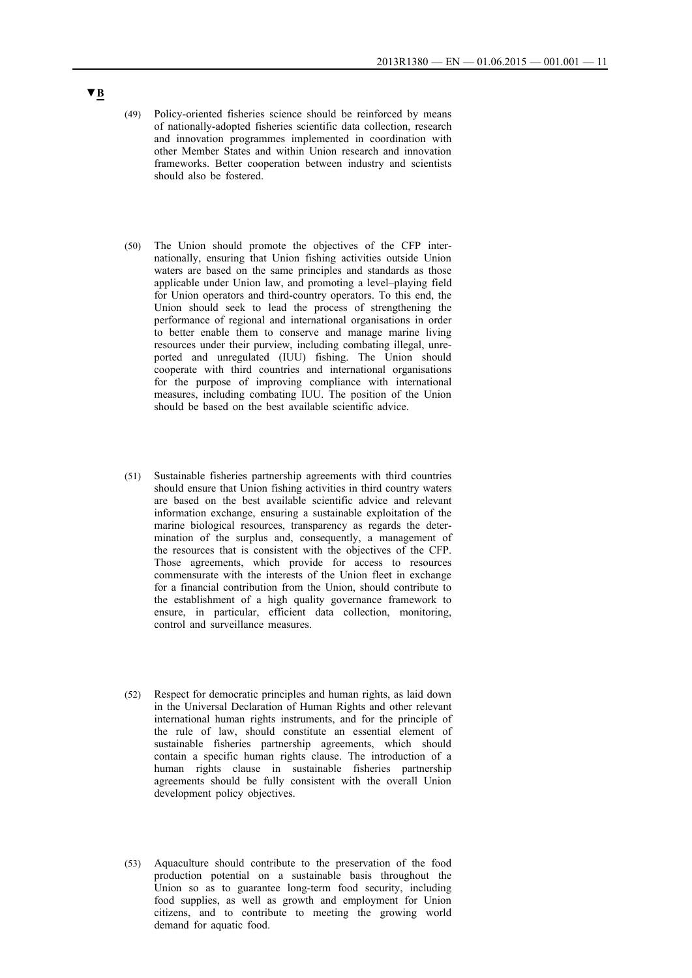- (49) Policy-oriented fisheries science should be reinforced by means of nationally-adopted fisheries scientific data collection, research and innovation programmes implemented in coordination with other Member States and within Union research and innovation frameworks. Better cooperation between industry and scientists should also be fostered.
- (50) The Union should promote the objectives of the CFP internationally, ensuring that Union fishing activities outside Union waters are based on the same principles and standards as those applicable under Union law, and promoting a level–playing field for Union operators and third-country operators. To this end, the Union should seek to lead the process of strengthening the performance of regional and international organisations in order to better enable them to conserve and manage marine living resources under their purview, including combating illegal, unreported and unregulated (IUU) fishing. The Union should cooperate with third countries and international organisations for the purpose of improving compliance with international measures, including combating IUU. The position of the Union should be based on the best available scientific advice.
- (51) Sustainable fisheries partnership agreements with third countries should ensure that Union fishing activities in third country waters are based on the best available scientific advice and relevant information exchange, ensuring a sustainable exploitation of the marine biological resources, transparency as regards the determination of the surplus and, consequently, a management of the resources that is consistent with the objectives of the CFP. Those agreements, which provide for access to resources commensurate with the interests of the Union fleet in exchange for a financial contribution from the Union, should contribute to the establishment of a high quality governance framework to ensure, in particular, efficient data collection, monitoring, control and surveillance measures.
- (52) Respect for democratic principles and human rights, as laid down in the Universal Declaration of Human Rights and other relevant international human rights instruments, and for the principle of the rule of law, should constitute an essential element of sustainable fisheries partnership agreements, which should contain a specific human rights clause. The introduction of a human rights clause in sustainable fisheries partnership agreements should be fully consistent with the overall Union development policy objectives.
- (53) Aquaculture should contribute to the preservation of the food production potential on a sustainable basis throughout the Union so as to guarantee long-term food security, including food supplies, as well as growth and employment for Union citizens, and to contribute to meeting the growing world demand for aquatic food.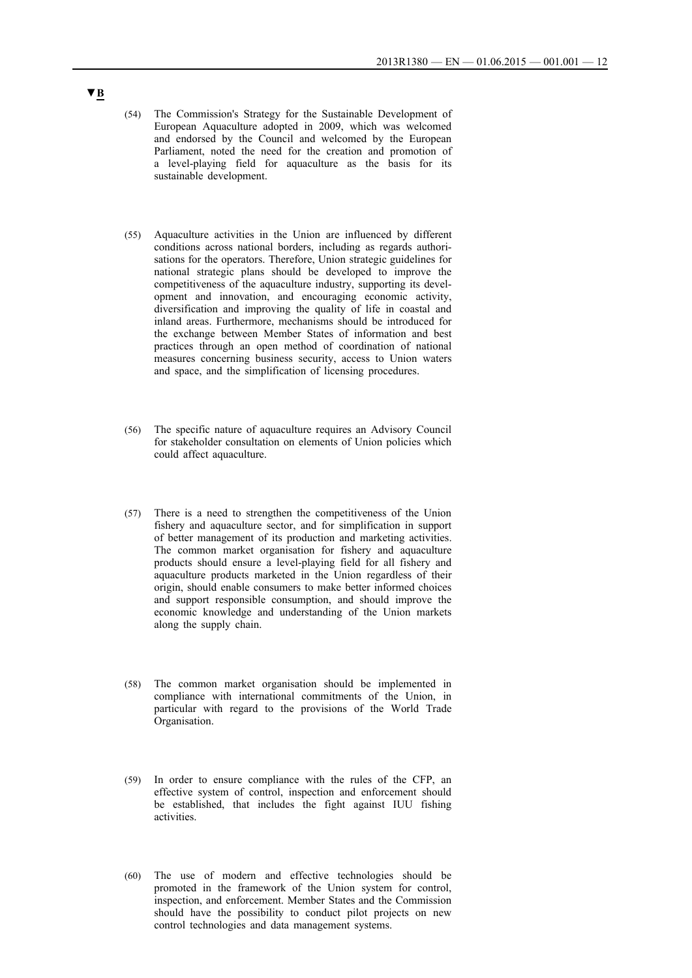- (54) The Commission's Strategy for the Sustainable Development of European Aquaculture adopted in 2009, which was welcomed and endorsed by the Council and welcomed by the European Parliament, noted the need for the creation and promotion of a level-playing field for aquaculture as the basis for its sustainable development.
- (55) Aquaculture activities in the Union are influenced by different conditions across national borders, including as regards authorisations for the operators. Therefore, Union strategic guidelines for national strategic plans should be developed to improve the competitiveness of the aquaculture industry, supporting its development and innovation, and encouraging economic activity, diversification and improving the quality of life in coastal and inland areas. Furthermore, mechanisms should be introduced for the exchange between Member States of information and best practices through an open method of coordination of national measures concerning business security, access to Union waters and space, and the simplification of licensing procedures.
- (56) The specific nature of aquaculture requires an Advisory Council for stakeholder consultation on elements of Union policies which could affect aquaculture.
- (57) There is a need to strengthen the competitiveness of the Union fishery and aquaculture sector, and for simplification in support of better management of its production and marketing activities. The common market organisation for fishery and aquaculture products should ensure a level-playing field for all fishery and aquaculture products marketed in the Union regardless of their origin, should enable consumers to make better informed choices and support responsible consumption, and should improve the economic knowledge and understanding of the Union markets along the supply chain.
- (58) The common market organisation should be implemented in compliance with international commitments of the Union, in particular with regard to the provisions of the World Trade Organisation.
- (59) In order to ensure compliance with the rules of the CFP, an effective system of control, inspection and enforcement should be established, that includes the fight against IUU fishing activities.
- (60) The use of modern and effective technologies should be promoted in the framework of the Union system for control, inspection, and enforcement. Member States and the Commission should have the possibility to conduct pilot projects on new control technologies and data management systems.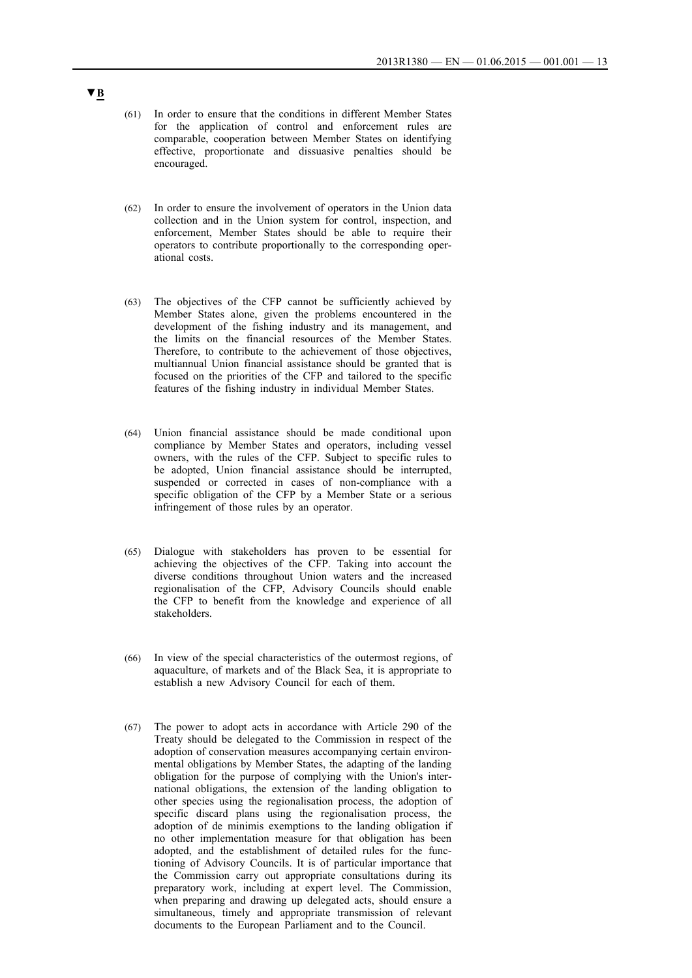- (61) In order to ensure that the conditions in different Member States for the application of control and enforcement rules are comparable, cooperation between Member States on identifying effective, proportionate and dissuasive penalties should be encouraged.
- (62) In order to ensure the involvement of operators in the Union data collection and in the Union system for control, inspection, and enforcement, Member States should be able to require their operators to contribute proportionally to the corresponding operational costs.
- (63) The objectives of the CFP cannot be sufficiently achieved by Member States alone, given the problems encountered in the development of the fishing industry and its management, and the limits on the financial resources of the Member States. Therefore, to contribute to the achievement of those objectives, multiannual Union financial assistance should be granted that is focused on the priorities of the CFP and tailored to the specific features of the fishing industry in individual Member States.
- (64) Union financial assistance should be made conditional upon compliance by Member States and operators, including vessel owners, with the rules of the CFP. Subject to specific rules to be adopted, Union financial assistance should be interrupted, suspended or corrected in cases of non-compliance with a specific obligation of the CFP by a Member State or a serious infringement of those rules by an operator.
- (65) Dialogue with stakeholders has proven to be essential for achieving the objectives of the CFP. Taking into account the diverse conditions throughout Union waters and the increased regionalisation of the CFP, Advisory Councils should enable the CFP to benefit from the knowledge and experience of all stakeholders.
- (66) In view of the special characteristics of the outermost regions, of aquaculture, of markets and of the Black Sea, it is appropriate to establish a new Advisory Council for each of them.
- (67) The power to adopt acts in accordance with Article 290 of the Treaty should be delegated to the Commission in respect of the adoption of conservation measures accompanying certain environmental obligations by Member States, the adapting of the landing obligation for the purpose of complying with the Union's international obligations, the extension of the landing obligation to other species using the regionalisation process, the adoption of specific discard plans using the regionalisation process, the adoption of de minimis exemptions to the landing obligation if no other implementation measure for that obligation has been adopted, and the establishment of detailed rules for the functioning of Advisory Councils. It is of particular importance that the Commission carry out appropriate consultations during its preparatory work, including at expert level. The Commission, when preparing and drawing up delegated acts, should ensure a simultaneous, timely and appropriate transmission of relevant documents to the European Parliament and to the Council.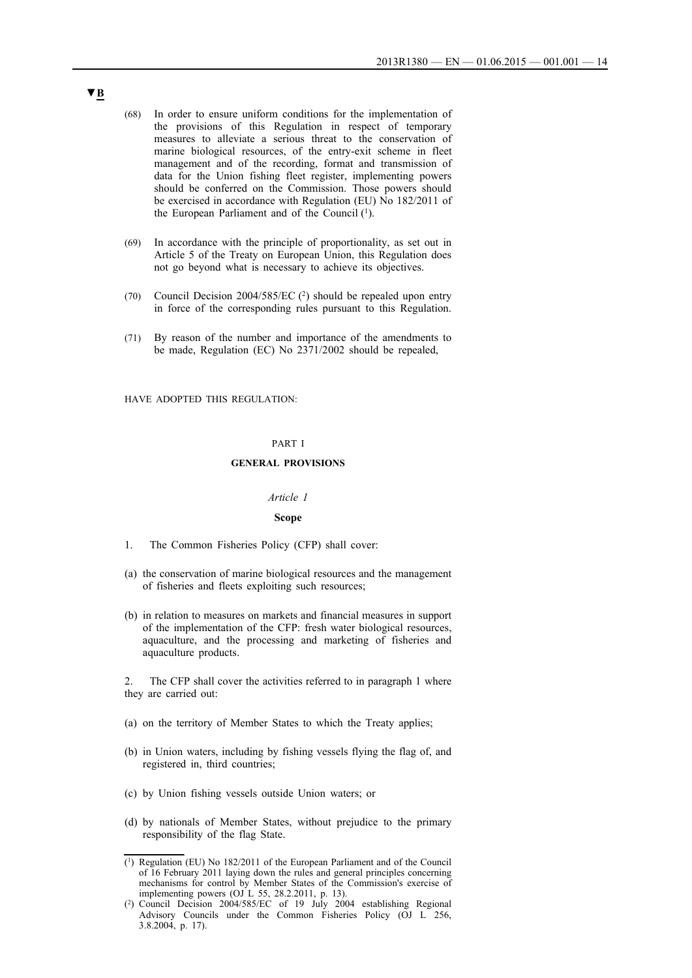- (68) In order to ensure uniform conditions for the implementation of the provisions of this Regulation in respect of temporary measures to alleviate a serious threat to the conservation of marine biological resources, of the entry-exit scheme in fleet management and of the recording, format and transmission of data for the Union fishing fleet register, implementing powers should be conferred on the Commission. Those powers should be exercised in accordance with Regulation (EU) No 182/2011 of the European Parliament and of the Council  $(1)$ .
- (69) In accordance with the principle of proportionality, as set out in Article 5 of the Treaty on European Union, this Regulation does not go beyond what is necessary to achieve its objectives.
- (70) Council Decision 2004/585/EC (2) should be repealed upon entry in force of the corresponding rules pursuant to this Regulation.
- (71) By reason of the number and importance of the amendments to be made, Regulation (EC) No 2371/2002 should be repealed,

HAVE ADOPTED THIS REGULATION:

#### PART I

### **GENERAL PROVISIONS**

### *Article 1*

#### **Scope**

- 1. The Common Fisheries Policy (CFP) shall cover:
- (a) the conservation of marine biological resources and the management of fisheries and fleets exploiting such resources;
- (b) in relation to measures on markets and financial measures in support of the implementation of the CFP: fresh water biological resources, aquaculture, and the processing and marketing of fisheries and aquaculture products.

The CFP shall cover the activities referred to in paragraph 1 where they are carried out:

- (a) on the territory of Member States to which the Treaty applies;
- (b) in Union waters, including by fishing vessels flying the flag of, and registered in, third countries;
- (c) by Union fishing vessels outside Union waters; or
- (d) by nationals of Member States, without prejudice to the primary responsibility of the flag State.

<sup>(1)</sup> Regulation (EU) No 182/2011 of the European Parliament and of the Council of 16 February 2011 laying down the rules and general principles concerning mechanisms for control by Member States of the Commission's exercise of implementing powers (OJ L 55, 28.2.2011, p. 13).

<sup>(2)</sup> Council Decision 2004/585/EC of 19 July 2004 establishing Regional Advisory Councils under the Common Fisheries Policy (OJ L 256, 3.8.2004, p. 17).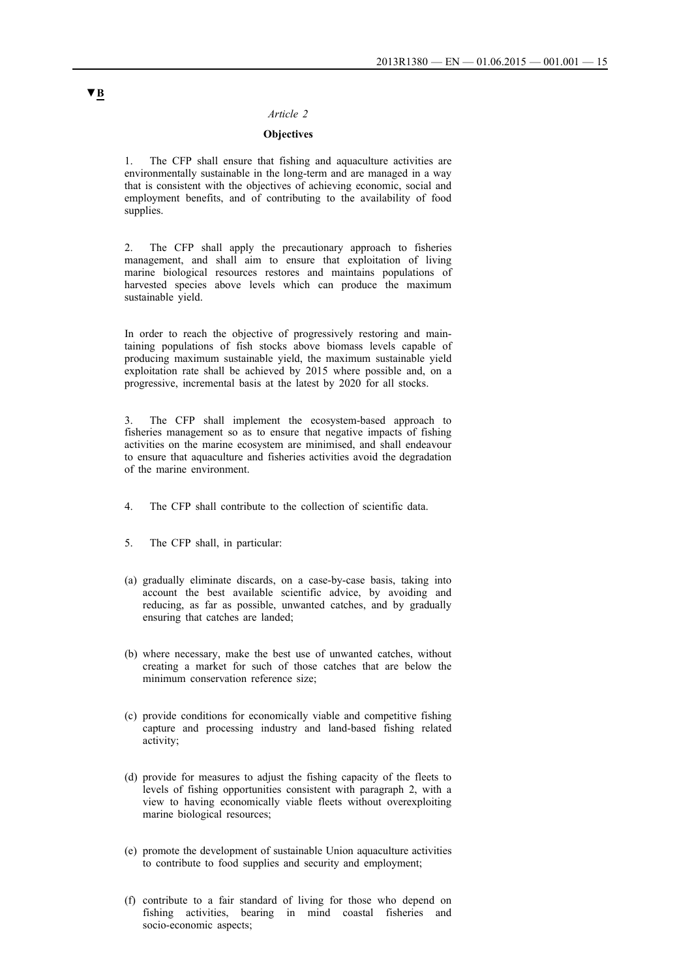### *Article 2*

## **Objectives**

1. The CFP shall ensure that fishing and aquaculture activities are environmentally sustainable in the long-term and are managed in a way that is consistent with the objectives of achieving economic, social and employment benefits, and of contributing to the availability of food supplies.

2. The CFP shall apply the precautionary approach to fisheries management, and shall aim to ensure that exploitation of living marine biological resources restores and maintains populations of harvested species above levels which can produce the maximum sustainable yield.

In order to reach the objective of progressively restoring and maintaining populations of fish stocks above biomass levels capable of producing maximum sustainable yield, the maximum sustainable yield exploitation rate shall be achieved by 2015 where possible and, on a progressive, incremental basis at the latest by 2020 for all stocks.

The CFP shall implement the ecosystem-based approach to fisheries management so as to ensure that negative impacts of fishing activities on the marine ecosystem are minimised, and shall endeavour to ensure that aquaculture and fisheries activities avoid the degradation of the marine environment.

- 4. The CFP shall contribute to the collection of scientific data.
- 5. The CFP shall, in particular:
- (a) gradually eliminate discards, on a case-by-case basis, taking into account the best available scientific advice, by avoiding and reducing, as far as possible, unwanted catches, and by gradually ensuring that catches are landed;
- (b) where necessary, make the best use of unwanted catches, without creating a market for such of those catches that are below the minimum conservation reference size;
- (c) provide conditions for economically viable and competitive fishing capture and processing industry and land-based fishing related activity;
- (d) provide for measures to adjust the fishing capacity of the fleets to levels of fishing opportunities consistent with paragraph 2, with a view to having economically viable fleets without overexploiting marine biological resources;
- (e) promote the development of sustainable Union aquaculture activities to contribute to food supplies and security and employment;
- (f) contribute to a fair standard of living for those who depend on fishing activities, bearing in mind coastal fisheries and socio-economic aspects;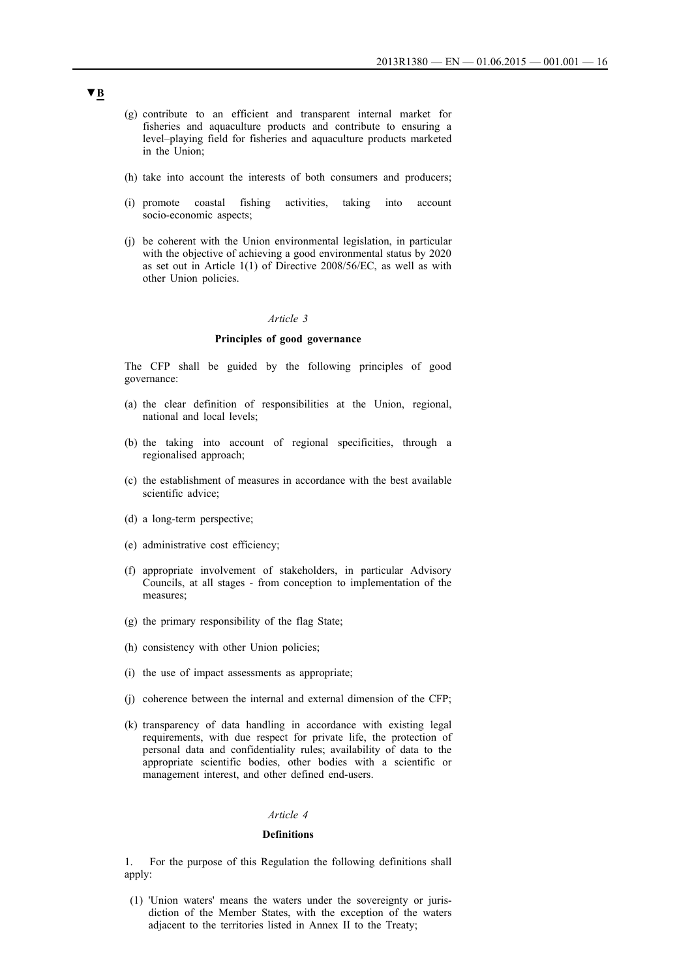- (g) contribute to an efficient and transparent internal market for fisheries and aquaculture products and contribute to ensuring a level–playing field for fisheries and aquaculture products marketed in the Union;
- (h) take into account the interests of both consumers and producers;
- (i) promote coastal fishing activities, taking into account socio-economic aspects;
- (j) be coherent with the Union environmental legislation, in particular with the objective of achieving a good environmental status by 2020 as set out in Article 1(1) of Directive 2008/56/EC, as well as with other Union policies.

#### *Article 3*

### **Principles of good governance**

The CFP shall be guided by the following principles of good governance:

- (a) the clear definition of responsibilities at the Union, regional, national and local levels;
- (b) the taking into account of regional specificities, through a regionalised approach;
- (c) the establishment of measures in accordance with the best available scientific advice;
- (d) a long-term perspective;
- (e) administrative cost efficiency;
- (f) appropriate involvement of stakeholders, in particular Advisory Councils, at all stages - from conception to implementation of the measures;
- (g) the primary responsibility of the flag State;
- (h) consistency with other Union policies;
- (i) the use of impact assessments as appropriate;
- (j) coherence between the internal and external dimension of the CFP;
- (k) transparency of data handling in accordance with existing legal requirements, with due respect for private life, the protection of personal data and confidentiality rules; availability of data to the appropriate scientific bodies, other bodies with a scientific or management interest, and other defined end-users.

#### *Article 4*

### **Definitions**

1. For the purpose of this Regulation the following definitions shall apply:

(1) 'Union waters' means the waters under the sovereignty or jurisdiction of the Member States, with the exception of the waters adjacent to the territories listed in Annex II to the Treaty;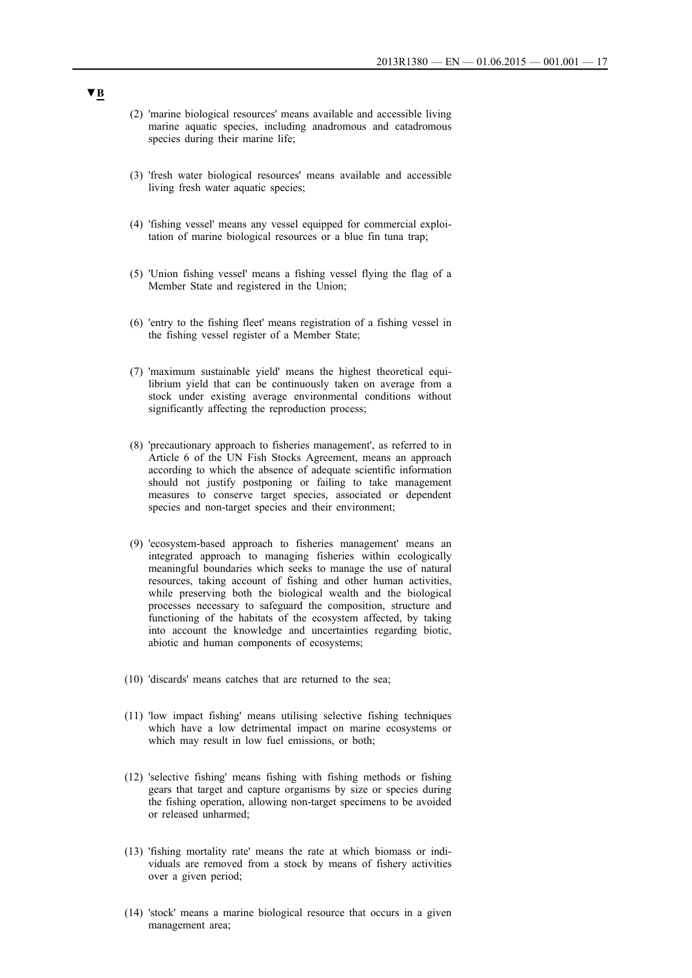- (2) 'marine biological resources' means available and accessible living marine aquatic species, including anadromous and catadromous species during their marine life;
- (3) 'fresh water biological resources' means available and accessible living fresh water aquatic species;
- (4) 'fishing vessel' means any vessel equipped for commercial exploitation of marine biological resources or a blue fin tuna trap;
- (5) 'Union fishing vessel' means a fishing vessel flying the flag of a Member State and registered in the Union;
- (6) 'entry to the fishing fleet' means registration of a fishing vessel in the fishing vessel register of a Member State;
- (7) 'maximum sustainable yield' means the highest theoretical equilibrium yield that can be continuously taken on average from a stock under existing average environmental conditions without significantly affecting the reproduction process;
- (8) 'precautionary approach to fisheries management', as referred to in Article 6 of the UN Fish Stocks Agreement, means an approach according to which the absence of adequate scientific information should not justify postponing or failing to take management measures to conserve target species, associated or dependent species and non-target species and their environment;
- (9) 'ecosystem-based approach to fisheries management' means an integrated approach to managing fisheries within ecologically meaningful boundaries which seeks to manage the use of natural resources, taking account of fishing and other human activities, while preserving both the biological wealth and the biological processes necessary to safeguard the composition, structure and functioning of the habitats of the ecosystem affected, by taking into account the knowledge and uncertainties regarding biotic, abiotic and human components of ecosystems;
- (10) 'discards' means catches that are returned to the sea;
- (11) 'low impact fishing' means utilising selective fishing techniques which have a low detrimental impact on marine ecosystems or which may result in low fuel emissions, or both;
- (12) 'selective fishing' means fishing with fishing methods or fishing gears that target and capture organisms by size or species during the fishing operation, allowing non-target specimens to be avoided or released unharmed;
- (13) 'fishing mortality rate' means the rate at which biomass or individuals are removed from a stock by means of fishery activities over a given period;
- (14) 'stock' means a marine biological resource that occurs in a given management area;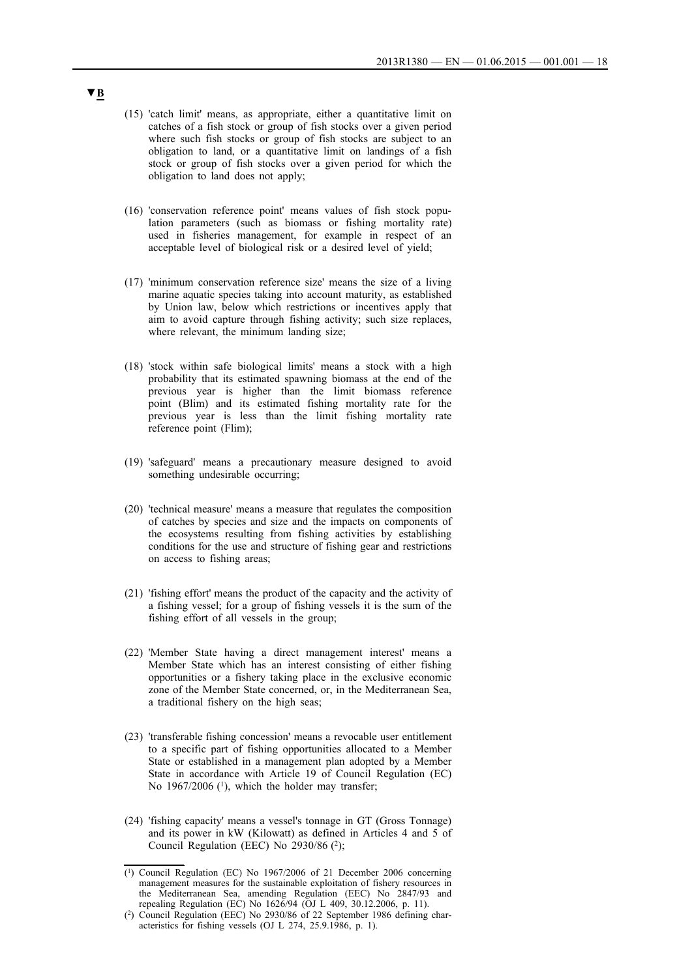- (15) 'catch limit' means, as appropriate, either a quantitative limit on catches of a fish stock or group of fish stocks over a given period where such fish stocks or group of fish stocks are subject to an obligation to land, or a quantitative limit on landings of a fish stock or group of fish stocks over a given period for which the obligation to land does not apply;
- (16) 'conservation reference point' means values of fish stock population parameters (such as biomass or fishing mortality rate) used in fisheries management, for example in respect of an acceptable level of biological risk or a desired level of yield;
- (17) 'minimum conservation reference size' means the size of a living marine aquatic species taking into account maturity, as established by Union law, below which restrictions or incentives apply that aim to avoid capture through fishing activity; such size replaces, where relevant, the minimum landing size;
- (18) 'stock within safe biological limits' means a stock with a high probability that its estimated spawning biomass at the end of the previous year is higher than the limit biomass reference point (Blim) and its estimated fishing mortality rate for the previous year is less than the limit fishing mortality rate reference point (Flim);
- (19) 'safeguard' means a precautionary measure designed to avoid something undesirable occurring;
- (20) 'technical measure' means a measure that regulates the composition of catches by species and size and the impacts on components of the ecosystems resulting from fishing activities by establishing conditions for the use and structure of fishing gear and restrictions on access to fishing areas;
- (21) 'fishing effort' means the product of the capacity and the activity of a fishing vessel; for a group of fishing vessels it is the sum of the fishing effort of all vessels in the group;
- (22) 'Member State having a direct management interest' means a Member State which has an interest consisting of either fishing opportunities or a fishery taking place in the exclusive economic zone of the Member State concerned, or, in the Mediterranean Sea, a traditional fishery on the high seas;
- (23) 'transferable fishing concession' means a revocable user entitlement to a specific part of fishing opportunities allocated to a Member State or established in a management plan adopted by a Member State in accordance with Article 19 of Council Regulation (EC) No  $1967/2006$  (<sup>1</sup>), which the holder may transfer;
- (24) 'fishing capacity' means a vessel's tonnage in GT (Gross Tonnage) and its power in kW (Kilowatt) as defined in Articles 4 and 5 of Council Regulation (EEC) No  $2930/86$  (2);

<sup>(1)</sup> Council Regulation (EC) No 1967/2006 of 21 December 2006 concerning management measures for the sustainable exploitation of fishery resources in the Mediterranean Sea, amending Regulation (EEC) No 2847/93 and repealing Regulation (EC) No 1626/94 (OJ L 409, 30.12.2006, p. 11).

<sup>(2)</sup> Council Regulation (EEC) No 2930/86 of 22 September 1986 defining characteristics for fishing vessels (OJ L 274, 25.9.1986, p. 1).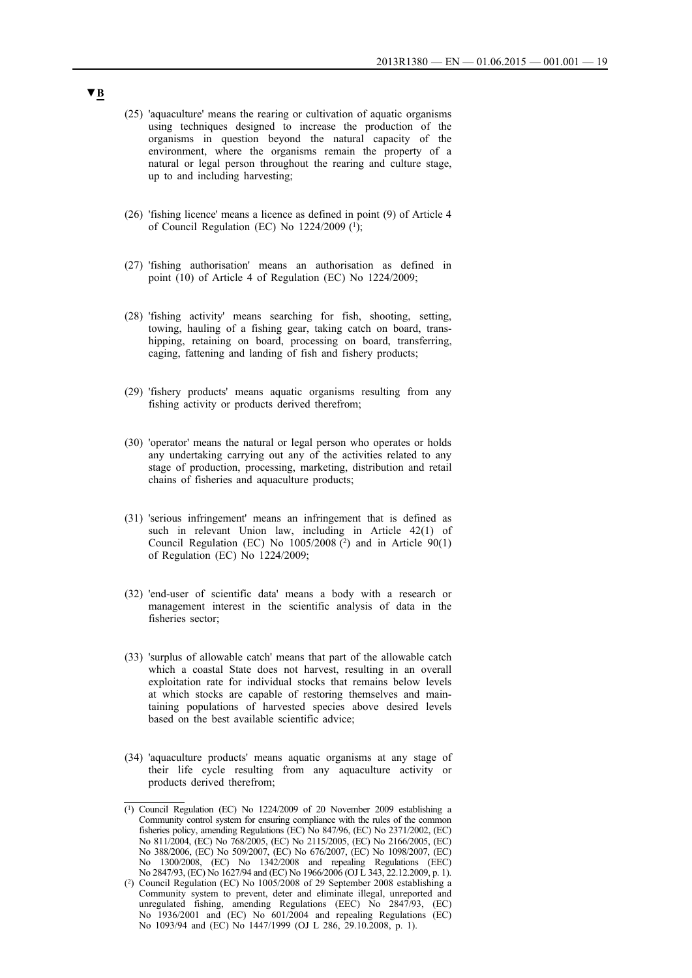- (25) 'aquaculture' means the rearing or cultivation of aquatic organisms using techniques designed to increase the production of the organisms in question beyond the natural capacity of the environment, where the organisms remain the property of a natural or legal person throughout the rearing and culture stage, up to and including harvesting;
- (26) 'fishing licence' means a licence as defined in point (9) of Article 4 of Council Regulation (EC) No 1224/2009 (1);
- (27) 'fishing authorisation' means an authorisation as defined in point (10) of Article 4 of Regulation (EC) No 1224/2009;
- (28) 'fishing activity' means searching for fish, shooting, setting, towing, hauling of a fishing gear, taking catch on board, transhipping, retaining on board, processing on board, transferring, caging, fattening and landing of fish and fishery products;
- (29) 'fishery products' means aquatic organisms resulting from any fishing activity or products derived therefrom;
- (30) 'operator' means the natural or legal person who operates or holds any undertaking carrying out any of the activities related to any stage of production, processing, marketing, distribution and retail chains of fisheries and aquaculture products;
- (31) 'serious infringement' means an infringement that is defined as such in relevant Union law, including in Article 42(1) of Council Regulation (EC) No 1005/2008 (2) and in Article 90(1) of Regulation (EC) No 1224/2009;
- (32) 'end-user of scientific data' means a body with a research or management interest in the scientific analysis of data in the fisheries sector;
- (33) 'surplus of allowable catch' means that part of the allowable catch which a coastal State does not harvest, resulting in an overall exploitation rate for individual stocks that remains below levels at which stocks are capable of restoring themselves and maintaining populations of harvested species above desired levels based on the best available scientific advice;
- (34) 'aquaculture products' means aquatic organisms at any stage of their life cycle resulting from any aquaculture activity or products derived therefrom;

<sup>(1)</sup> Council Regulation (EC) No 1224/2009 of 20 November 2009 establishing a Community control system for ensuring compliance with the rules of the common fisheries policy, amending Regulations (EC) No 847/96, (EC) No 2371/2002, (EC) No 811/2004, (EC) No 768/2005, (EC) No 2115/2005, (EC) No 2166/2005, (EC) No 388/2006, (EC) No 509/2007, (EC) No 676/2007, (EC) No 1098/2007, (EC) No 1300/2008, (EC) No 1342/2008 and repealing Regulations (EEC) No 2847/93, (EC) No 1627/94 and (EC) No 1966/2006 (OJ L 343, 22.12.2009, p. 1).

<sup>(2)</sup> Council Regulation (EC) No 1005/2008 of 29 September 2008 establishing a Community system to prevent, deter and eliminate illegal, unreported and unregulated fishing, amending Regulations (EEC) No 2847/93, (EC) No 1936/2001 and (EC) No 601/2004 and repealing Regulations (EC) No 1093/94 and (EC) No 1447/1999 (OJ L 286, 29.10.2008, p. 1).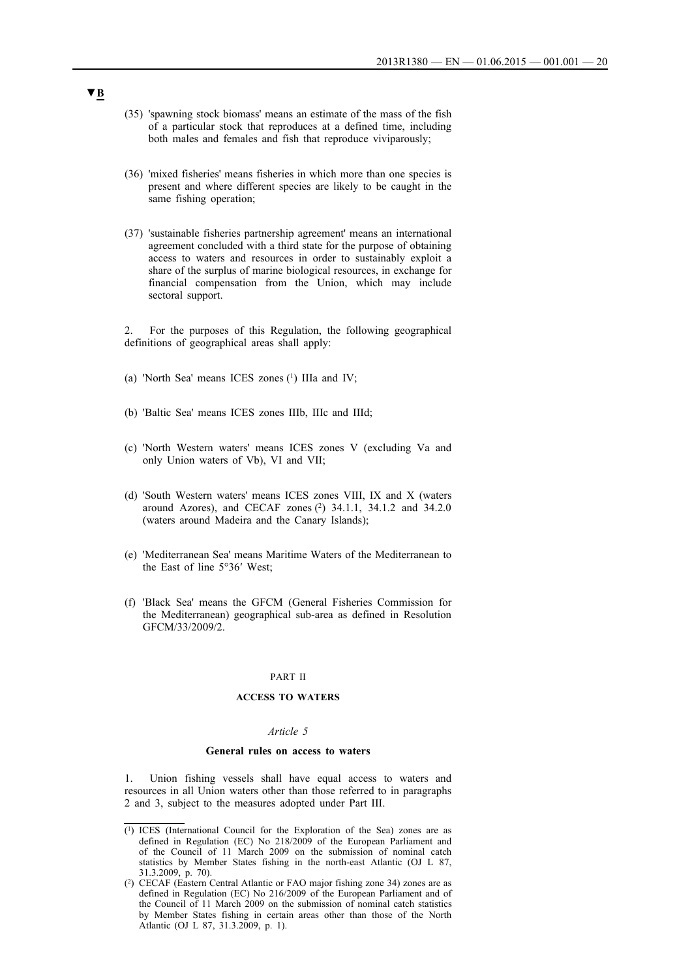- (35) 'spawning stock biomass' means an estimate of the mass of the fish of a particular stock that reproduces at a defined time, including both males and females and fish that reproduce viviparously;
- (36) 'mixed fisheries' means fisheries in which more than one species is present and where different species are likely to be caught in the same fishing operation;
- (37) 'sustainable fisheries partnership agreement' means an international agreement concluded with a third state for the purpose of obtaining access to waters and resources in order to sustainably exploit a share of the surplus of marine biological resources, in exchange for financial compensation from the Union, which may include sectoral support.

2. For the purposes of this Regulation, the following geographical definitions of geographical areas shall apply:

- (a) 'North Sea' means ICES zones  $(1)$  IIIa and IV;
- (b) 'Baltic Sea' means ICES zones IIIb, IIIc and IIId;
- (c) 'North Western waters' means ICES zones V (excluding Va and only Union waters of Vb), VI and VII;
- (d) 'South Western waters' means ICES zones VIII, IX and X (waters around Azores), and CECAF zones (2) 34.1.1, 34.1.2 and 34.2.0 (waters around Madeira and the Canary Islands);
- (e) 'Mediterranean Sea' means Maritime Waters of the Mediterranean to the East of line 5°36′ West;
- (f) 'Black Sea' means the GFCM (General Fisheries Commission for the Mediterranean) geographical sub-area as defined in Resolution GFCM/33/2009/2.

#### PART II

### **ACCESS TO WATERS**

#### *Article 5*

#### **General rules on access to waters**

1. Union fishing vessels shall have equal access to waters and resources in all Union waters other than those referred to in paragraphs 2 and 3, subject to the measures adopted under Part III.

<sup>(1)</sup> ICES (International Council for the Exploration of the Sea) zones are as defined in Regulation (EC) No 218/2009 of the European Parliament and of the Council of 11 March 2009 on the submission of nominal catch statistics by Member States fishing in the north-east Atlantic (OJ L 87, 31.3.2009, p. 70).

<sup>(2)</sup> CECAF (Eastern Central Atlantic or FAO major fishing zone 34) zones are as defined in Regulation (EC) No 216/2009 of the European Parliament and of the Council of 11 March 2009 on the submission of nominal catch statistics by Member States fishing in certain areas other than those of the North Atlantic (OJ L 87, 31.3.2009, p. 1).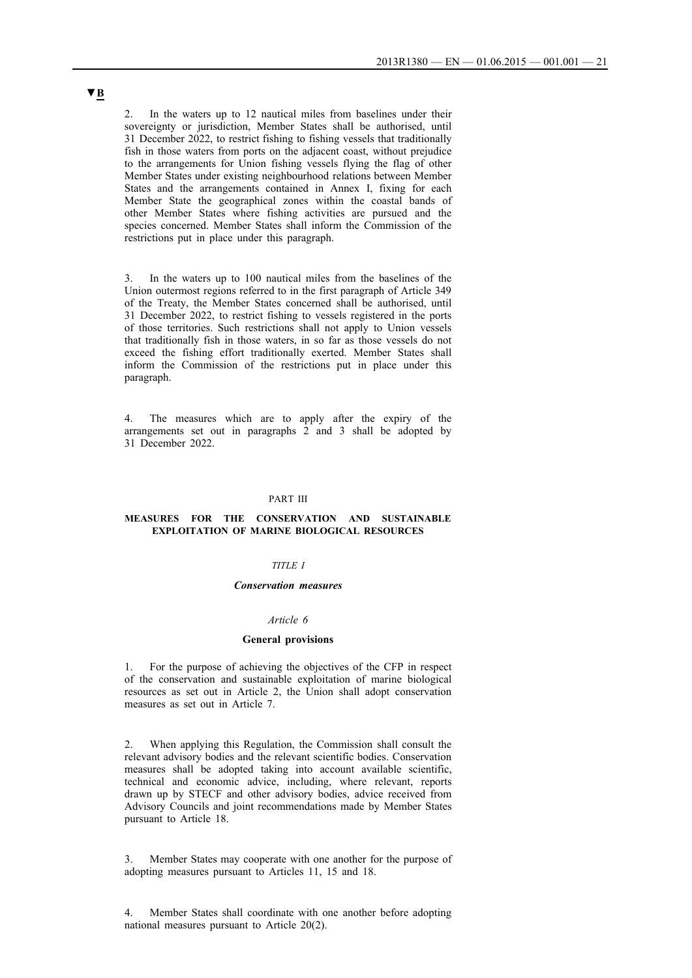2. In the waters up to 12 nautical miles from baselines under their sovereignty or jurisdiction, Member States shall be authorised, until 31 December 2022, to restrict fishing to fishing vessels that traditionally fish in those waters from ports on the adjacent coast, without prejudice to the arrangements for Union fishing vessels flying the flag of other Member States under existing neighbourhood relations between Member States and the arrangements contained in Annex I, fixing for each Member State the geographical zones within the coastal bands of other Member States where fishing activities are pursued and the species concerned. Member States shall inform the Commission of the restrictions put in place under this paragraph.

In the waters up to 100 nautical miles from the baselines of the Union outermost regions referred to in the first paragraph of Article 349 of the Treaty, the Member States concerned shall be authorised, until 31 December 2022, to restrict fishing to vessels registered in the ports of those territories. Such restrictions shall not apply to Union vessels that traditionally fish in those waters, in so far as those vessels do not exceed the fishing effort traditionally exerted. Member States shall inform the Commission of the restrictions put in place under this paragraph.

4. The measures which are to apply after the expiry of the arrangements set out in paragraphs  $2$  and  $3$  shall be adopted by 31 December 2022.

#### PART III

### **MEASURES FOR THE CONSERVATION AND SUSTAINABLE EXPLOITATION OF MARINE BIOLOGICAL RESOURCES**

### *TITLE I*

#### *Conservation measures*

### *Article 6*

#### **General provisions**

1. For the purpose of achieving the objectives of the CFP in respect of the conservation and sustainable exploitation of marine biological resources as set out in Article 2, the Union shall adopt conservation measures as set out in Article 7.

2. When applying this Regulation, the Commission shall consult the relevant advisory bodies and the relevant scientific bodies. Conservation measures shall be adopted taking into account available scientific, technical and economic advice, including, where relevant, reports drawn up by STECF and other advisory bodies, advice received from Advisory Councils and joint recommendations made by Member States pursuant to Article 18.

Member States may cooperate with one another for the purpose of adopting measures pursuant to Articles 11, 15 and 18.

4. Member States shall coordinate with one another before adopting national measures pursuant to Article 20(2).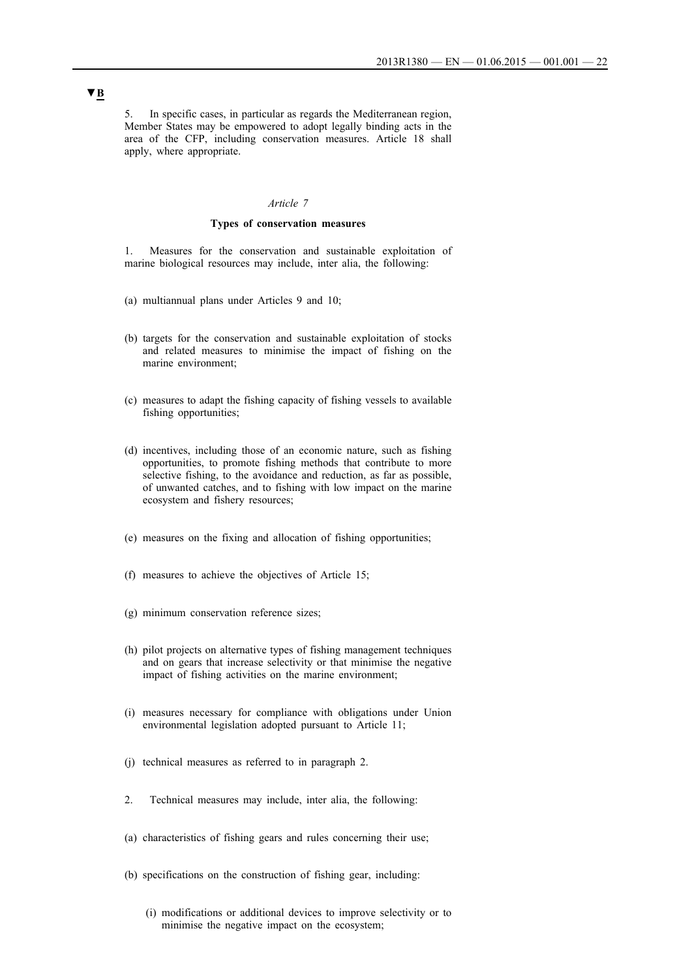5. In specific cases, in particular as regards the Mediterranean region, Member States may be empowered to adopt legally binding acts in the area of the CFP, including conservation measures. Article 18 shall apply, where appropriate.

#### *Article 7*

### **Types of conservation measures**

1. Measures for the conservation and sustainable exploitation of marine biological resources may include, inter alia, the following:

- (a) multiannual plans under Articles 9 and 10;
- (b) targets for the conservation and sustainable exploitation of stocks and related measures to minimise the impact of fishing on the marine environment;
- (c) measures to adapt the fishing capacity of fishing vessels to available fishing opportunities;
- (d) incentives, including those of an economic nature, such as fishing opportunities, to promote fishing methods that contribute to more selective fishing, to the avoidance and reduction, as far as possible, of unwanted catches, and to fishing with low impact on the marine ecosystem and fishery resources;
- (e) measures on the fixing and allocation of fishing opportunities;
- (f) measures to achieve the objectives of Article 15;
- (g) minimum conservation reference sizes;
- (h) pilot projects on alternative types of fishing management techniques and on gears that increase selectivity or that minimise the negative impact of fishing activities on the marine environment;
- (i) measures necessary for compliance with obligations under Union environmental legislation adopted pursuant to Article 11;
- (j) technical measures as referred to in paragraph 2.
- 2. Technical measures may include, inter alia, the following:
- (a) characteristics of fishing gears and rules concerning their use;
- (b) specifications on the construction of fishing gear, including:
	- (i) modifications or additional devices to improve selectivity or to minimise the negative impact on the ecosystem;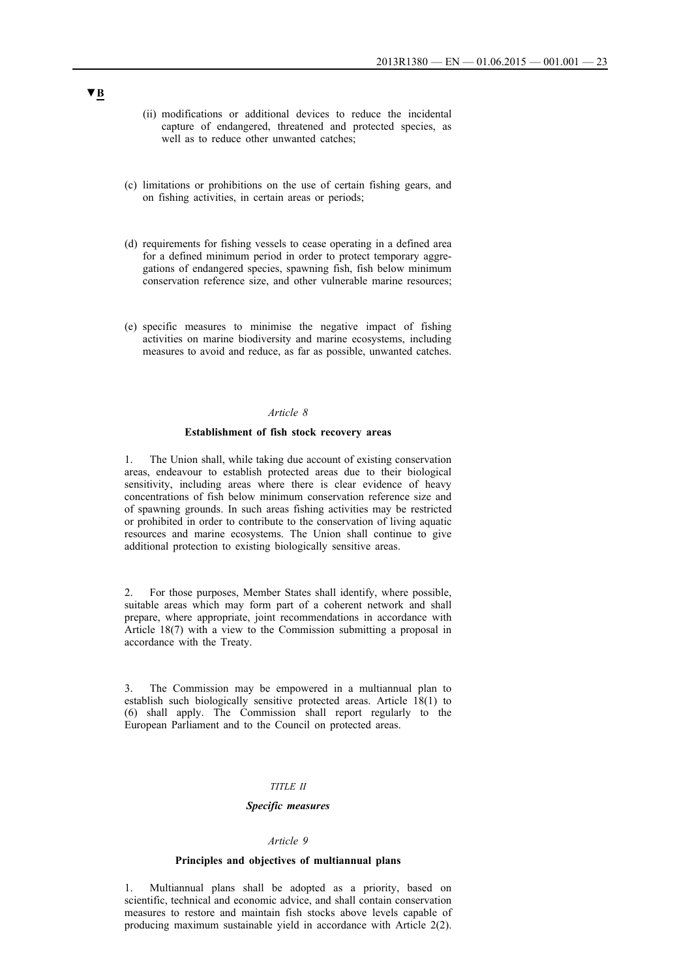- (ii) modifications or additional devices to reduce the incidental capture of endangered, threatened and protected species, as well as to reduce other unwanted catches;
- (c) limitations or prohibitions on the use of certain fishing gears, and on fishing activities, in certain areas or periods;
- (d) requirements for fishing vessels to cease operating in a defined area for a defined minimum period in order to protect temporary aggregations of endangered species, spawning fish, fish below minimum conservation reference size, and other vulnerable marine resources;
- (e) specific measures to minimise the negative impact of fishing activities on marine biodiversity and marine ecosystems, including measures to avoid and reduce, as far as possible, unwanted catches.

### *Article 8*

#### **Establishment of fish stock recovery areas**

The Union shall, while taking due account of existing conservation areas, endeavour to establish protected areas due to their biological sensitivity, including areas where there is clear evidence of heavy concentrations of fish below minimum conservation reference size and of spawning grounds. In such areas fishing activities may be restricted or prohibited in order to contribute to the conservation of living aquatic resources and marine ecosystems. The Union shall continue to give additional protection to existing biologically sensitive areas.

2. For those purposes, Member States shall identify, where possible, suitable areas which may form part of a coherent network and shall prepare, where appropriate, joint recommendations in accordance with Article 18(7) with a view to the Commission submitting a proposal in accordance with the Treaty.

3. The Commission may be empowered in a multiannual plan to establish such biologically sensitive protected areas. Article 18(1) to (6) shall apply. The Commission shall report regularly to the European Parliament and to the Council on protected areas.

#### *TITLE II*

#### *Specific measures*

#### *Article 9*

#### **Principles and objectives of multiannual plans**

1. Multiannual plans shall be adopted as a priority, based on scientific, technical and economic advice, and shall contain conservation measures to restore and maintain fish stocks above levels capable of producing maximum sustainable yield in accordance with Article 2(2).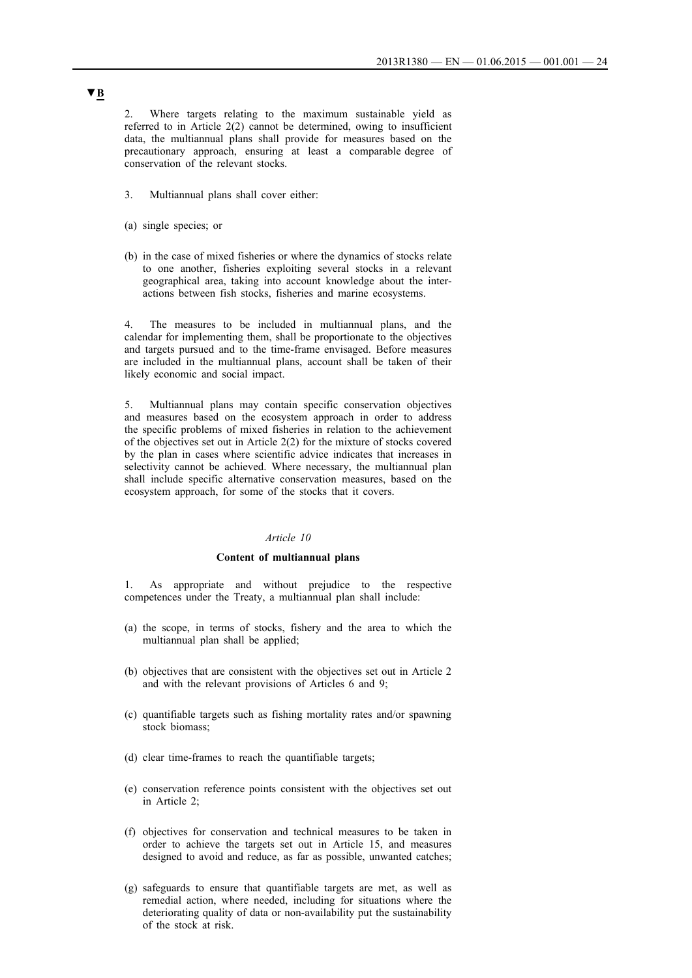2. Where targets relating to the maximum sustainable yield as referred to in Article 2(2) cannot be determined, owing to insufficient data, the multiannual plans shall provide for measures based on the precautionary approach, ensuring at least a comparable degree of conservation of the relevant stocks.

- 3. Multiannual plans shall cover either:
- (a) single species; or
- (b) in the case of mixed fisheries or where the dynamics of stocks relate to one another, fisheries exploiting several stocks in a relevant geographical area, taking into account knowledge about the interactions between fish stocks, fisheries and marine ecosystems.

4. The measures to be included in multiannual plans, and the calendar for implementing them, shall be proportionate to the objectives and targets pursued and to the time-frame envisaged. Before measures are included in the multiannual plans, account shall be taken of their likely economic and social impact.

5. Multiannual plans may contain specific conservation objectives and measures based on the ecosystem approach in order to address the specific problems of mixed fisheries in relation to the achievement of the objectives set out in Article 2(2) for the mixture of stocks covered by the plan in cases where scientific advice indicates that increases in selectivity cannot be achieved. Where necessary, the multiannual plan shall include specific alternative conservation measures, based on the ecosystem approach, for some of the stocks that it covers.

#### *Article 10*

#### **Content of multiannual plans**

1. As appropriate and without prejudice to the respective competences under the Treaty, a multiannual plan shall include:

- (a) the scope, in terms of stocks, fishery and the area to which the multiannual plan shall be applied;
- (b) objectives that are consistent with the objectives set out in Article 2 and with the relevant provisions of Articles 6 and 9;
- (c) quantifiable targets such as fishing mortality rates and/or spawning stock biomass;
- (d) clear time-frames to reach the quantifiable targets;
- (e) conservation reference points consistent with the objectives set out in Article 2;
- (f) objectives for conservation and technical measures to be taken in order to achieve the targets set out in Article 15, and measures designed to avoid and reduce, as far as possible, unwanted catches;
- (g) safeguards to ensure that quantifiable targets are met, as well as remedial action, where needed, including for situations where the deteriorating quality of data or non-availability put the sustainability of the stock at risk.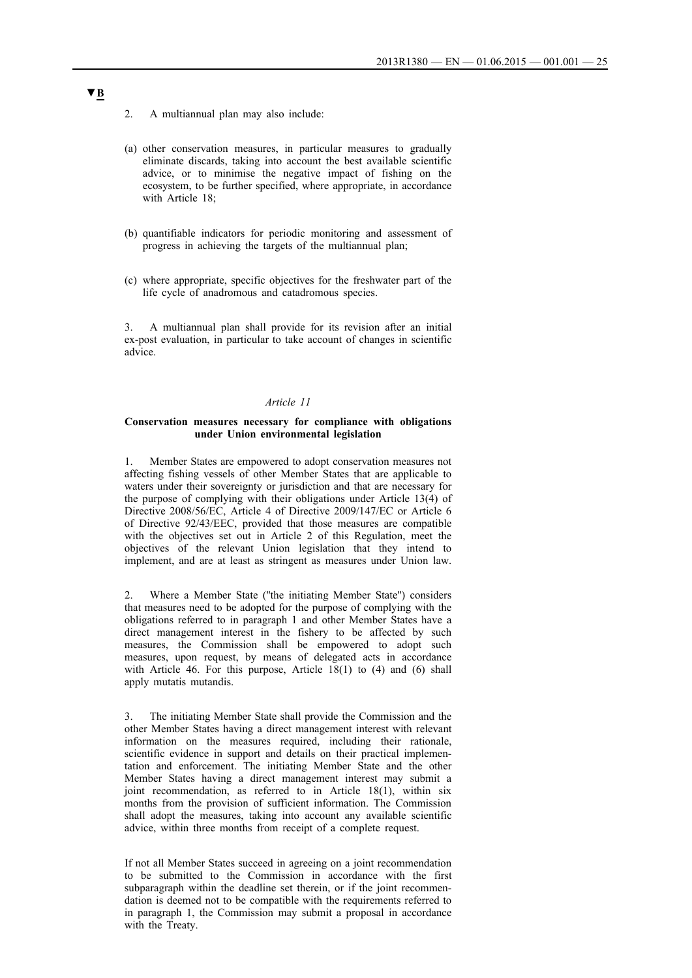- 2. A multiannual plan may also include:
- (a) other conservation measures, in particular measures to gradually eliminate discards, taking into account the best available scientific advice, or to minimise the negative impact of fishing on the ecosystem, to be further specified, where appropriate, in accordance with Article 18;
- (b) quantifiable indicators for periodic monitoring and assessment of progress in achieving the targets of the multiannual plan;
- (c) where appropriate, specific objectives for the freshwater part of the life cycle of anadromous and catadromous species.

3. A multiannual plan shall provide for its revision after an initial ex-post evaluation, in particular to take account of changes in scientific advice.

### *Article 11*

#### **Conservation measures necessary for compliance with obligations under Union environmental legislation**

1. Member States are empowered to adopt conservation measures not affecting fishing vessels of other Member States that are applicable to waters under their sovereignty or jurisdiction and that are necessary for the purpose of complying with their obligations under Article 13(4) of Directive 2008/56/EC, Article 4 of Directive 2009/147/EC or Article 6 of Directive 92/43/EEC, provided that those measures are compatible with the objectives set out in Article 2 of this Regulation, meet the objectives of the relevant Union legislation that they intend to implement, and are at least as stringent as measures under Union law.

2. Where a Member State (''the initiating Member State'') considers that measures need to be adopted for the purpose of complying with the obligations referred to in paragraph 1 and other Member States have a direct management interest in the fishery to be affected by such measures, the Commission shall be empowered to adopt such measures, upon request, by means of delegated acts in accordance with Article 46. For this purpose, Article 18(1) to (4) and (6) shall apply mutatis mutandis.

The initiating Member State shall provide the Commission and the other Member States having a direct management interest with relevant information on the measures required, including their rationale, scientific evidence in support and details on their practical implementation and enforcement. The initiating Member State and the other Member States having a direct management interest may submit a joint recommendation, as referred to in Article 18(1), within six months from the provision of sufficient information. The Commission shall adopt the measures, taking into account any available scientific advice, within three months from receipt of a complete request.

If not all Member States succeed in agreeing on a joint recommendation to be submitted to the Commission in accordance with the first subparagraph within the deadline set therein, or if the joint recommendation is deemed not to be compatible with the requirements referred to in paragraph 1, the Commission may submit a proposal in accordance with the Treaty.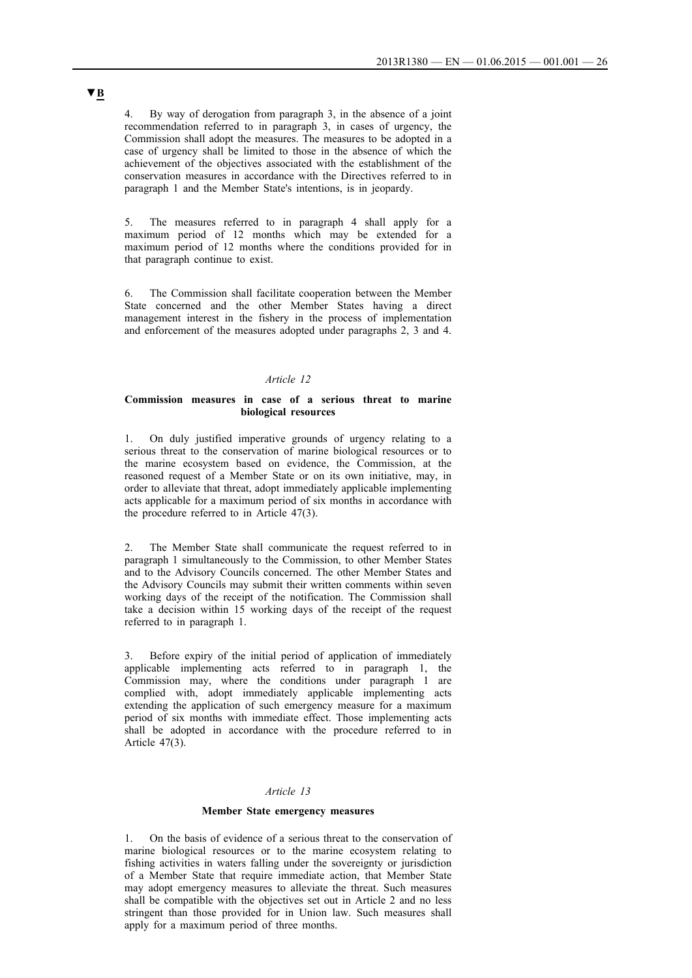4. By way of derogation from paragraph 3, in the absence of a joint recommendation referred to in paragraph 3, in cases of urgency, the Commission shall adopt the measures. The measures to be adopted in a case of urgency shall be limited to those in the absence of which the achievement of the objectives associated with the establishment of the conservation measures in accordance with the Directives referred to in paragraph 1 and the Member State's intentions, is in jeopardy.

5. The measures referred to in paragraph 4 shall apply for a maximum period of 12 months which may be extended for a maximum period of 12 months where the conditions provided for in that paragraph continue to exist.

6. The Commission shall facilitate cooperation between the Member State concerned and the other Member States having a direct management interest in the fishery in the process of implementation and enforcement of the measures adopted under paragraphs 2, 3 and 4.

### *Article 12*

#### **Commission measures in case of a serious threat to marine biological resources**

1. On duly justified imperative grounds of urgency relating to a serious threat to the conservation of marine biological resources or to the marine ecosystem based on evidence, the Commission, at the reasoned request of a Member State or on its own initiative, may, in order to alleviate that threat, adopt immediately applicable implementing acts applicable for a maximum period of six months in accordance with the procedure referred to in Article 47(3).

The Member State shall communicate the request referred to in paragraph 1 simultaneously to the Commission, to other Member States and to the Advisory Councils concerned. The other Member States and the Advisory Councils may submit their written comments within seven working days of the receipt of the notification. The Commission shall take a decision within 15 working days of the receipt of the request referred to in paragraph 1.

3. Before expiry of the initial period of application of immediately applicable implementing acts referred to in paragraph 1, the Commission may, where the conditions under paragraph 1 are complied with, adopt immediately applicable implementing acts extending the application of such emergency measure for a maximum period of six months with immediate effect. Those implementing acts shall be adopted in accordance with the procedure referred to in Article 47(3).

#### *Article 13*

#### **Member State emergency measures**

1. On the basis of evidence of a serious threat to the conservation of marine biological resources or to the marine ecosystem relating to fishing activities in waters falling under the sovereignty or jurisdiction of a Member State that require immediate action, that Member State may adopt emergency measures to alleviate the threat. Such measures shall be compatible with the objectives set out in Article 2 and no less stringent than those provided for in Union law. Such measures shall apply for a maximum period of three months.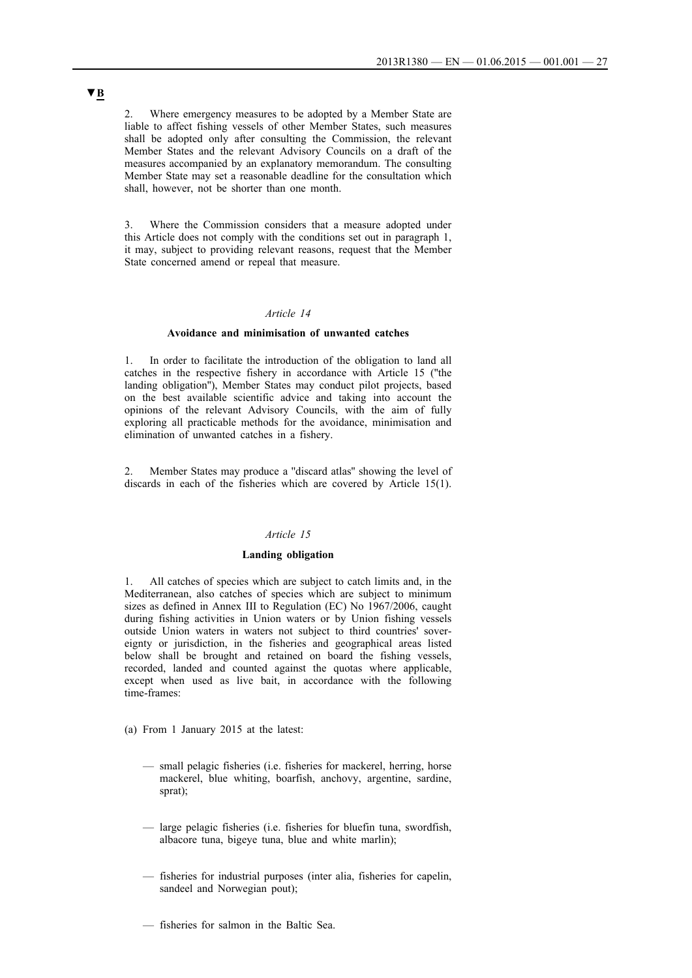2. Where emergency measures to be adopted by a Member State are liable to affect fishing vessels of other Member States, such measures shall be adopted only after consulting the Commission, the relevant Member States and the relevant Advisory Councils on a draft of the measures accompanied by an explanatory memorandum. The consulting Member State may set a reasonable deadline for the consultation which shall, however, not be shorter than one month.

3. Where the Commission considers that a measure adopted under this Article does not comply with the conditions set out in paragraph 1, it may, subject to providing relevant reasons, request that the Member State concerned amend or repeal that measure.

### *Article 14*

#### **Avoidance and minimisation of unwanted catches**

1. In order to facilitate the introduction of the obligation to land all catches in the respective fishery in accordance with Article 15 (''the landing obligation''), Member States may conduct pilot projects, based on the best available scientific advice and taking into account the opinions of the relevant Advisory Councils, with the aim of fully exploring all practicable methods for the avoidance, minimisation and elimination of unwanted catches in a fishery.

2. Member States may produce a ''discard atlas'' showing the level of discards in each of the fisheries which are covered by Article 15(1).

### *Article 15*

### **Landing obligation**

1. All catches of species which are subject to catch limits and, in the Mediterranean, also catches of species which are subject to minimum sizes as defined in Annex III to Regulation (EC) No 1967/2006, caught during fishing activities in Union waters or by Union fishing vessels outside Union waters in waters not subject to third countries' sovereignty or jurisdiction, in the fisheries and geographical areas listed below shall be brought and retained on board the fishing vessels, recorded, landed and counted against the quotas where applicable, except when used as live bait, in accordance with the following time-frames:

(a) From 1 January 2015 at the latest:

- small pelagic fisheries (i.e. fisheries for mackerel, herring, horse mackerel, blue whiting, boarfish, anchovy, argentine, sardine, sprat);
- large pelagic fisheries (i.e. fisheries for bluefin tuna, swordfish, albacore tuna, bigeye tuna, blue and white marlin);
- fisheries for industrial purposes (inter alia, fisheries for capelin, sandeel and Norwegian pout);
- fisheries for salmon in the Baltic Sea.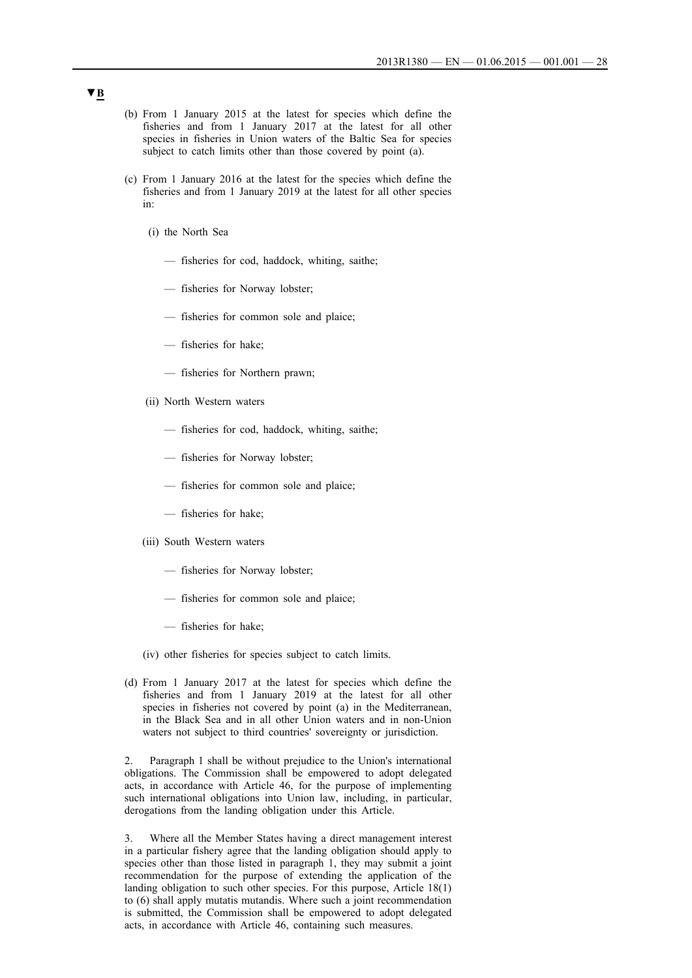- (b) From 1 January 2015 at the latest for species which define the fisheries and from 1 January 2017 at the latest for all other species in fisheries in Union waters of the Baltic Sea for species subject to catch limits other than those covered by point (a).
- (c) From 1 January 2016 at the latest for the species which define the fisheries and from 1 January 2019 at the latest for all other species in:
	- (i) the North Sea
		- fisheries for cod, haddock, whiting, saithe;
		- fisheries for Norway lobster;
		- fisheries for common sole and plaice;
		- fisheries for hake;
		- fisheries for Northern prawn;
	- (ii) North Western waters
		- fisheries for cod, haddock, whiting, saithe;
		- fisheries for Norway lobster;
		- fisheries for common sole and plaice;
		- fisheries for hake;
	- (iii) South Western waters
		- fisheries for Norway lobster;
		- fisheries for common sole and plaice;
		- fisheries for hake;
	- (iv) other fisheries for species subject to catch limits.
- (d) From 1 January 2017 at the latest for species which define the fisheries and from 1 January 2019 at the latest for all other species in fisheries not covered by point (a) in the Mediterranean, in the Black Sea and in all other Union waters and in non-Union waters not subject to third countries' sovereignty or jurisdiction.

Paragraph 1 shall be without prejudice to the Union's international obligations. The Commission shall be empowered to adopt delegated acts, in accordance with Article 46, for the purpose of implementing such international obligations into Union law, including, in particular, derogations from the landing obligation under this Article.

3. Where all the Member States having a direct management interest in a particular fishery agree that the landing obligation should apply to species other than those listed in paragraph 1, they may submit a joint recommendation for the purpose of extending the application of the landing obligation to such other species. For this purpose, Article 18(1) to (6) shall apply mutatis mutandis. Where such a joint recommendation is submitted, the Commission shall be empowered to adopt delegated acts, in accordance with Article 46, containing such measures.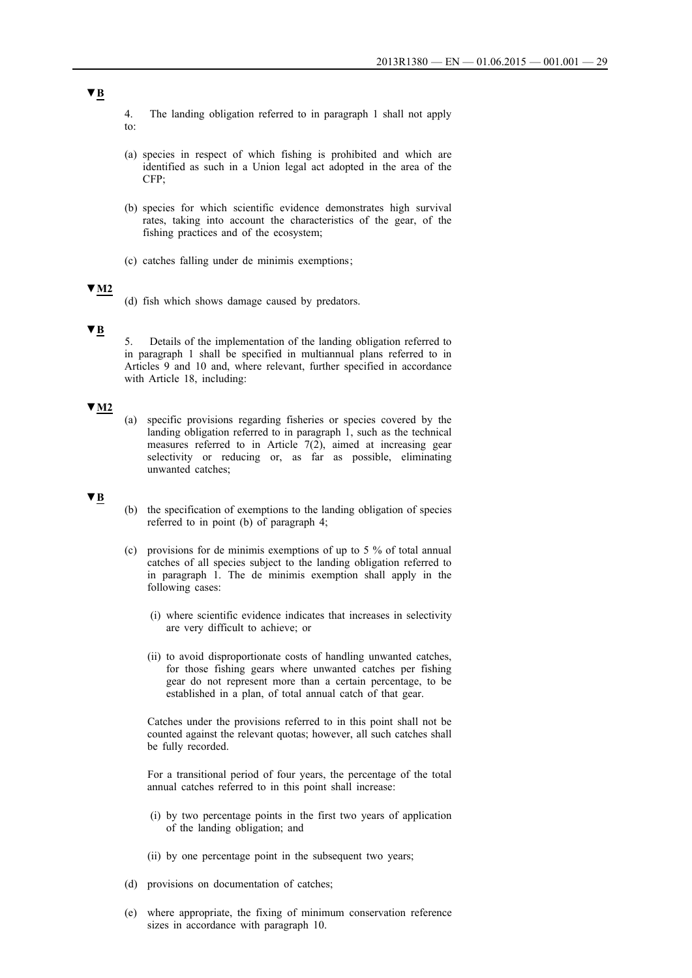- 4. The landing obligation referred to in paragraph 1 shall not apply to:
- (a) species in respect of which fishing is prohibited and which are identified as such in a Union legal act adopted in the area of the CFP;
- (b) species for which scientific evidence demonstrates high survival rates, taking into account the characteristics of the gear, of the fishing practices and of the ecosystem;
- (c) catches falling under de minimis exemptions ;

### **▼M2**

(d) fish which shows damage caused by predators.

### **▼B**

5. Details of the implementation of the landing obligation referred to in paragraph 1 shall be specified in multiannual plans referred to in Articles 9 and 10 and, where relevant, further specified in accordance with Article 18, including:

## **▼M2**

(a) specific provisions regarding fisheries or species covered by the landing obligation referred to in paragraph 1, such as the technical measures referred to in Article 7(2), aimed at increasing gear selectivity or reducing or, as far as possible, eliminating unwanted catches;

#### **▼B**

- (b) the specification of exemptions to the landing obligation of species referred to in point (b) of paragraph 4;
- (c) provisions for de minimis exemptions of up to 5 % of total annual catches of all species subject to the landing obligation referred to in paragraph 1. The de minimis exemption shall apply in the following cases:
	- (i) where scientific evidence indicates that increases in selectivity are very difficult to achieve; or
	- (ii) to avoid disproportionate costs of handling unwanted catches, for those fishing gears where unwanted catches per fishing gear do not represent more than a certain percentage, to be established in a plan, of total annual catch of that gear.

Catches under the provisions referred to in this point shall not be counted against the relevant quotas; however, all such catches shall be fully recorded.

For a transitional period of four years, the percentage of the total annual catches referred to in this point shall increase:

- (i) by two percentage points in the first two years of application of the landing obligation; and
- (ii) by one percentage point in the subsequent two years;
- (d) provisions on documentation of catches;
- (e) where appropriate, the fixing of minimum conservation reference sizes in accordance with paragraph 10.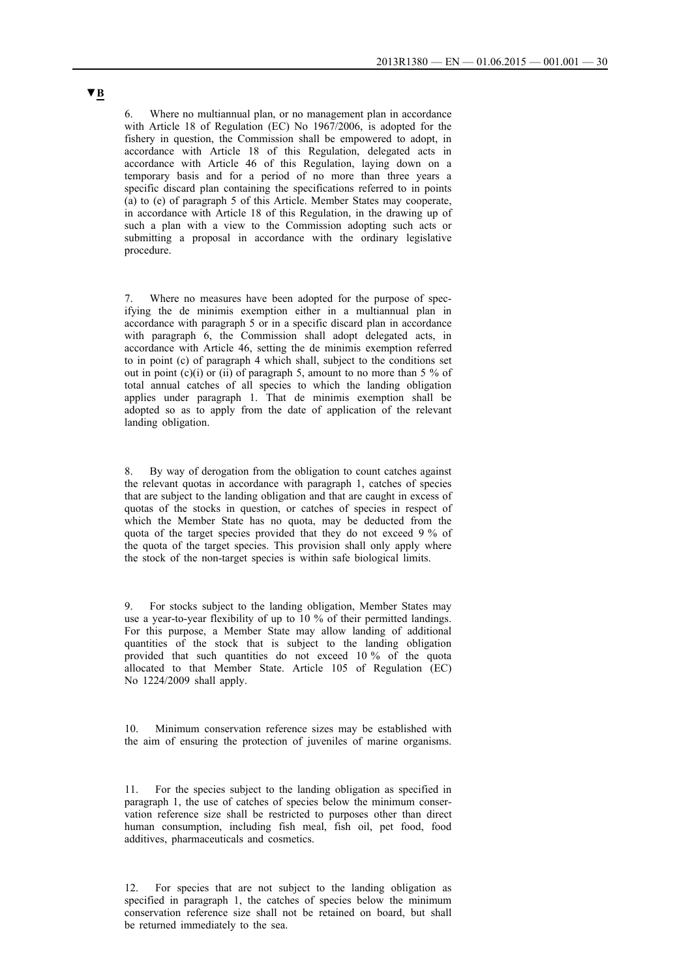6. Where no multiannual plan, or no management plan in accordance with Article 18 of Regulation (EC) No 1967/2006, is adopted for the fishery in question, the Commission shall be empowered to adopt, in accordance with Article 18 of this Regulation, delegated acts in accordance with Article 46 of this Regulation, laying down on a temporary basis and for a period of no more than three years a specific discard plan containing the specifications referred to in points (a) to (e) of paragraph 5 of this Article. Member States may cooperate, in accordance with Article 18 of this Regulation, in the drawing up of such a plan with a view to the Commission adopting such acts or submitting a proposal in accordance with the ordinary legislative procedure.

Where no measures have been adopted for the purpose of specifying the de minimis exemption either in a multiannual plan in accordance with paragraph 5 or in a specific discard plan in accordance with paragraph 6, the Commission shall adopt delegated acts, in accordance with Article 46, setting the de minimis exemption referred to in point (c) of paragraph 4 which shall, subject to the conditions set out in point  $(c)(i)$  or  $(ii)$  of paragraph 5, amount to no more than 5 % of total annual catches of all species to which the landing obligation applies under paragraph 1. That de minimis exemption shall be adopted so as to apply from the date of application of the relevant landing obligation.

8. By way of derogation from the obligation to count catches against the relevant quotas in accordance with paragraph 1, catches of species that are subject to the landing obligation and that are caught in excess of quotas of the stocks in question, or catches of species in respect of which the Member State has no quota, may be deducted from the quota of the target species provided that they do not exceed 9 % of the quota of the target species. This provision shall only apply where the stock of the non-target species is within safe biological limits.

9. For stocks subject to the landing obligation, Member States may use a year-to-year flexibility of up to 10 % of their permitted landings. For this purpose, a Member State may allow landing of additional quantities of the stock that is subject to the landing obligation provided that such quantities do not exceed 10 % of the quota allocated to that Member State. Article 105 of Regulation (EC) No 1224/2009 shall apply.

10. Minimum conservation reference sizes may be established with the aim of ensuring the protection of juveniles of marine organisms.

11. For the species subject to the landing obligation as specified in paragraph 1, the use of catches of species below the minimum conservation reference size shall be restricted to purposes other than direct human consumption, including fish meal, fish oil, pet food, food additives, pharmaceuticals and cosmetics.

12. For species that are not subject to the landing obligation as specified in paragraph 1, the catches of species below the minimum conservation reference size shall not be retained on board, but shall be returned immediately to the sea.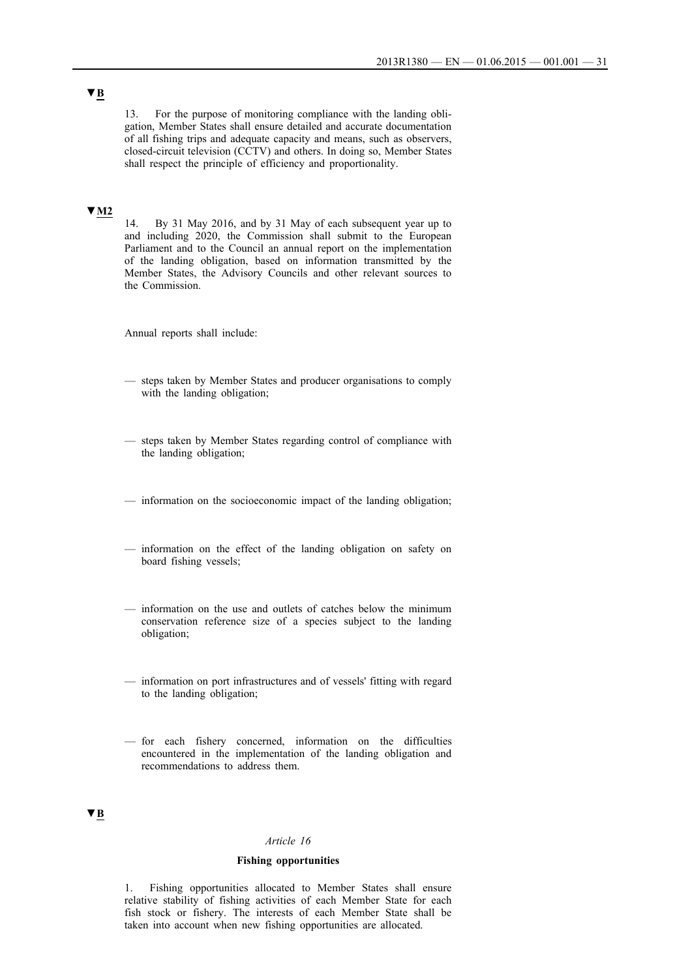13. For the purpose of monitoring compliance with the landing obligation, Member States shall ensure detailed and accurate documentation of all fishing trips and adequate capacity and means, such as observers, closed-circuit television (CCTV) and others. In doing so, Member States shall respect the principle of efficiency and proportionality.

## **▼M2**

14. By 31 May 2016, and by 31 May of each subsequent year up to and including 2020, the Commission shall submit to the European Parliament and to the Council an annual report on the implementation of the landing obligation, based on information transmitted by the Member States, the Advisory Councils and other relevant sources to the Commission.

Annual reports shall include:

- steps taken by Member States and producer organisations to comply with the landing obligation;
- steps taken by Member States regarding control of compliance with the landing obligation;
- information on the socioeconomic impact of the landing obligation;
- information on the effect of the landing obligation on safety on board fishing vessels;
- information on the use and outlets of catches below the minimum conservation reference size of a species subject to the landing obligation;
- information on port infrastructures and of vessels' fitting with regard to the landing obligation;
- for each fishery concerned, information on the difficulties encountered in the implementation of the landing obligation and recommendations to address them.

## **▼B**

#### *Article 16*

### **Fishing opportunities**

1. Fishing opportunities allocated to Member States shall ensure relative stability of fishing activities of each Member State for each fish stock or fishery. The interests of each Member State shall be taken into account when new fishing opportunities are allocated.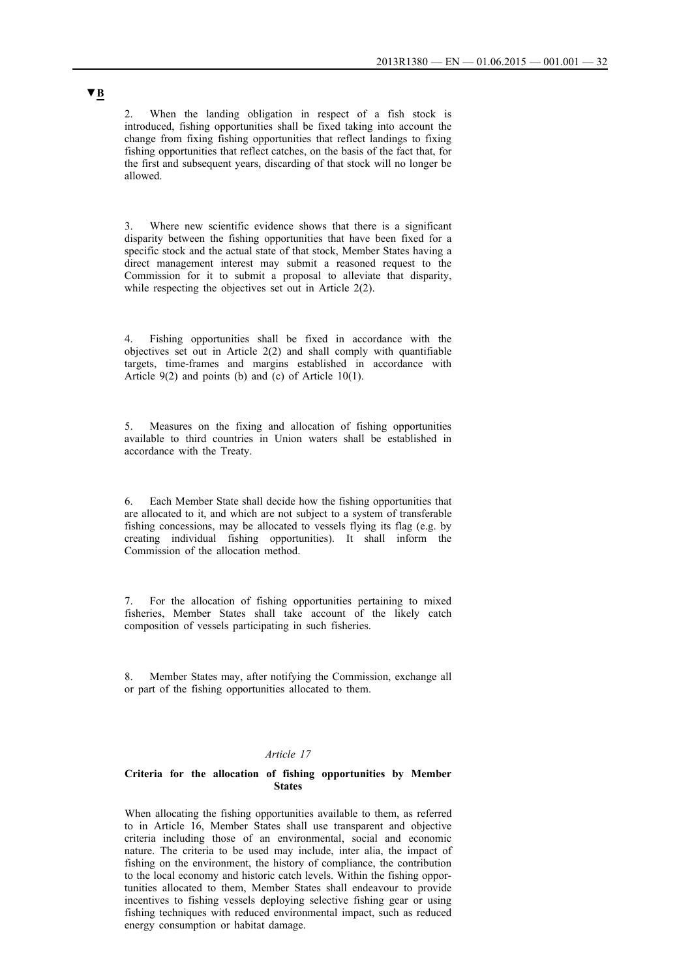2. When the landing obligation in respect of a fish stock is introduced, fishing opportunities shall be fixed taking into account the change from fixing fishing opportunities that reflect landings to fixing fishing opportunities that reflect catches, on the basis of the fact that, for the first and subsequent years, discarding of that stock will no longer be allowed.

Where new scientific evidence shows that there is a significant disparity between the fishing opportunities that have been fixed for a specific stock and the actual state of that stock, Member States having a direct management interest may submit a reasoned request to the Commission for it to submit a proposal to alleviate that disparity, while respecting the objectives set out in Article 2(2).

4. Fishing opportunities shall be fixed in accordance with the objectives set out in Article 2(2) and shall comply with quantifiable targets, time-frames and margins established in accordance with Article 9(2) and points (b) and (c) of Article 10(1).

5. Measures on the fixing and allocation of fishing opportunities available to third countries in Union waters shall be established in accordance with the Treaty.

6. Each Member State shall decide how the fishing opportunities that are allocated to it, and which are not subject to a system of transferable fishing concessions, may be allocated to vessels flying its flag (e.g. by creating individual fishing opportunities). It shall inform the Commission of the allocation method.

7. For the allocation of fishing opportunities pertaining to mixed fisheries, Member States shall take account of the likely catch composition of vessels participating in such fisheries.

8. Member States may, after notifying the Commission, exchange all or part of the fishing opportunities allocated to them.

#### *Article 17*

### **Criteria for the allocation of fishing opportunities by Member States**

When allocating the fishing opportunities available to them, as referred to in Article 16, Member States shall use transparent and objective criteria including those of an environmental, social and economic nature. The criteria to be used may include, inter alia, the impact of fishing on the environment, the history of compliance, the contribution to the local economy and historic catch levels. Within the fishing opportunities allocated to them, Member States shall endeavour to provide incentives to fishing vessels deploying selective fishing gear or using fishing techniques with reduced environmental impact, such as reduced energy consumption or habitat damage.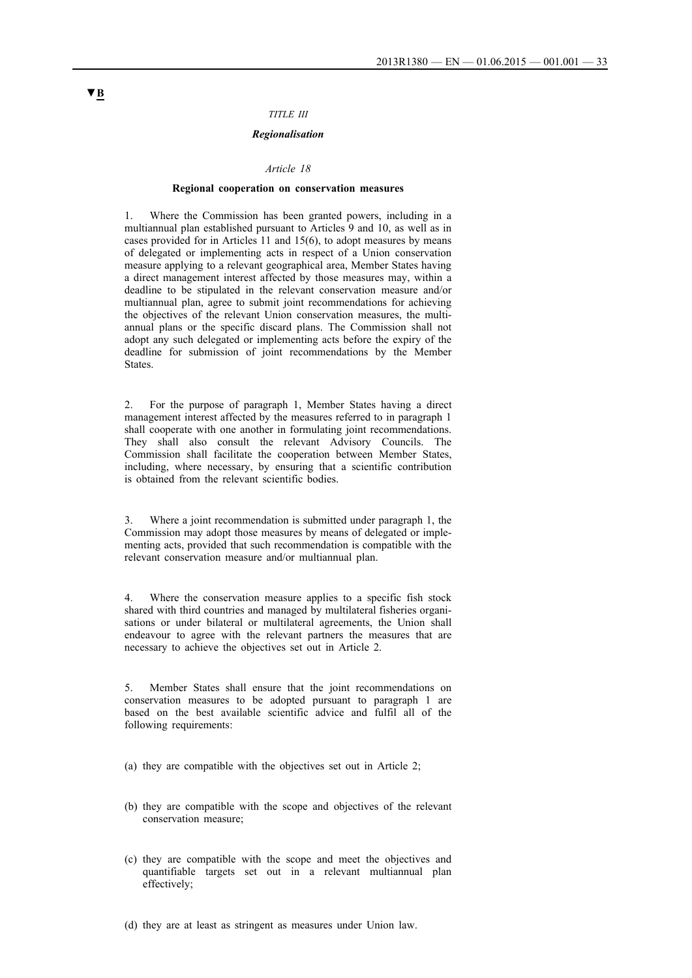### *TITLE III*

### *Regionalisation*

#### *Article 18*

#### **Regional cooperation on conservation measures**

1. Where the Commission has been granted powers, including in a multiannual plan established pursuant to Articles 9 and 10, as well as in cases provided for in Articles 11 and 15(6), to adopt measures by means of delegated or implementing acts in respect of a Union conservation measure applying to a relevant geographical area, Member States having a direct management interest affected by those measures may, within a deadline to be stipulated in the relevant conservation measure and/or multiannual plan, agree to submit joint recommendations for achieving the objectives of the relevant Union conservation measures, the multiannual plans or the specific discard plans. The Commission shall not adopt any such delegated or implementing acts before the expiry of the deadline for submission of joint recommendations by the Member States.

2. For the purpose of paragraph 1, Member States having a direct management interest affected by the measures referred to in paragraph 1 shall cooperate with one another in formulating joint recommendations. They shall also consult the relevant Advisory Councils. The Commission shall facilitate the cooperation between Member States, including, where necessary, by ensuring that a scientific contribution is obtained from the relevant scientific bodies.

Where a joint recommendation is submitted under paragraph 1, the Commission may adopt those measures by means of delegated or implementing acts, provided that such recommendation is compatible with the relevant conservation measure and/or multiannual plan.

4. Where the conservation measure applies to a specific fish stock shared with third countries and managed by multilateral fisheries organisations or under bilateral or multilateral agreements, the Union shall endeavour to agree with the relevant partners the measures that are necessary to achieve the objectives set out in Article 2.

5. Member States shall ensure that the joint recommendations on conservation measures to be adopted pursuant to paragraph 1 are based on the best available scientific advice and fulfil all of the following requirements:

(a) they are compatible with the objectives set out in Article 2;

- (b) they are compatible with the scope and objectives of the relevant conservation measure;
- (c) they are compatible with the scope and meet the objectives and quantifiable targets set out in a relevant multiannual plan effectively;

(d) they are at least as stringent as measures under Union law.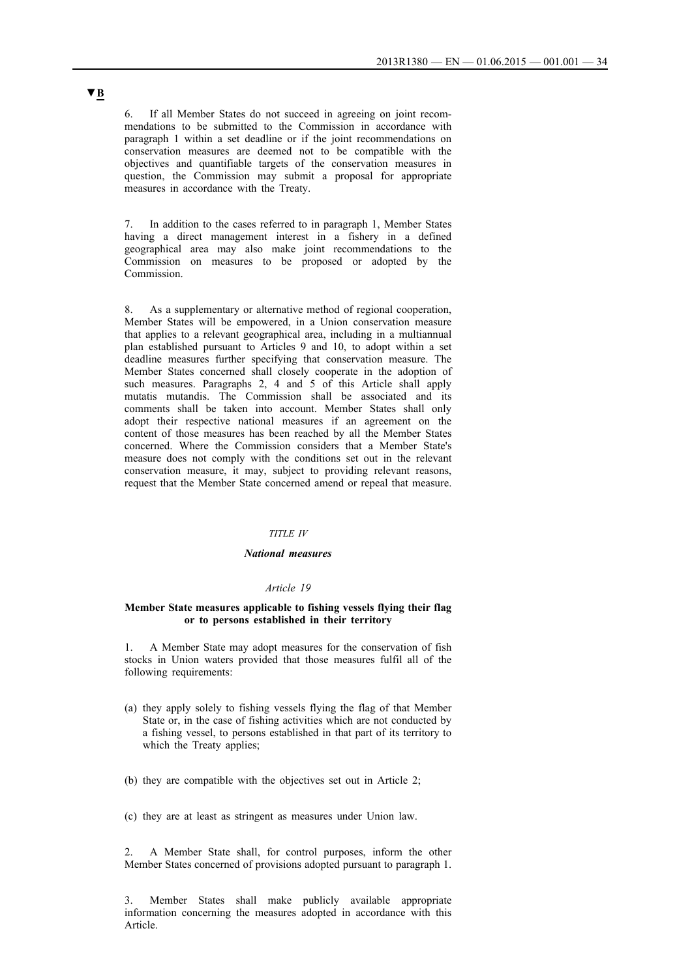6. If all Member States do not succeed in agreeing on joint recommendations to be submitted to the Commission in accordance with paragraph 1 within a set deadline or if the joint recommendations on conservation measures are deemed not to be compatible with the objectives and quantifiable targets of the conservation measures in question, the Commission may submit a proposal for appropriate measures in accordance with the Treaty.

7. In addition to the cases referred to in paragraph 1, Member States having a direct management interest in a fishery in a defined geographical area may also make joint recommendations to the Commission on measures to be proposed or adopted by the Commission.

8. As a supplementary or alternative method of regional cooperation, Member States will be empowered, in a Union conservation measure that applies to a relevant geographical area, including in a multiannual plan established pursuant to Articles 9 and 10, to adopt within a set deadline measures further specifying that conservation measure. The Member States concerned shall closely cooperate in the adoption of such measures. Paragraphs 2, 4 and 5 of this Article shall apply mutatis mutandis. The Commission shall be associated and its comments shall be taken into account. Member States shall only adopt their respective national measures if an agreement on the content of those measures has been reached by all the Member States concerned. Where the Commission considers that a Member State's measure does not comply with the conditions set out in the relevant conservation measure, it may, subject to providing relevant reasons, request that the Member State concerned amend or repeal that measure.

#### *TITLE IV*

#### *National measures*

#### *Article 19*

### **Member State measures applicable to fishing vessels flying their flag or to persons established in their territory**

1. A Member State may adopt measures for the conservation of fish stocks in Union waters provided that those measures fulfil all of the following requirements:

- (a) they apply solely to fishing vessels flying the flag of that Member State or, in the case of fishing activities which are not conducted by a fishing vessel, to persons established in that part of its territory to which the Treaty applies;
- (b) they are compatible with the objectives set out in Article 2;
- (c) they are at least as stringent as measures under Union law.

2. A Member State shall, for control purposes, inform the other Member States concerned of provisions adopted pursuant to paragraph 1.

3. Member States shall make publicly available appropriate information concerning the measures adopted in accordance with this Article.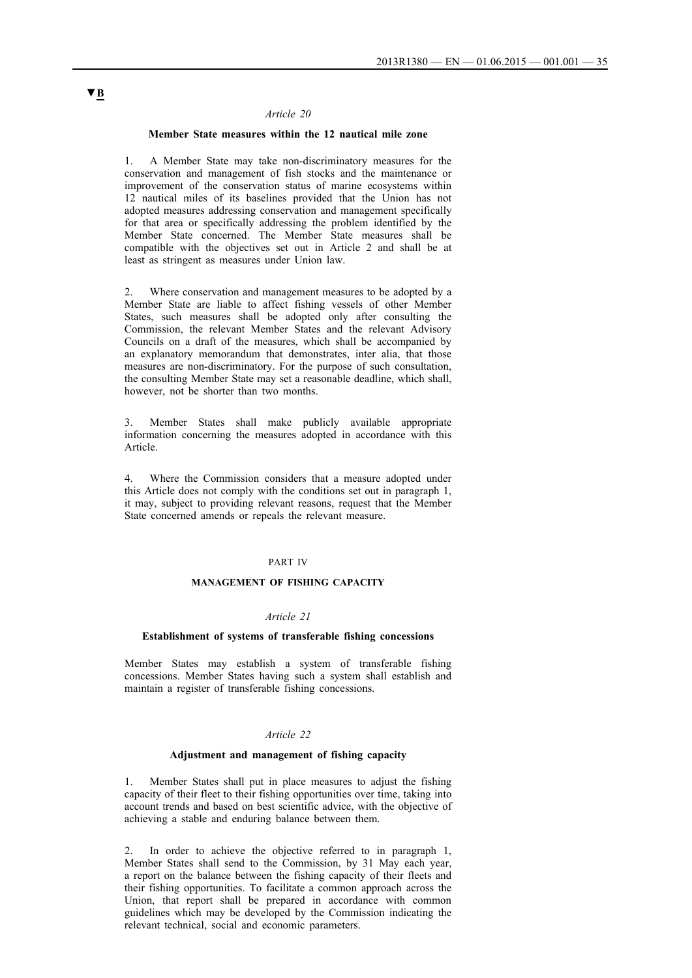#### *Article 20*

### **Member State measures within the 12 nautical mile zone**

1. A Member State may take non-discriminatory measures for the conservation and management of fish stocks and the maintenance or improvement of the conservation status of marine ecosystems within 12 nautical miles of its baselines provided that the Union has not adopted measures addressing conservation and management specifically for that area or specifically addressing the problem identified by the Member State concerned. The Member State measures shall be compatible with the objectives set out in Article 2 and shall be at least as stringent as measures under Union law.

Where conservation and management measures to be adopted by a Member State are liable to affect fishing vessels of other Member States, such measures shall be adopted only after consulting the Commission, the relevant Member States and the relevant Advisory Councils on a draft of the measures, which shall be accompanied by an explanatory memorandum that demonstrates, inter alia, that those measures are non-discriminatory. For the purpose of such consultation, the consulting Member State may set a reasonable deadline, which shall, however, not be shorter than two months.

3. Member States shall make publicly available appropriate information concerning the measures adopted in accordance with this Article.

4. Where the Commission considers that a measure adopted under this Article does not comply with the conditions set out in paragraph 1, it may, subject to providing relevant reasons, request that the Member State concerned amends or repeals the relevant measure.

#### PART IV

#### **MANAGEMENT OF FISHING CAPACITY**

### *Article 21*

#### **Establishment of systems of transferable fishing concessions**

Member States may establish a system of transferable fishing concessions. Member States having such a system shall establish and maintain a register of transferable fishing concessions.

### *Article 22*

### **Adjustment and management of fishing capacity**

1. Member States shall put in place measures to adjust the fishing capacity of their fleet to their fishing opportunities over time, taking into account trends and based on best scientific advice, with the objective of achieving a stable and enduring balance between them.

In order to achieve the objective referred to in paragraph 1, Member States shall send to the Commission, by 31 May each year, a report on the balance between the fishing capacity of their fleets and their fishing opportunities. To facilitate a common approach across the Union, that report shall be prepared in accordance with common guidelines which may be developed by the Commission indicating the relevant technical, social and economic parameters.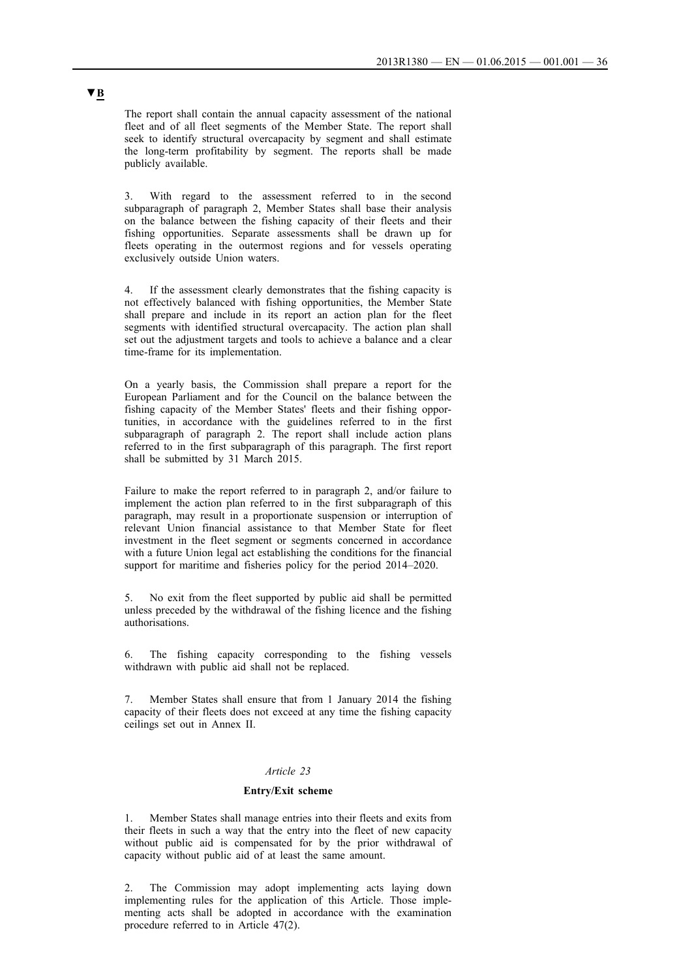The report shall contain the annual capacity assessment of the national fleet and of all fleet segments of the Member State. The report shall seek to identify structural overcapacity by segment and shall estimate the long-term profitability by segment. The reports shall be made publicly available.

3. With regard to the assessment referred to in the second subparagraph of paragraph 2, Member States shall base their analysis on the balance between the fishing capacity of their fleets and their fishing opportunities. Separate assessments shall be drawn up for fleets operating in the outermost regions and for vessels operating exclusively outside Union waters.

4. If the assessment clearly demonstrates that the fishing capacity is not effectively balanced with fishing opportunities, the Member State shall prepare and include in its report an action plan for the fleet segments with identified structural overcapacity. The action plan shall set out the adjustment targets and tools to achieve a balance and a clear time-frame for its implementation.

On a yearly basis, the Commission shall prepare a report for the European Parliament and for the Council on the balance between the fishing capacity of the Member States' fleets and their fishing opportunities, in accordance with the guidelines referred to in the first subparagraph of paragraph 2. The report shall include action plans referred to in the first subparagraph of this paragraph. The first report shall be submitted by 31 March 2015.

Failure to make the report referred to in paragraph 2, and/or failure to implement the action plan referred to in the first subparagraph of this paragraph, may result in a proportionate suspension or interruption of relevant Union financial assistance to that Member State for fleet investment in the fleet segment or segments concerned in accordance with a future Union legal act establishing the conditions for the financial support for maritime and fisheries policy for the period 2014–2020.

5. No exit from the fleet supported by public aid shall be permitted unless preceded by the withdrawal of the fishing licence and the fishing authorisations.

The fishing capacity corresponding to the fishing vessels withdrawn with public aid shall not be replaced.

7. Member States shall ensure that from 1 January 2014 the fishing capacity of their fleets does not exceed at any time the fishing capacity ceilings set out in Annex II.

#### *Article 23*

#### **Entry/Exit scheme**

1. Member States shall manage entries into their fleets and exits from their fleets in such a way that the entry into the fleet of new capacity without public aid is compensated for by the prior withdrawal of capacity without public aid of at least the same amount.

2. The Commission may adopt implementing acts laying down implementing rules for the application of this Article. Those implementing acts shall be adopted in accordance with the examination procedure referred to in Article 47(2).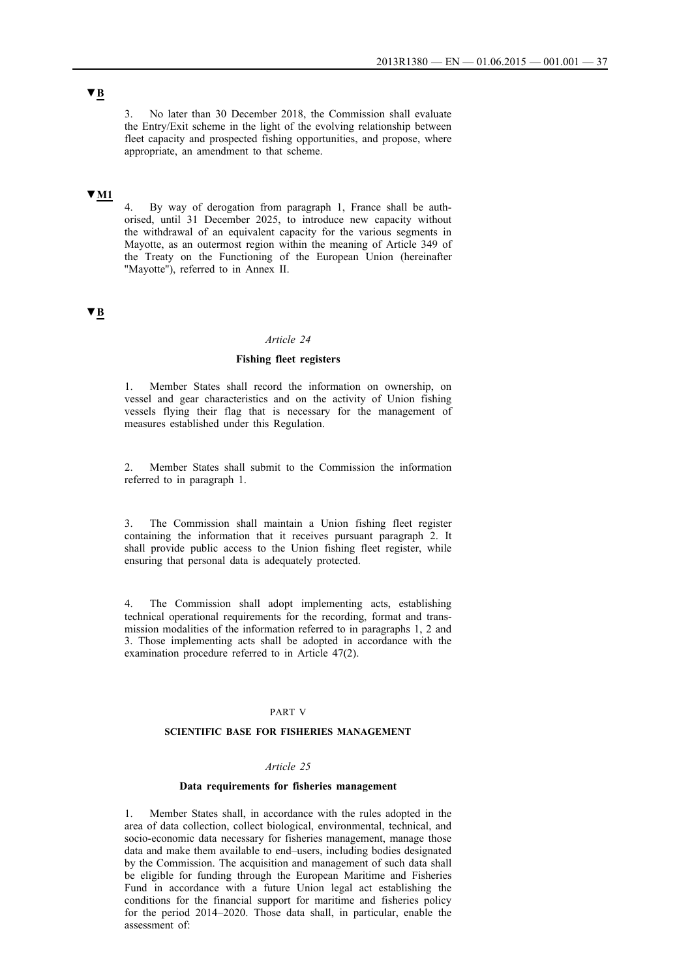3. No later than 30 December 2018, the Commission shall evaluate the Entry/Exit scheme in the light of the evolving relationship between fleet capacity and prospected fishing opportunities, and propose, where appropriate, an amendment to that scheme.

### **▼M1**

4. By way of derogation from paragraph 1, France shall be authorised, until 31 December 2025, to introduce new capacity without the withdrawal of an equivalent capacity for the various segments in Mayotte, as an outermost region within the meaning of Article 349 of the Treaty on the Functioning of the European Union (hereinafter ''Mayotte''), referred to in Annex II.

## **▼B**

### *Article 24*

### **Fishing fleet registers**

1. Member States shall record the information on ownership, on vessel and gear characteristics and on the activity of Union fishing vessels flying their flag that is necessary for the management of measures established under this Regulation.

2. Member States shall submit to the Commission the information referred to in paragraph 1.

3. The Commission shall maintain a Union fishing fleet register containing the information that it receives pursuant paragraph 2. It shall provide public access to the Union fishing fleet register, while ensuring that personal data is adequately protected.

4. The Commission shall adopt implementing acts, establishing technical operational requirements for the recording, format and transmission modalities of the information referred to in paragraphs 1, 2 and 3. Those implementing acts shall be adopted in accordance with the examination procedure referred to in Article 47(2).

#### PART V

### **SCIENTIFIC BASE FOR FISHERIES MANAGEMENT**

#### *Article 25*

#### **Data requirements for fisheries management**

1. Member States shall, in accordance with the rules adopted in the area of data collection, collect biological, environmental, technical, and socio-economic data necessary for fisheries management, manage those data and make them available to end–users, including bodies designated by the Commission. The acquisition and management of such data shall be eligible for funding through the European Maritime and Fisheries Fund in accordance with a future Union legal act establishing the conditions for the financial support for maritime and fisheries policy for the period 2014–2020. Those data shall, in particular, enable the assessment of: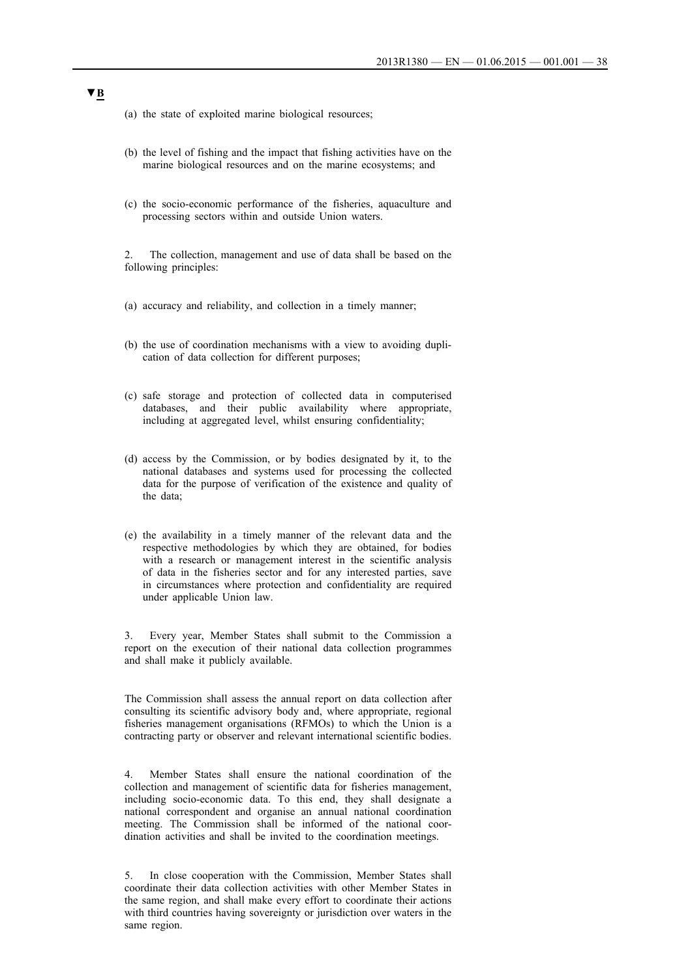- (a) the state of exploited marine biological resources;
- (b) the level of fishing and the impact that fishing activities have on the marine biological resources and on the marine ecosystems; and
- (c) the socio-economic performance of the fisheries, aquaculture and processing sectors within and outside Union waters.

2. The collection, management and use of data shall be based on the following principles:

- (a) accuracy and reliability, and collection in a timely manner;
- (b) the use of coordination mechanisms with a view to avoiding duplication of data collection for different purposes;
- (c) safe storage and protection of collected data in computerised databases, and their public availability where appropriate, including at aggregated level, whilst ensuring confidentiality;
- (d) access by the Commission, or by bodies designated by it, to the national databases and systems used for processing the collected data for the purpose of verification of the existence and quality of the data;
- (e) the availability in a timely manner of the relevant data and the respective methodologies by which they are obtained, for bodies with a research or management interest in the scientific analysis of data in the fisheries sector and for any interested parties, save in circumstances where protection and confidentiality are required under applicable Union law.

3. Every year, Member States shall submit to the Commission a report on the execution of their national data collection programmes and shall make it publicly available.

The Commission shall assess the annual report on data collection after consulting its scientific advisory body and, where appropriate, regional fisheries management organisations (RFMOs) to which the Union is a contracting party or observer and relevant international scientific bodies.

4. Member States shall ensure the national coordination of the collection and management of scientific data for fisheries management, including socio-economic data. To this end, they shall designate a national correspondent and organise an annual national coordination meeting. The Commission shall be informed of the national coordination activities and shall be invited to the coordination meetings.

5. In close cooperation with the Commission, Member States shall coordinate their data collection activities with other Member States in the same region, and shall make every effort to coordinate their actions with third countries having sovereignty or jurisdiction over waters in the same region.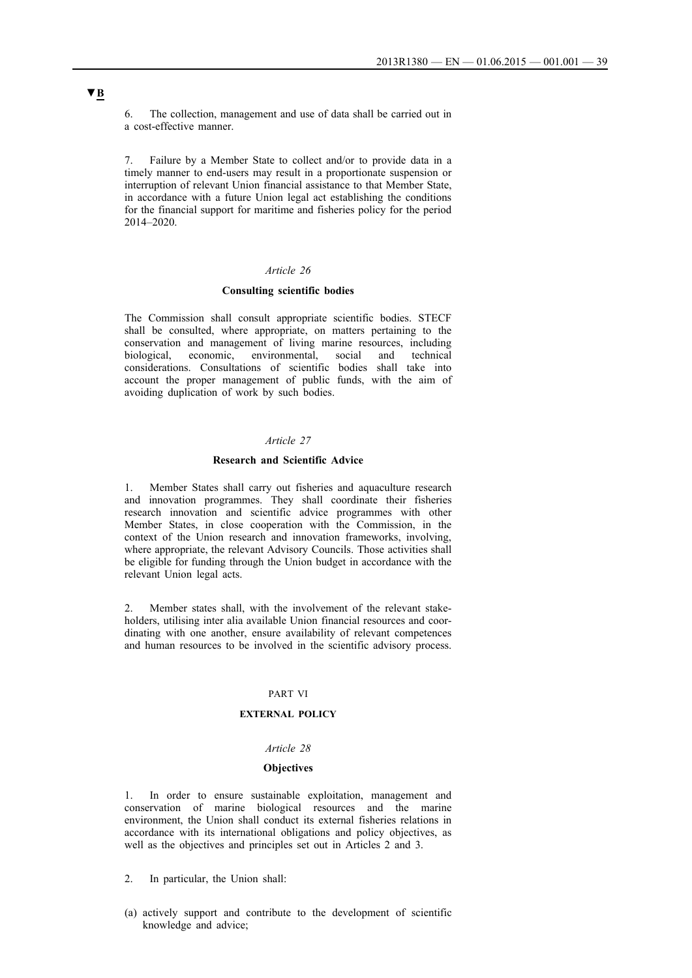6. The collection, management and use of data shall be carried out in a cost-effective manner.

7. Failure by a Member State to collect and/or to provide data in a timely manner to end-users may result in a proportionate suspension or interruption of relevant Union financial assistance to that Member State, in accordance with a future Union legal act establishing the conditions for the financial support for maritime and fisheries policy for the period 2014–2020.

### *Article 26*

## **Consulting scientific bodies**

The Commission shall consult appropriate scientific bodies. STECF shall be consulted, where appropriate, on matters pertaining to the conservation and management of living marine resources, including biological, economic, environmental, social and technical considerations. Consultations of scientific bodies shall take into account the proper management of public funds, with the aim of avoiding duplication of work by such bodies.

### *Article 27*

#### **Research and Scientific Advice**

1. Member States shall carry out fisheries and aquaculture research and innovation programmes. They shall coordinate their fisheries research innovation and scientific advice programmes with other Member States, in close cooperation with the Commission, in the context of the Union research and innovation frameworks, involving, where appropriate, the relevant Advisory Councils. Those activities shall be eligible for funding through the Union budget in accordance with the relevant Union legal acts.

2. Member states shall, with the involvement of the relevant stakeholders, utilising inter alia available Union financial resources and coordinating with one another, ensure availability of relevant competences and human resources to be involved in the scientific advisory process.

### PART VI

### **EXTERNAL POLICY**

#### *Article 28*

### **Objectives**

1. In order to ensure sustainable exploitation, management and conservation of marine biological resources and the marine environment, the Union shall conduct its external fisheries relations in accordance with its international obligations and policy objectives, as well as the objectives and principles set out in Articles 2 and 3.

- 2. In particular, the Union shall:
- (a) actively support and contribute to the development of scientific knowledge and advice;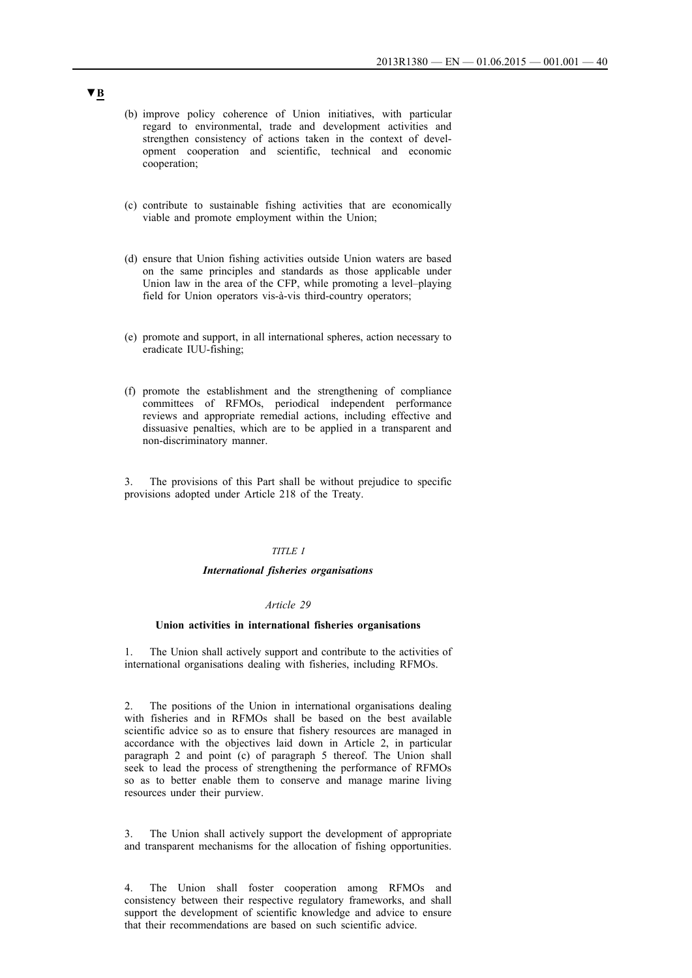- (b) improve policy coherence of Union initiatives, with particular regard to environmental, trade and development activities and strengthen consistency of actions taken in the context of development cooperation and scientific, technical and economic cooperation;
- (c) contribute to sustainable fishing activities that are economically viable and promote employment within the Union;
- (d) ensure that Union fishing activities outside Union waters are based on the same principles and standards as those applicable under Union law in the area of the CFP, while promoting a level–playing field for Union operators vis-à-vis third-country operators;
- (e) promote and support, in all international spheres, action necessary to eradicate IUU-fishing;
- (f) promote the establishment and the strengthening of compliance committees of RFMOs, periodical independent performance reviews and appropriate remedial actions, including effective and dissuasive penalties, which are to be applied in a transparent and non-discriminatory manner.

The provisions of this Part shall be without prejudice to specific provisions adopted under Article 218 of the Treaty.

#### *TITLE I*

#### *International fisheries organisations*

#### *Article 29*

#### **Union activities in international fisheries organisations**

1. The Union shall actively support and contribute to the activities of international organisations dealing with fisheries, including RFMOs.

2. The positions of the Union in international organisations dealing with fisheries and in RFMOs shall be based on the best available scientific advice so as to ensure that fishery resources are managed in accordance with the objectives laid down in Article 2, in particular paragraph 2 and point (c) of paragraph 5 thereof. The Union shall seek to lead the process of strengthening the performance of RFMOs so as to better enable them to conserve and manage marine living resources under their purview.

The Union shall actively support the development of appropriate and transparent mechanisms for the allocation of fishing opportunities.

4. The Union shall foster cooperation among RFMOs and consistency between their respective regulatory frameworks, and shall support the development of scientific knowledge and advice to ensure that their recommendations are based on such scientific advice.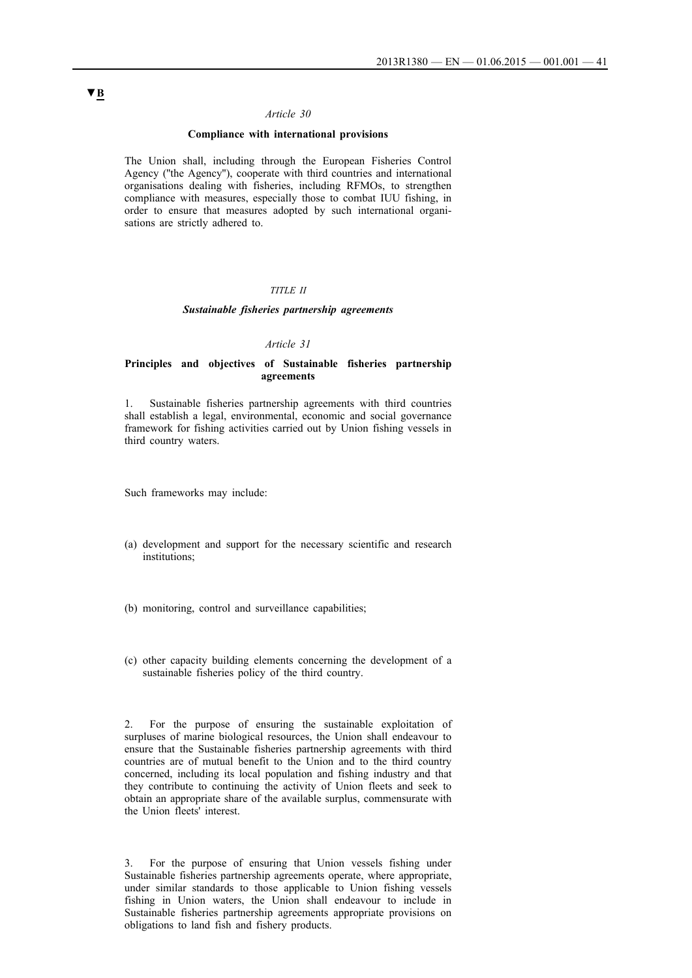### *Article 30*

### **Compliance with international provisions**

The Union shall, including through the European Fisheries Control Agency (''the Agency''), cooperate with third countries and international organisations dealing with fisheries, including RFMOs, to strengthen compliance with measures, especially those to combat IUU fishing, in order to ensure that measures adopted by such international organisations are strictly adhered to.

### *TITLE II*

### *Sustainable fisheries partnership agreements*

#### *Article 31*

### **Principles and objectives of Sustainable fisheries partnership agreements**

1. Sustainable fisheries partnership agreements with third countries shall establish a legal, environmental, economic and social governance framework for fishing activities carried out by Union fishing vessels in third country waters.

Such frameworks may include:

- (a) development and support for the necessary scientific and research institutions;
- (b) monitoring, control and surveillance capabilities;
- (c) other capacity building elements concerning the development of a sustainable fisheries policy of the third country.

2. For the purpose of ensuring the sustainable exploitation of surpluses of marine biological resources, the Union shall endeavour to ensure that the Sustainable fisheries partnership agreements with third countries are of mutual benefit to the Union and to the third country concerned, including its local population and fishing industry and that they contribute to continuing the activity of Union fleets and seek to obtain an appropriate share of the available surplus, commensurate with the Union fleets' interest.

3. For the purpose of ensuring that Union vessels fishing under Sustainable fisheries partnership agreements operate, where appropriate, under similar standards to those applicable to Union fishing vessels fishing in Union waters, the Union shall endeavour to include in Sustainable fisheries partnership agreements appropriate provisions on obligations to land fish and fishery products.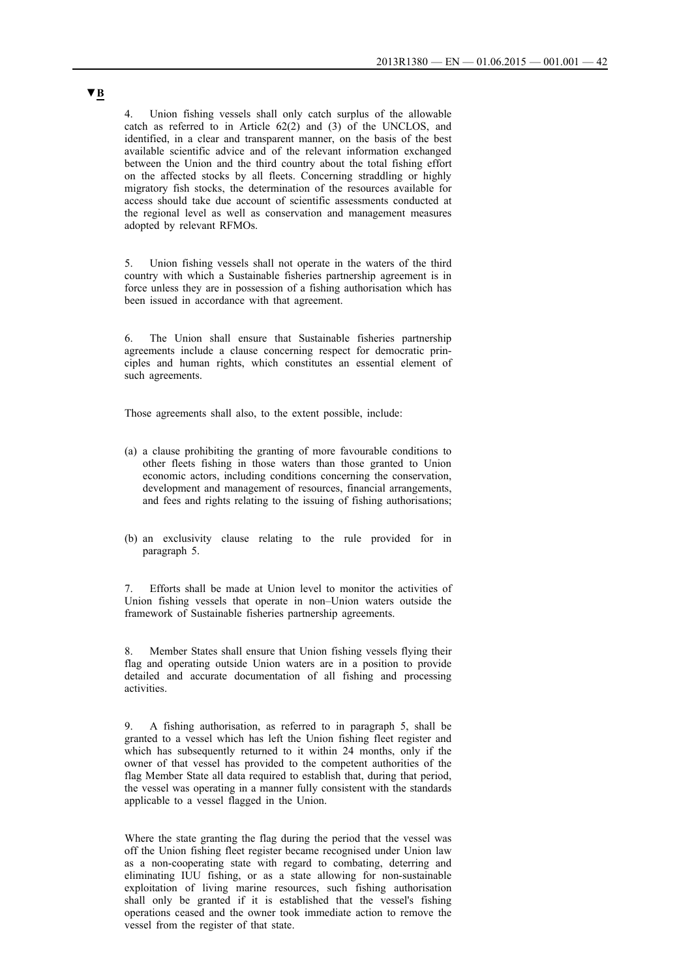4. Union fishing vessels shall only catch surplus of the allowable catch as referred to in Article 62(2) and (3) of the UNCLOS, and identified, in a clear and transparent manner, on the basis of the best available scientific advice and of the relevant information exchanged between the Union and the third country about the total fishing effort on the affected stocks by all fleets. Concerning straddling or highly migratory fish stocks, the determination of the resources available for access should take due account of scientific assessments conducted at the regional level as well as conservation and management measures adopted by relevant RFMOs.

5. Union fishing vessels shall not operate in the waters of the third country with which a Sustainable fisheries partnership agreement is in force unless they are in possession of a fishing authorisation which has been issued in accordance with that agreement.

6. The Union shall ensure that Sustainable fisheries partnership agreements include a clause concerning respect for democratic principles and human rights, which constitutes an essential element of such agreements.

Those agreements shall also, to the extent possible, include:

- (a) a clause prohibiting the granting of more favourable conditions to other fleets fishing in those waters than those granted to Union economic actors, including conditions concerning the conservation, development and management of resources, financial arrangements, and fees and rights relating to the issuing of fishing authorisations;
- (b) an exclusivity clause relating to the rule provided for in paragraph 5.

7. Efforts shall be made at Union level to monitor the activities of Union fishing vessels that operate in non–Union waters outside the framework of Sustainable fisheries partnership agreements.

Member States shall ensure that Union fishing vessels flying their flag and operating outside Union waters are in a position to provide detailed and accurate documentation of all fishing and processing activities.

9. A fishing authorisation, as referred to in paragraph 5, shall be granted to a vessel which has left the Union fishing fleet register and which has subsequently returned to it within 24 months, only if the owner of that vessel has provided to the competent authorities of the flag Member State all data required to establish that, during that period, the vessel was operating in a manner fully consistent with the standards applicable to a vessel flagged in the Union.

Where the state granting the flag during the period that the vessel was off the Union fishing fleet register became recognised under Union law as a non-cooperating state with regard to combating, deterring and eliminating IUU fishing, or as a state allowing for non-sustainable exploitation of living marine resources, such fishing authorisation shall only be granted if it is established that the vessel's fishing operations ceased and the owner took immediate action to remove the vessel from the register of that state.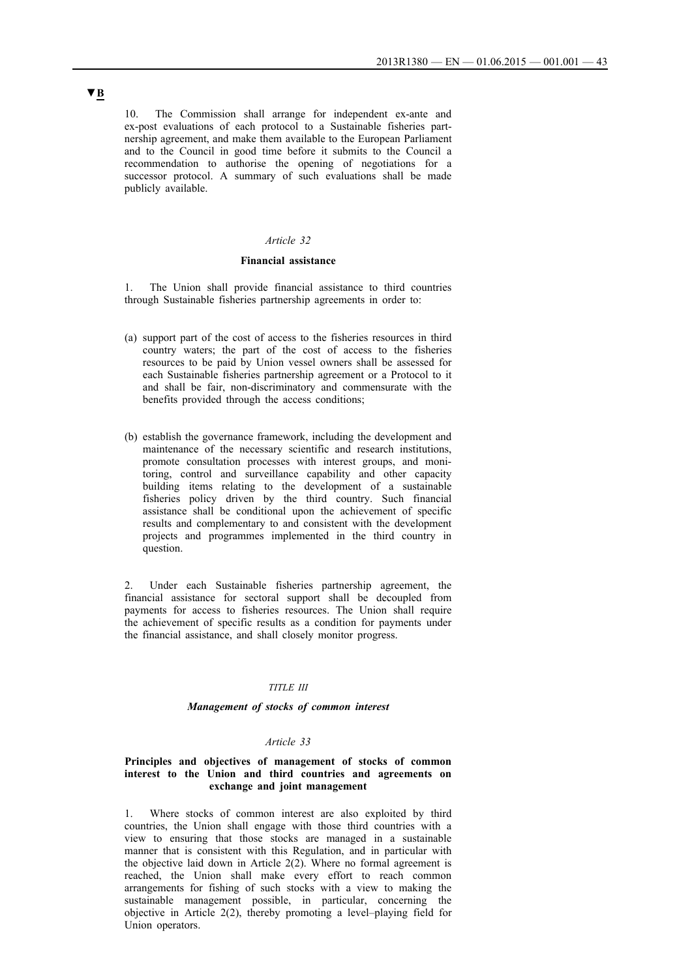10. The Commission shall arrange for independent ex-ante and ex-post evaluations of each protocol to a Sustainable fisheries partnership agreement, and make them available to the European Parliament and to the Council in good time before it submits to the Council a recommendation to authorise the opening of negotiations for a successor protocol. A summary of such evaluations shall be made publicly available.

### *Article 32*

### **Financial assistance**

1. The Union shall provide financial assistance to third countries through Sustainable fisheries partnership agreements in order to:

- (a) support part of the cost of access to the fisheries resources in third country waters; the part of the cost of access to the fisheries resources to be paid by Union vessel owners shall be assessed for each Sustainable fisheries partnership agreement or a Protocol to it and shall be fair, non-discriminatory and commensurate with the benefits provided through the access conditions;
- (b) establish the governance framework, including the development and maintenance of the necessary scientific and research institutions, promote consultation processes with interest groups, and monitoring, control and surveillance capability and other capacity building items relating to the development of a sustainable fisheries policy driven by the third country. Such financial assistance shall be conditional upon the achievement of specific results and complementary to and consistent with the development projects and programmes implemented in the third country in question.

2. Under each Sustainable fisheries partnership agreement, the financial assistance for sectoral support shall be decoupled from payments for access to fisheries resources. The Union shall require the achievement of specific results as a condition for payments under the financial assistance, and shall closely monitor progress.

#### *TITLE III*

#### *Management of stocks of common interest*

### *Article 33*

### **Principles and objectives of management of stocks of common interest to the Union and third countries and agreements on exchange and joint management**

1. Where stocks of common interest are also exploited by third countries, the Union shall engage with those third countries with a view to ensuring that those stocks are managed in a sustainable manner that is consistent with this Regulation, and in particular with the objective laid down in Article 2(2). Where no formal agreement is reached, the Union shall make every effort to reach common arrangements for fishing of such stocks with a view to making the sustainable management possible, in particular, concerning the objective in Article 2(2), thereby promoting a level–playing field for Union operators.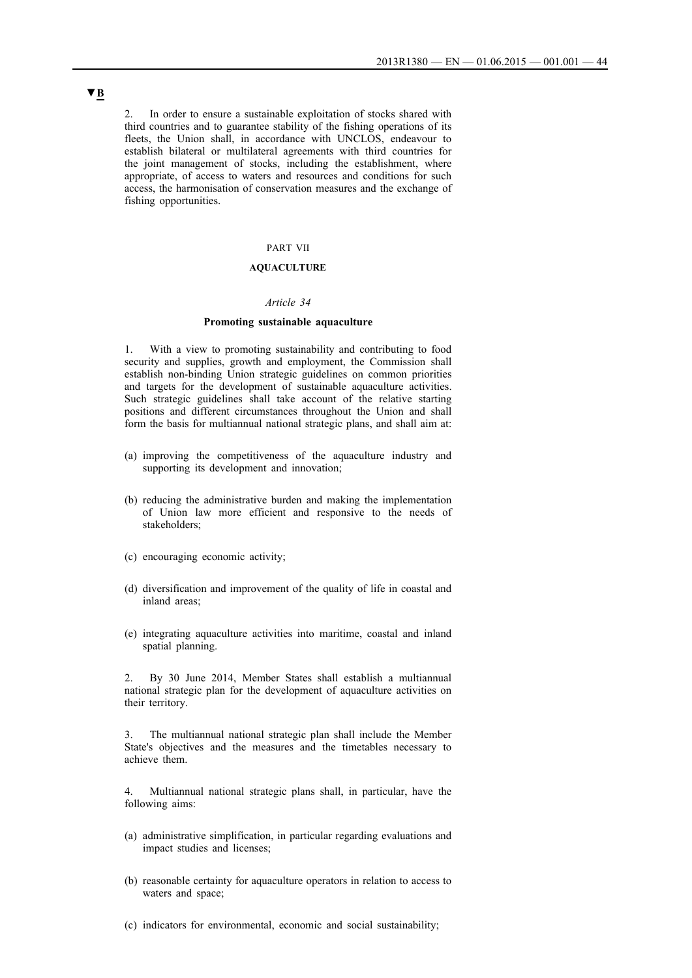2. In order to ensure a sustainable exploitation of stocks shared with third countries and to guarantee stability of the fishing operations of its fleets, the Union shall, in accordance with UNCLOS, endeavour to establish bilateral or multilateral agreements with third countries for the joint management of stocks, including the establishment, where appropriate, of access to waters and resources and conditions for such access, the harmonisation of conservation measures and the exchange of fishing opportunities.

## PART VII

## **AQUACULTURE**

#### *Article 34*

#### **Promoting sustainable aquaculture**

1. With a view to promoting sustainability and contributing to food security and supplies, growth and employment, the Commission shall establish non-binding Union strategic guidelines on common priorities and targets for the development of sustainable aquaculture activities. Such strategic guidelines shall take account of the relative starting positions and different circumstances throughout the Union and shall form the basis for multiannual national strategic plans, and shall aim at:

- (a) improving the competitiveness of the aquaculture industry and supporting its development and innovation;
- (b) reducing the administrative burden and making the implementation of Union law more efficient and responsive to the needs of stakeholders;
- (c) encouraging economic activity;
- (d) diversification and improvement of the quality of life in coastal and inland areas;
- (e) integrating aquaculture activities into maritime, coastal and inland spatial planning.

2. By 30 June 2014, Member States shall establish a multiannual national strategic plan for the development of aquaculture activities on their territory.

The multiannual national strategic plan shall include the Member State's objectives and the measures and the timetables necessary to achieve them.

4. Multiannual national strategic plans shall, in particular, have the following aims:

- (a) administrative simplification, in particular regarding evaluations and impact studies and licenses;
- (b) reasonable certainty for aquaculture operators in relation to access to waters and space;
- (c) indicators for environmental, economic and social sustainability;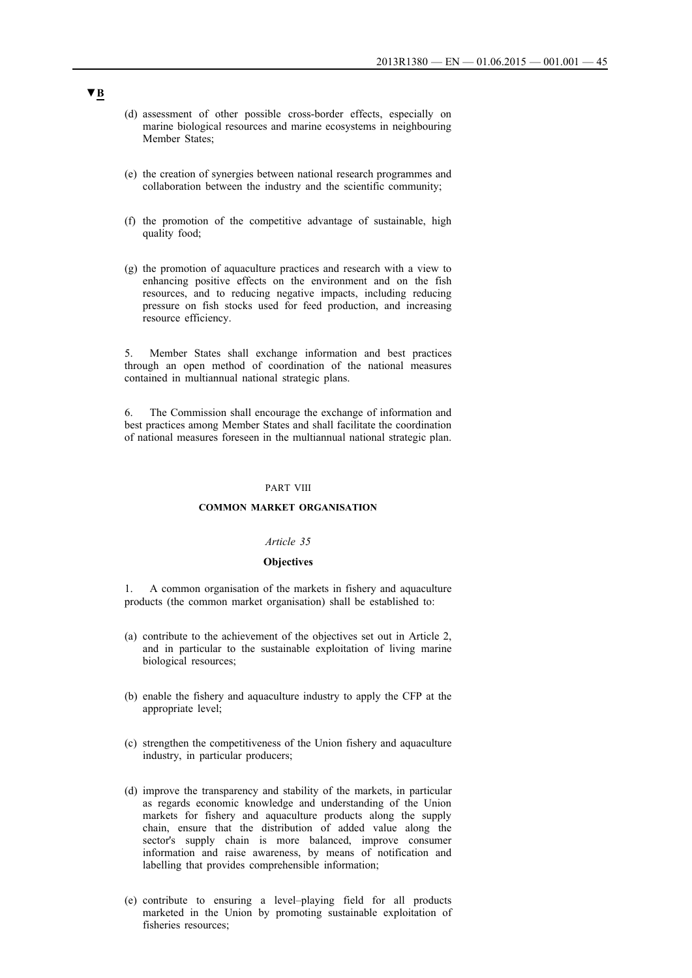- (d) assessment of other possible cross-border effects, especially on marine biological resources and marine ecosystems in neighbouring Member States;
- (e) the creation of synergies between national research programmes and collaboration between the industry and the scientific community;
- (f) the promotion of the competitive advantage of sustainable, high quality food;
- (g) the promotion of aquaculture practices and research with a view to enhancing positive effects on the environment and on the fish resources, and to reducing negative impacts, including reducing pressure on fish stocks used for feed production, and increasing resource efficiency.

5. Member States shall exchange information and best practices through an open method of coordination of the national measures contained in multiannual national strategic plans.

6. The Commission shall encourage the exchange of information and best practices among Member States and shall facilitate the coordination of national measures foreseen in the multiannual national strategic plan.

#### PART VIII

#### **COMMON MARKET ORGANISATION**

### *Article 35*

### **Objectives**

1. A common organisation of the markets in fishery and aquaculture products (the common market organisation) shall be established to:

- (a) contribute to the achievement of the objectives set out in Article 2, and in particular to the sustainable exploitation of living marine biological resources;
- (b) enable the fishery and aquaculture industry to apply the CFP at the appropriate level;
- (c) strengthen the competitiveness of the Union fishery and aquaculture industry, in particular producers;
- (d) improve the transparency and stability of the markets, in particular as regards economic knowledge and understanding of the Union markets for fishery and aquaculture products along the supply chain, ensure that the distribution of added value along the sector's supply chain is more balanced, improve consumer information and raise awareness, by means of notification and labelling that provides comprehensible information;
- (e) contribute to ensuring a level–playing field for all products marketed in the Union by promoting sustainable exploitation of fisheries resources;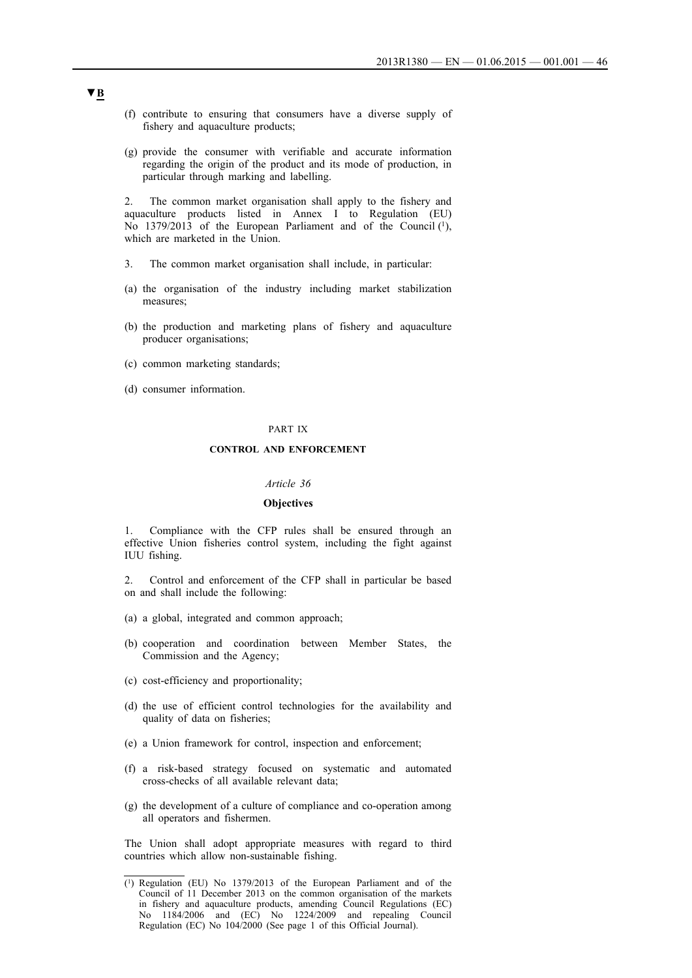- (f) contribute to ensuring that consumers have a diverse supply of fishery and aquaculture products;
- (g) provide the consumer with verifiable and accurate information regarding the origin of the product and its mode of production, in particular through marking and labelling.

2. The common market organisation shall apply to the fishery and aquaculture products listed in Annex I to Regulation (EU) No 1379/2013 of the European Parliament and of the Council (1), which are marketed in the Union.

- 3. The common market organisation shall include, in particular:
- (a) the organisation of the industry including market stabilization measures;
- (b) the production and marketing plans of fishery and aquaculture producer organisations;
- (c) common marketing standards;
- (d) consumer information.

#### PART IX

### **CONTROL AND ENFORCEMENT**

#### *Article 36*

### **Objectives**

1. Compliance with the CFP rules shall be ensured through an effective Union fisheries control system, including the fight against IUU fishing.

2. Control and enforcement of the CFP shall in particular be based on and shall include the following:

- (a) a global, integrated and common approach;
- (b) cooperation and coordination between Member States, the Commission and the Agency;
- (c) cost-efficiency and proportionality;
- (d) the use of efficient control technologies for the availability and quality of data on fisheries;
- (e) a Union framework for control, inspection and enforcement;
- (f) a risk-based strategy focused on systematic and automated cross-checks of all available relevant data;
- (g) the development of a culture of compliance and co-operation among all operators and fishermen.

The Union shall adopt appropriate measures with regard to third countries which allow non-sustainable fishing.

<sup>(1)</sup> Regulation (EU) No 1379/2013 of the European Parliament and of the Council of 11 December 2013 on the common organisation of the markets in fishery and aquaculture products, amending Council Regulations (EC) No 1184/2006 and (EC) No 1224/2009 and repealing Council Regulation (EC) No 104/2000 (See page 1 of this Official Journal).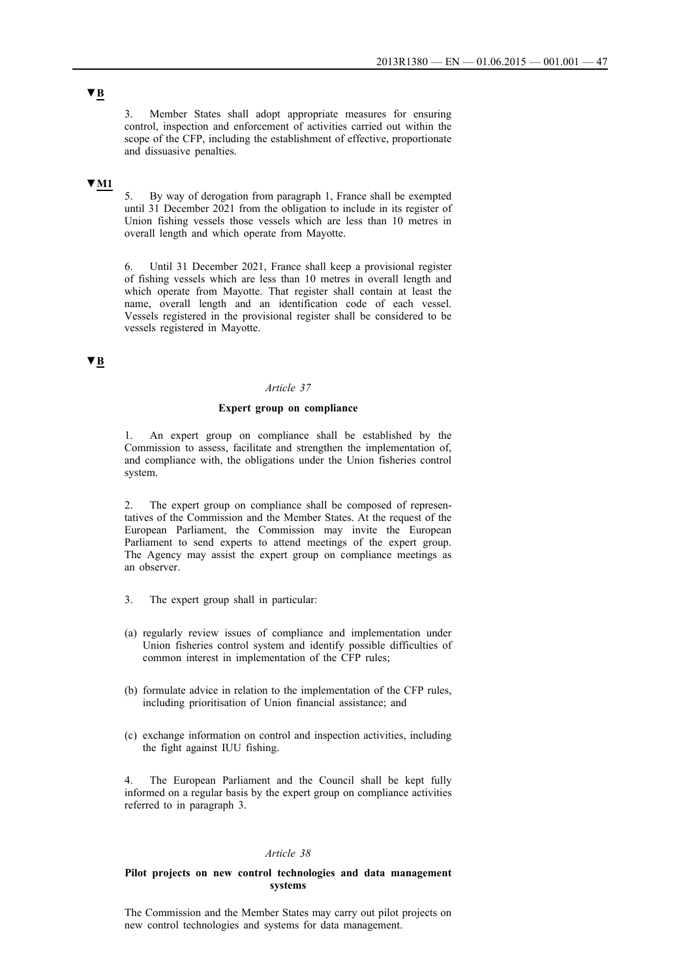3. Member States shall adopt appropriate measures for ensuring control, inspection and enforcement of activities carried out within the scope of the CFP, including the establishment of effective, proportionate and dissuasive penalties.

## **▼M1**

5. By way of derogation from paragraph 1, France shall be exempted until 31 December 2021 from the obligation to include in its register of Union fishing vessels those vessels which are less than 10 metres in overall length and which operate from Mayotte.

6. Until 31 December 2021, France shall keep a provisional register of fishing vessels which are less than 10 metres in overall length and which operate from Mayotte. That register shall contain at least the name, overall length and an identification code of each vessel. Vessels registered in the provisional register shall be considered to be vessels registered in Mayotte.

### **▼B**

### *Article 37*

### **Expert group on compliance**

1. An expert group on compliance shall be established by the Commission to assess, facilitate and strengthen the implementation of, and compliance with, the obligations under the Union fisheries control system.

2. The expert group on compliance shall be composed of representatives of the Commission and the Member States. At the request of the European Parliament, the Commission may invite the European Parliament to send experts to attend meetings of the expert group. The Agency may assist the expert group on compliance meetings as an observer.

- 3. The expert group shall in particular:
- (a) regularly review issues of compliance and implementation under Union fisheries control system and identify possible difficulties of common interest in implementation of the CFP rules;
- (b) formulate advice in relation to the implementation of the CFP rules, including prioritisation of Union financial assistance; and
- (c) exchange information on control and inspection activities, including the fight against IUU fishing.

The European Parliament and the Council shall be kept fully informed on a regular basis by the expert group on compliance activities referred to in paragraph 3.

#### *Article 38*

### **Pilot projects on new control technologies and data management systems**

The Commission and the Member States may carry out pilot projects on new control technologies and systems for data management.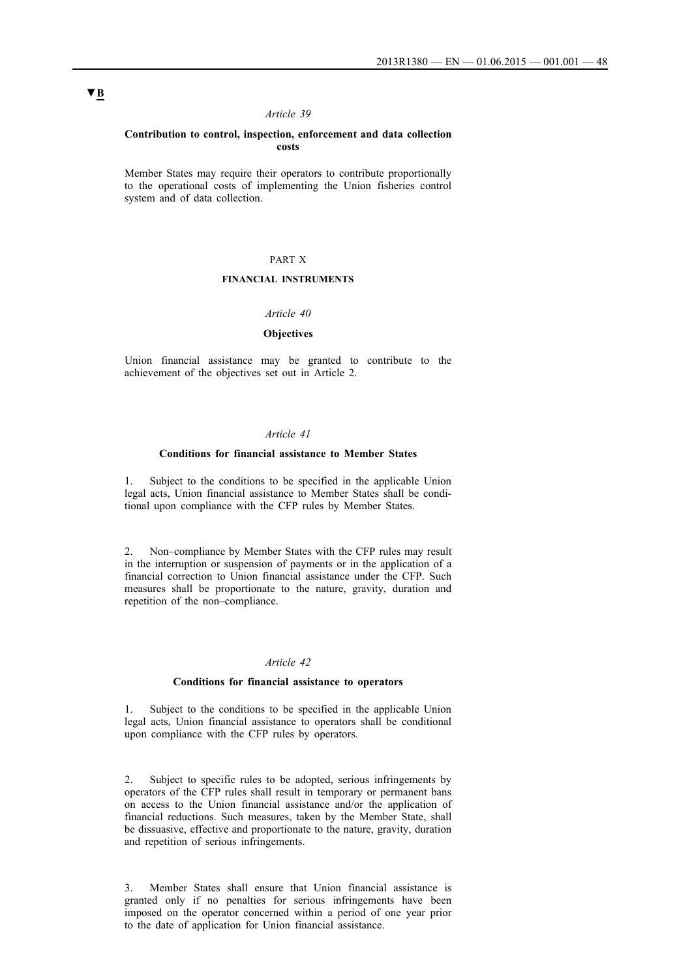### *Article 39*

#### **Contribution to control, inspection, enforcement and data collection costs**

Member States may require their operators to contribute proportionally to the operational costs of implementing the Union fisheries control system and of data collection.

### PART X

## **FINANCIAL INSTRUMENTS**

### *Article 40*

### **Objectives**

Union financial assistance may be granted to contribute to the achievement of the objectives set out in Article 2.

#### *Article 41*

#### **Conditions for financial assistance to Member States**

1. Subject to the conditions to be specified in the applicable Union legal acts, Union financial assistance to Member States shall be conditional upon compliance with the CFP rules by Member States.

2. Non–compliance by Member States with the CFP rules may result in the interruption or suspension of payments or in the application of a financial correction to Union financial assistance under the CFP. Such measures shall be proportionate to the nature, gravity, duration and repetition of the non–compliance.

### *Article 42*

#### **Conditions for financial assistance to operators**

1. Subject to the conditions to be specified in the applicable Union legal acts, Union financial assistance to operators shall be conditional upon compliance with the CFP rules by operators.

2. Subject to specific rules to be adopted, serious infringements by operators of the CFP rules shall result in temporary or permanent bans on access to the Union financial assistance and/or the application of financial reductions. Such measures, taken by the Member State, shall be dissuasive, effective and proportionate to the nature, gravity, duration and repetition of serious infringements.

3. Member States shall ensure that Union financial assistance is granted only if no penalties for serious infringements have been imposed on the operator concerned within a period of one year prior to the date of application for Union financial assistance.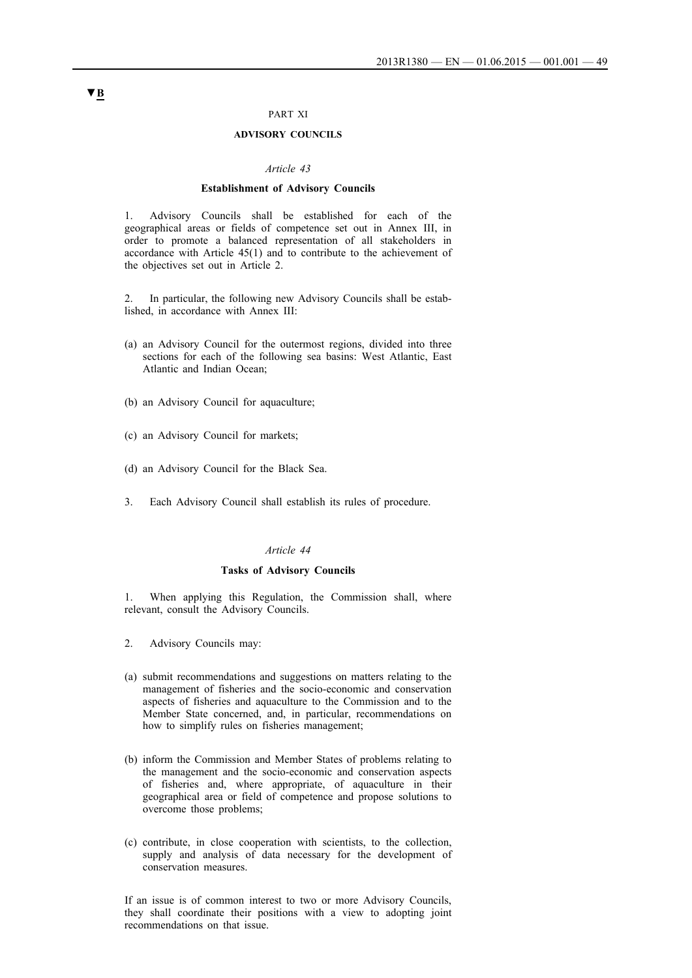### PART XI

### **ADVISORY COUNCILS**

#### *Article 43*

#### **Establishment of Advisory Councils**

1. Advisory Councils shall be established for each of the geographical areas or fields of competence set out in Annex III, in order to promote a balanced representation of all stakeholders in accordance with Article 45(1) and to contribute to the achievement of the objectives set out in Article 2.

2. In particular, the following new Advisory Councils shall be established, in accordance with Annex III:

- (a) an Advisory Council for the outermost regions, divided into three sections for each of the following sea basins: West Atlantic, East Atlantic and Indian Ocean;
- (b) an Advisory Council for aquaculture;
- (c) an Advisory Council for markets;
- (d) an Advisory Council for the Black Sea.
- 3. Each Advisory Council shall establish its rules of procedure.

#### *Article 44*

#### **Tasks of Advisory Councils**

1. When applying this Regulation, the Commission shall, where relevant, consult the Advisory Councils.

- 2. Advisory Councils may:
- (a) submit recommendations and suggestions on matters relating to the management of fisheries and the socio-economic and conservation aspects of fisheries and aquaculture to the Commission and to the Member State concerned, and, in particular, recommendations on how to simplify rules on fisheries management;
- (b) inform the Commission and Member States of problems relating to the management and the socio-economic and conservation aspects of fisheries and, where appropriate, of aquaculture in their geographical area or field of competence and propose solutions to overcome those problems;
- (c) contribute, in close cooperation with scientists, to the collection, supply and analysis of data necessary for the development of conservation measures.

If an issue is of common interest to two or more Advisory Councils, they shall coordinate their positions with a view to adopting joint recommendations on that issue.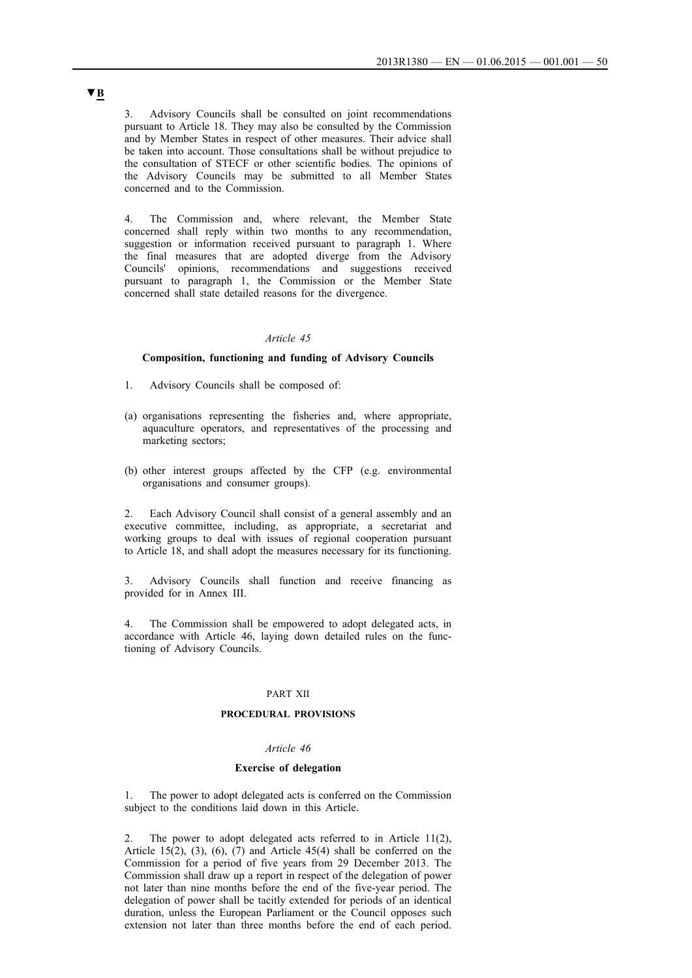3. Advisory Councils shall be consulted on joint recommendations pursuant to Article 18. They may also be consulted by the Commission and by Member States in respect of other measures. Their advice shall be taken into account. Those consultations shall be without prejudice to the consultation of STECF or other scientific bodies. The opinions of the Advisory Councils may be submitted to all Member States concerned and to the Commission.

4. The Commission and, where relevant, the Member State concerned shall reply within two months to any recommendation, suggestion or information received pursuant to paragraph 1. Where the final measures that are adopted diverge from the Advisory Councils' opinions, recommendations and suggestions received pursuant to paragraph 1, the Commission or the Member State concerned shall state detailed reasons for the divergence.

#### *Article 45*

### **Composition, functioning and funding of Advisory Councils**

- 1. Advisory Councils shall be composed of:
- (a) organisations representing the fisheries and, where appropriate, aquaculture operators, and representatives of the processing and marketing sectors;
- (b) other interest groups affected by the CFP (e.g. environmental organisations and consumer groups).

2. Each Advisory Council shall consist of a general assembly and an executive committee, including, as appropriate, a secretariat and working groups to deal with issues of regional cooperation pursuant to Article 18, and shall adopt the measures necessary for its functioning.

3. Advisory Councils shall function and receive financing as provided for in Annex III.

4. The Commission shall be empowered to adopt delegated acts, in accordance with Article 46, laying down detailed rules on the functioning of Advisory Councils.

#### PART XII

### **PROCEDURAL PROVISIONS**

#### *Article 46*

#### **Exercise of delegation**

1. The power to adopt delegated acts is conferred on the Commission subject to the conditions laid down in this Article.

2. The power to adopt delegated acts referred to in Article 11(2), Article 15(2), (3), (6), (7) and Article 45(4) shall be conferred on the Commission for a period of five years from 29 December 2013. The Commission shall draw up a report in respect of the delegation of power not later than nine months before the end of the five-year period. The delegation of power shall be tacitly extended for periods of an identical duration, unless the European Parliament or the Council opposes such extension not later than three months before the end of each period.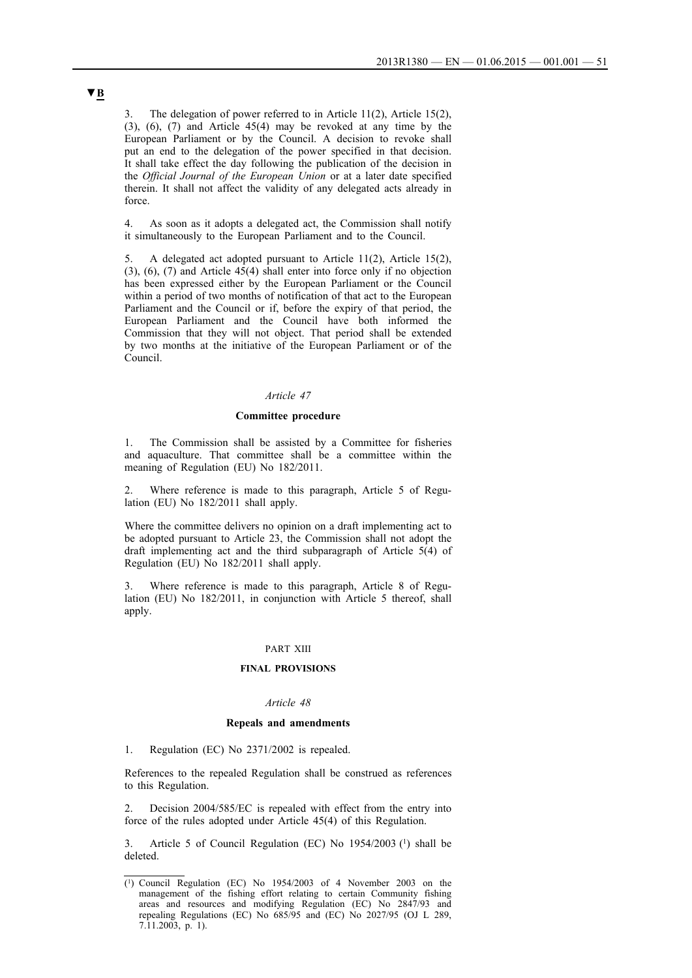3. The delegation of power referred to in Article 11(2), Article 15(2), (3), (6), (7) and Article 45(4) may be revoked at any time by the European Parliament or by the Council. A decision to revoke shall put an end to the delegation of the power specified in that decision. It shall take effect the day following the publication of the decision in the *Official Journal of the European Union* or at a later date specified therein. It shall not affect the validity of any delegated acts already in force.

4. As soon as it adopts a delegated act, the Commission shall notify it simultaneously to the European Parliament and to the Council.

5. A delegated act adopted pursuant to Article 11(2), Article 15(2), (3), (6), (7) and Article 45(4) shall enter into force only if no objection has been expressed either by the European Parliament or the Council within a period of two months of notification of that act to the European Parliament and the Council or if, before the expiry of that period, the European Parliament and the Council have both informed the Commission that they will not object. That period shall be extended by two months at the initiative of the European Parliament or of the Council.

### *Article 47*

### **Committee procedure**

1. The Commission shall be assisted by a Committee for fisheries and aquaculture. That committee shall be a committee within the meaning of Regulation (EU) No 182/2011.

2. Where reference is made to this paragraph, Article 5 of Regulation (EU) No 182/2011 shall apply.

Where the committee delivers no opinion on a draft implementing act to be adopted pursuant to Article 23, the Commission shall not adopt the draft implementing act and the third subparagraph of Article 5(4) of Regulation (EU) No 182/2011 shall apply.

Where reference is made to this paragraph, Article 8 of Regulation (EU) No 182/2011, in conjunction with Article 5 thereof, shall apply.

#### PART XIII

#### **FINAL PROVISIONS**

#### *Article 48*

#### **Repeals and amendments**

1. Regulation (EC) No 2371/2002 is repealed.

References to the repealed Regulation shall be construed as references to this Regulation.

Decision 2004/585/EC is repealed with effect from the entry into force of the rules adopted under Article 45(4) of this Regulation.

Article 5 of Council Regulation (EC) No 1954/2003 (1) shall be deleted.

<sup>(1)</sup> Council Regulation (EC) No 1954/2003 of 4 November 2003 on the management of the fishing effort relating to certain Community fishing areas and resources and modifying Regulation (EC) No 2847/93 and repealing Regulations (EC) No 685/95 and (EC) No 2027/95 (OJ L 289, 7.11.2003, p. 1).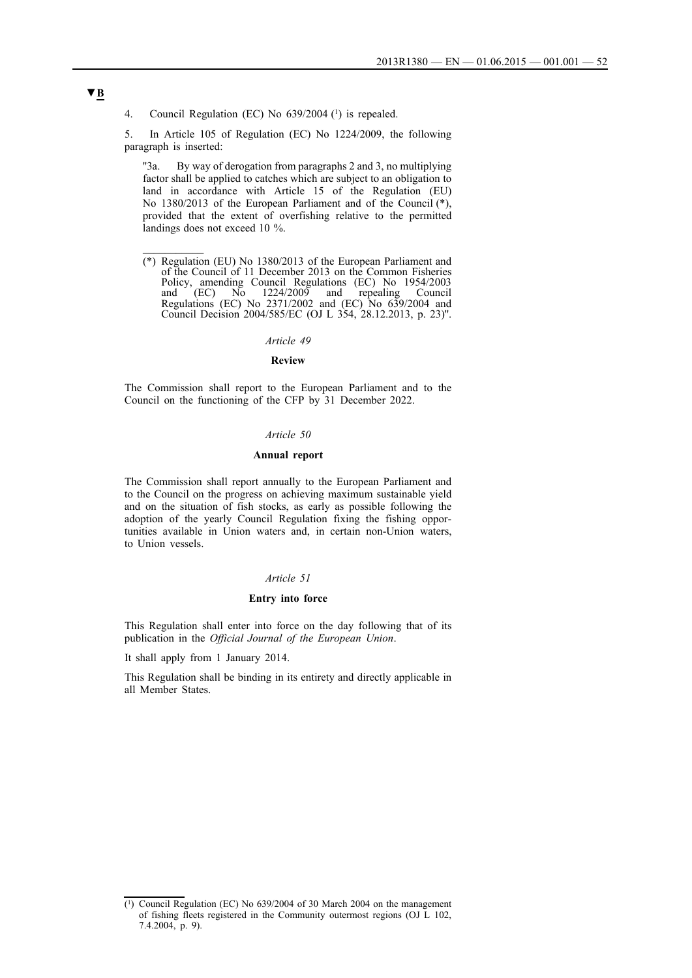4. Council Regulation (EC) No 639/2004 (1) is repealed.

5. In Article 105 of Regulation (EC) No 1224/2009, the following paragraph is inserted:

''3a. By way of derogation from paragraphs 2 and 3, no multiplying factor shall be applied to catches which are subject to an obligation to land in accordance with Article 15 of the Regulation (EU) No 1380/2013 of the European Parliament and of the Council (\*), provided that the extent of overfishing relative to the permitted landings does not exceed 10 %.

(\*) Regulation (EU) No 1380/2013 of the European Parliament and of the Council of 11 December 2013 on the Common Fisheries Policy, amending Council Regulations (EC) No 1954/2003 and (EC) No 1224/2009 and repealing Council Regulations (EC) No 2371/2002 and (EC) No 639/2004 and Council Decision 2004/585/EC (OJ L 354, 28.12.2013, p. 23)''.

#### *Article 49*

### **Review**

The Commission shall report to the European Parliament and to the Council on the functioning of the CFP by 31 December 2022.

### *Article 50*

### **Annual report**

The Commission shall report annually to the European Parliament and to the Council on the progress on achieving maximum sustainable yield and on the situation of fish stocks, as early as possible following the adoption of the yearly Council Regulation fixing the fishing opportunities available in Union waters and, in certain non-Union waters, to Union vessels.

### *Article 51*

#### **Entry into force**

This Regulation shall enter into force on the day following that of its publication in the *Official Journal of the European Union*.

It shall apply from 1 January 2014.

This Regulation shall be binding in its entirety and directly applicable in all Member States.

<sup>(1)</sup> Council Regulation (EC) No 639/2004 of 30 March 2004 on the management of fishing fleets registered in the Community outermost regions (OJ L 102, 7.4.2004, p. 9).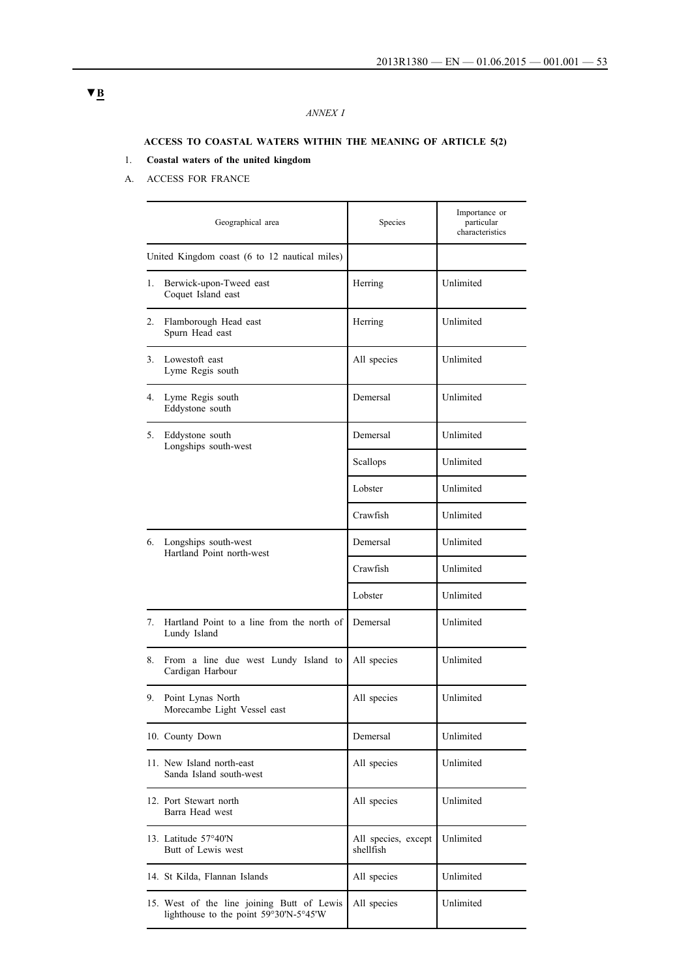## *ANNEX I*

## **ACCESS TO COASTAL WATERS WITHIN THE MEANING OF ARTICLE 5(2)**

# 1. **Coastal waters of the united kingdom**

A. ACCESS FOR FRANCE

|    | Geographical area                                                                    | Species                          | Importance or<br>particular<br>characteristics |
|----|--------------------------------------------------------------------------------------|----------------------------------|------------------------------------------------|
|    | United Kingdom coast (6 to 12 nautical miles)                                        |                                  |                                                |
| 1. | Berwick-upon-Tweed east<br>Coquet Island east                                        | Herring                          | Unlimited                                      |
| 2. | Flamborough Head east<br>Spurn Head east                                             | Herring                          | Unlimited                                      |
|    | 3. Lowestoft east<br>Lyme Regis south                                                | All species                      | Unlimited                                      |
| 4. | Lyme Regis south<br>Eddystone south                                                  | Demersal                         | Unlimited                                      |
| 5. | Eddystone south<br>Longships south-west                                              | Demersal                         | Unlimited                                      |
|    |                                                                                      | Scallops                         | Unlimited                                      |
|    |                                                                                      | Lobster                          | Unlimited                                      |
|    |                                                                                      | Crawfish                         | Unlimited                                      |
| 6. | Longships south-west<br>Hartland Point north-west                                    | Demersal                         | Unlimited                                      |
|    |                                                                                      | Crawfish                         | Unlimited                                      |
|    |                                                                                      | Lobster                          | Unlimited                                      |
| 7. | Hartland Point to a line from the north of<br>Lundy Island                           | Demersal                         | Unlimited                                      |
| 8. | From a line due west Lundy Island to<br>Cardigan Harbour                             | All species                      | Unlimited                                      |
| 9. | Point Lynas North<br>Morecambe Light Vessel east                                     | All species                      | Unlimited                                      |
|    | 10. County Down                                                                      | Demersal                         | Unlimited                                      |
|    | 11. New Island north-east<br>Sanda Island south-west                                 | All species                      | Unlimited                                      |
|    | 12. Port Stewart north<br>Barra Head west                                            | All species                      | Unlimited                                      |
|    | 13. Latitude 57°40'N<br>Butt of Lewis west                                           | All species, except<br>shellfish | Unlimited                                      |
|    | 14. St Kilda, Flannan Islands                                                        | All species                      | Unlimited                                      |
|    | 15. West of the line joining Butt of Lewis<br>lighthouse to the point 59°30'N-5°45'W | All species                      | Unlimited                                      |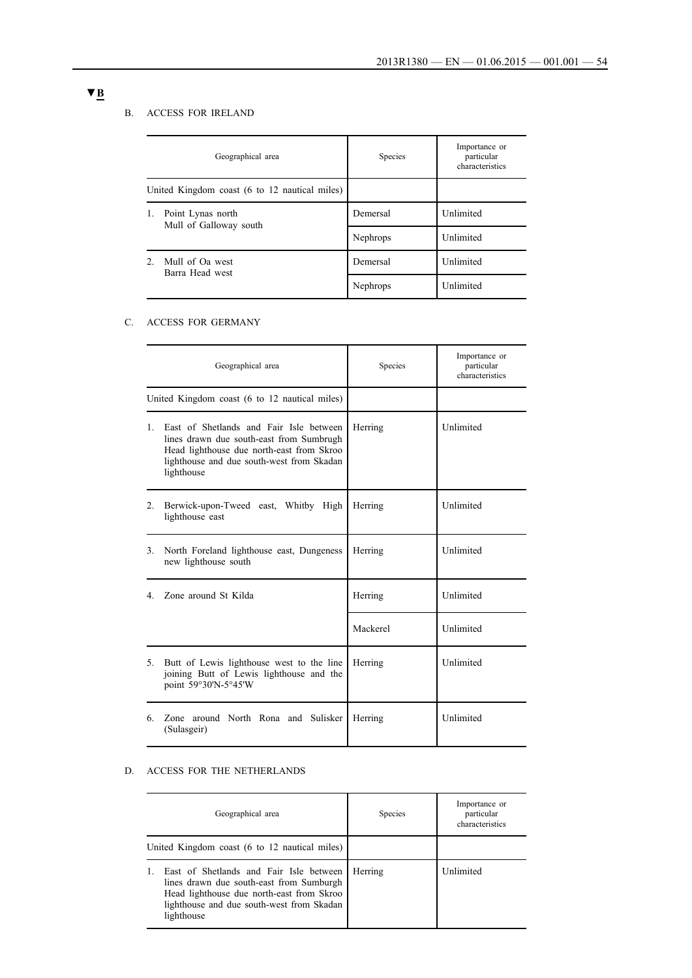## B. ACCESS FOR IRELAND

|                | Geographical area                             | Species  | Importance or<br>particular<br>characteristics |
|----------------|-----------------------------------------------|----------|------------------------------------------------|
|                | United Kingdom coast (6 to 12 nautical miles) |          |                                                |
| 1.             | Point Lynas north<br>Mull of Galloway south   | Demersal | Unlimited                                      |
|                |                                               | Nephrops | Unlimited                                      |
| 2 <sub>1</sub> | Mull of Oa west<br>Barra Head west            | Demersal | Unlimited<br>Unlimited                         |
|                |                                               | Nephrops |                                                |

## C. ACCESS FOR GERMANY

|                | Geographical area                                                                                                                                                                           | Species  | Importance or<br>particular<br>characteristics |
|----------------|---------------------------------------------------------------------------------------------------------------------------------------------------------------------------------------------|----------|------------------------------------------------|
|                | United Kingdom coast (6 to 12 nautical miles)                                                                                                                                               |          |                                                |
| $1 \quad$      | East of Shetlands and Fair Isle between<br>lines drawn due south-east from Sumbrugh<br>Head lighthouse due north-east from Skroo<br>lighthouse and due south-west from Skadan<br>lighthouse | Herring  | Unlimited                                      |
| 2.             | Berwick-upon-Tweed east, Whitby High<br>lighthouse east                                                                                                                                     | Herring  | Unlimited                                      |
| 3 <sub>1</sub> | North Foreland lighthouse east, Dungeness<br>new lighthouse south                                                                                                                           | Herring  | Unlimited                                      |
| 4.             | Zone around St Kilda                                                                                                                                                                        | Herring  | Unlimited                                      |
|                |                                                                                                                                                                                             | Mackerel | Unlimited                                      |
| 5 <sub>1</sub> | Butt of Lewis lighthouse west to the line<br>joining Butt of Lewis lighthouse and the<br>point 59°30'N-5°45'W                                                                               | Herring  | Unlimited                                      |
| 6.             | Zone around North Rona and Sulisker<br>(Sulasgeir)                                                                                                                                          | Herring  | Unlimited                                      |

## D. ACCESS FOR THE NETHERLANDS

| Geographical area                                                                                                                                                                           | <b>Species</b> | Importance or<br>particular<br>characteristics |
|---------------------------------------------------------------------------------------------------------------------------------------------------------------------------------------------|----------------|------------------------------------------------|
| United Kingdom coast (6 to 12 nautical miles)                                                                                                                                               |                |                                                |
| East of Shetlands and Fair Isle between<br>lines drawn due south-east from Sumburgh<br>Head lighthouse due north-east from Skroo<br>lighthouse and due south-west from Skadan<br>lighthouse | Herring        | Unlimited                                      |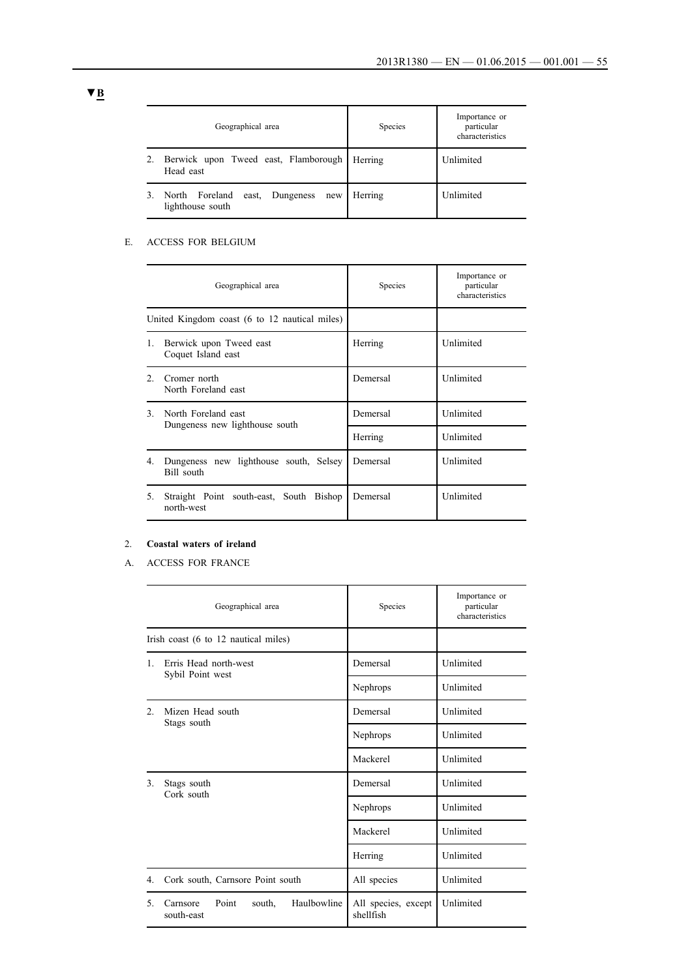| Geographical area                                            | Species | Importance or<br>particular<br>characteristics |
|--------------------------------------------------------------|---------|------------------------------------------------|
| Berwick upon Tweed east, Flamborough<br>Head east            | Herring | Unlimited                                      |
| North Foreland<br>east, Dungeness<br>new<br>lighthouse south | Herring | Unlimited                                      |

### E. ACCESS FOR BELGIUM

|                | Geographical area                                     | Species  | Importance or<br>particular<br>characteristics |
|----------------|-------------------------------------------------------|----------|------------------------------------------------|
|                | United Kingdom coast (6 to 12 nautical miles)         |          |                                                |
| 1.             | Berwick upon Tweed east<br>Coquet Island east         | Herring  | Unlimited                                      |
| $\mathfrak{D}$ | Cromer north<br>North Foreland east                   | Demersal | Unlimited                                      |
| $\mathcal{E}$  | North Foreland east<br>Dungeness new lighthouse south | Demersal | Unlimited                                      |
|                |                                                       | Herring  | Unlimited                                      |
| 4.             | Dungeness new lighthouse south, Selsey<br>Bill south  | Demersal | Unlimited                                      |
| 5.             | Straight Point south-east, South Bishop<br>north-west | Demersal | Unlimited                                      |

## 2. **Coastal waters of ireland**

A. ACCESS FOR FRANCE

|                | Geographical area                                        | Species                          | Importance or<br>particular<br>characteristics |
|----------------|----------------------------------------------------------|----------------------------------|------------------------------------------------|
|                | Irish coast (6 to 12 nautical miles)                     |                                  |                                                |
| $\mathbf{1}$   | Erris Head north-west<br>Sybil Point west                | Demersal                         | Unlimited                                      |
|                |                                                          | Nephrops                         | Unlimited                                      |
| 2.             | Mizen Head south<br>Stags south                          | Demersal                         | Unlimited                                      |
|                |                                                          | Nephrops                         | Unlimited                                      |
|                |                                                          | Mackerel                         | Unlimited                                      |
| 3 <sub>1</sub> | Stags south<br>Cork south                                | Demersal                         | Unlimited<br>Unlimited                         |
|                |                                                          | Nephrops                         |                                                |
|                |                                                          | Mackerel                         | Unlimited                                      |
|                |                                                          | Herring                          | Unlimited                                      |
| 4.             | Cork south, Carnsore Point south                         | All species                      | Unlimited                                      |
| 5.             | Haulbowline<br>Carnsore<br>Point<br>south,<br>south-east | All species, except<br>shellfish | Unlimited                                      |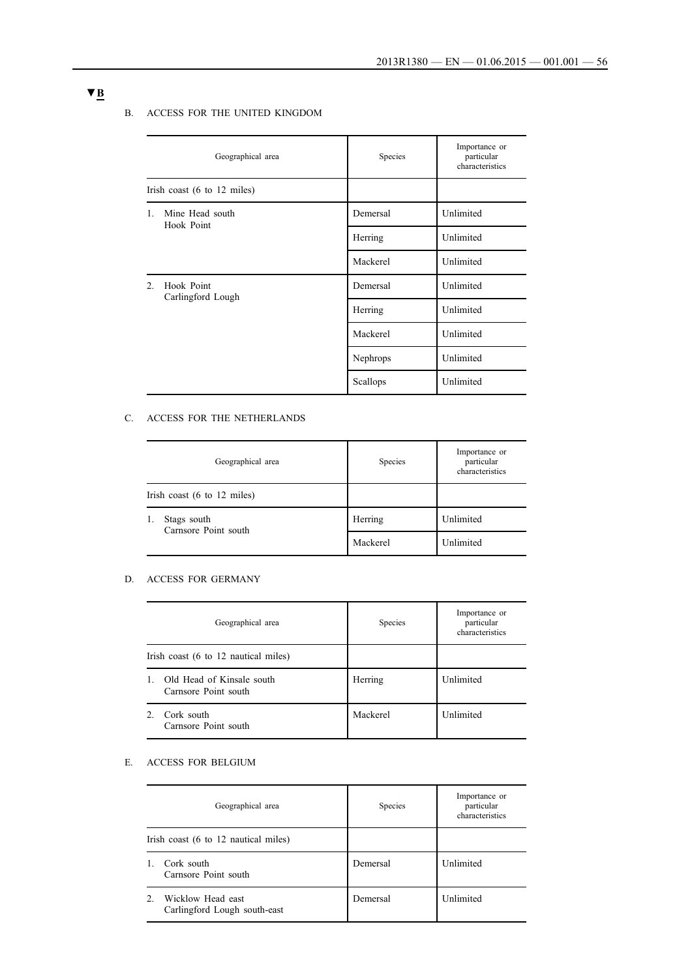### B. ACCESS FOR THE UNITED KINGDOM

|                                                   | Geographical area                              | Species  | Importance or<br>particular<br>characteristics |
|---------------------------------------------------|------------------------------------------------|----------|------------------------------------------------|
|                                                   | Irish coast $(6 \text{ to } 12 \text{ miles})$ |          |                                                |
| Mine Head south<br>$1_{-}$<br>Hook Point          |                                                | Demersal | Unlimited                                      |
|                                                   |                                                | Herring  | Unlimited                                      |
|                                                   |                                                | Mackerel | Unlimited                                      |
| Hook Point<br>2 <sup>1</sup><br>Carlingford Lough |                                                | Demersal | Unlimited                                      |
|                                                   |                                                | Herring  | Unlimited                                      |
|                                                   |                                                | Mackerel | Unlimited                                      |
|                                                   |                                                | Nephrops | Unlimited                                      |
|                                                   |                                                | Scallops | Unlimited                                      |

## C. ACCESS FOR THE NETHERLANDS

| Geographical area                              | Species  | Importance or<br>particular<br>characteristics |
|------------------------------------------------|----------|------------------------------------------------|
| Irish coast $(6 \text{ to } 12 \text{ miles})$ |          |                                                |
| Stags south<br>1.<br>Carnsore Point south      | Herring  | Unlimited                                      |
|                                                | Mackerel | Unlimited                                      |

## D. ACCESS FOR GERMANY

|              | Geographical area                                 | Species  | Importance or<br>particular<br>characteristics |
|--------------|---------------------------------------------------|----------|------------------------------------------------|
|              | Irish coast (6 to 12 nautical miles)              |          |                                                |
| $\mathbf{1}$ | Old Head of Kinsale south<br>Carnsore Point south | Herring  | Unlimited                                      |
| $2_{-}$      | Cork south<br>Carnsore Point south                | Mackerel | Unlimited                                      |

### E. ACCESS FOR BELGIUM

|                                      | Geographical area                                 | Species  | Importance or<br>particular<br>characteristics |
|--------------------------------------|---------------------------------------------------|----------|------------------------------------------------|
| Irish coast (6 to 12 nautical miles) |                                                   |          |                                                |
| $\mathbf{1}$                         | Cork south<br>Carnsore Point south                | Demersal | Unlimited                                      |
| $\mathfrak{D}$                       | Wicklow Head east<br>Carlingford Lough south-east | Demersal | Unlimited                                      |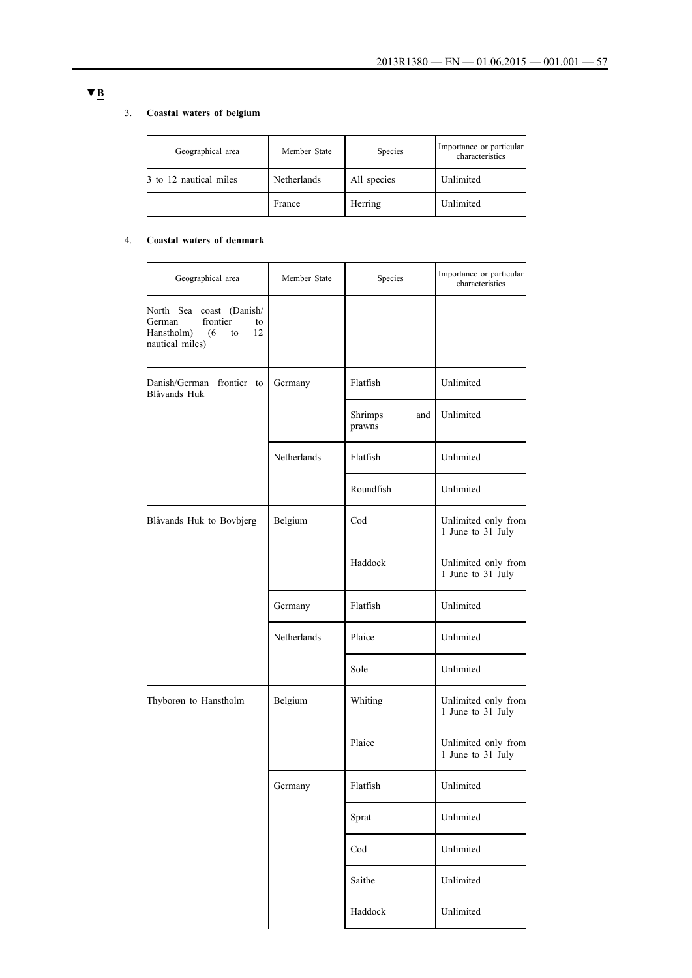### 3. **Coastal waters of belgium**

| Geographical area      | Member State | Species     | Importance or particular<br>characteristics |
|------------------------|--------------|-------------|---------------------------------------------|
| 3 to 12 nautical miles | Netherlands  | All species | Unlimited                                   |
|                        | France       | Herring     | Unlimited                                   |

## 4. **Coastal waters of denmark**

| Geographical area                                                                     | Member State | Species                  | Importance or particular<br>characteristics |
|---------------------------------------------------------------------------------------|--------------|--------------------------|---------------------------------------------|
| North Sea coast (Danish/<br>frontier<br>German<br>to<br>Hanstholm)<br>(6)<br>12<br>to |              |                          |                                             |
| nautical miles)                                                                       |              |                          |                                             |
| Danish/German frontier to<br>Blåvands Huk                                             | Germany      | Flatfish                 | Unlimited                                   |
|                                                                                       |              | Shrimps<br>and<br>prawns | Unlimited                                   |
|                                                                                       | Netherlands  | Flatfish                 | Unlimited                                   |
|                                                                                       |              | Roundfish                | Unlimited                                   |
| Blåvands Huk to Bovbjerg                                                              | Belgium      | Cod                      | Unlimited only from<br>1 June to 31 July    |
|                                                                                       |              | Haddock                  | Unlimited only from<br>1 June to 31 July    |
|                                                                                       | Germany      | Flatfish                 | Unlimited                                   |
|                                                                                       | Netherlands  | Plaice                   | Unlimited                                   |
|                                                                                       |              | Sole                     | Unlimited                                   |
| Thyborøn to Hanstholm                                                                 | Belgium      | Whiting                  | Unlimited only from<br>1 June to 31 July    |
|                                                                                       |              | Plaice                   | Unlimited only from<br>1 June to 31 July    |
|                                                                                       | Germany      | Flatfish                 | Unlimited                                   |
|                                                                                       |              | Sprat                    | Unlimited                                   |
|                                                                                       |              | Cod                      | Unlimited                                   |
|                                                                                       |              | Saithe                   | Unlimited                                   |
|                                                                                       |              | Haddock                  | Unlimited                                   |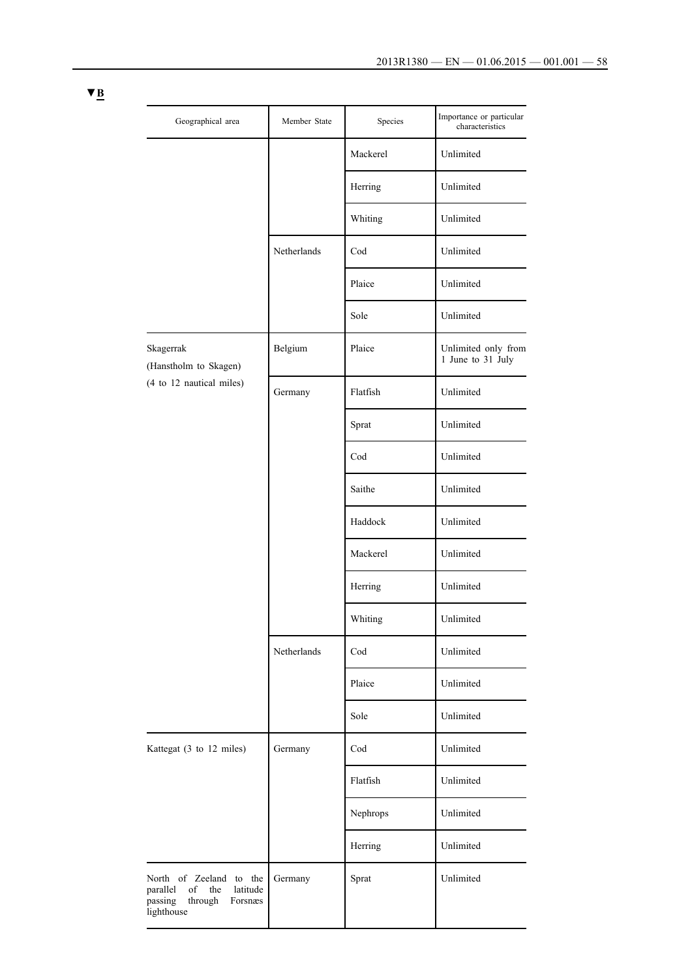| Geographical area                                                                                           | Member State | Species        | Importance or particular<br>characteristics |
|-------------------------------------------------------------------------------------------------------------|--------------|----------------|---------------------------------------------|
|                                                                                                             |              | Mackerel       | Unlimited                                   |
|                                                                                                             |              | Herring        | Unlimited                                   |
|                                                                                                             |              | Whiting        | Unlimited                                   |
|                                                                                                             | Netherlands  | Cod            | Unlimited                                   |
|                                                                                                             |              | Plaice         | Unlimited                                   |
|                                                                                                             |              | Sole           | Unlimited                                   |
| Skagerrak<br>(Hanstholm to Skagen)                                                                          | Belgium      | Plaice         | Unlimited only from<br>1 June to 31 July    |
| (4 to 12 nautical miles)                                                                                    | Germany      | Flatfish       | Unlimited                                   |
|                                                                                                             |              | Sprat          | Unlimited                                   |
|                                                                                                             |              | Cod            | Unlimited                                   |
|                                                                                                             |              | Saithe         | Unlimited                                   |
|                                                                                                             |              | Haddock        | Unlimited                                   |
|                                                                                                             |              | Mackerel       | Unlimited                                   |
|                                                                                                             |              | Herring        | Unlimited                                   |
|                                                                                                             |              | Whiting        | Unlimited                                   |
|                                                                                                             | Netherlands  | $\mathrm{Cod}$ | Unlimited                                   |
|                                                                                                             |              | Plaice         | Unlimited                                   |
|                                                                                                             |              | Sole           | Unlimited                                   |
| Kattegat (3 to 12 miles)                                                                                    | Germany      | Cod            | Unlimited                                   |
|                                                                                                             |              | Flatfish       | Unlimited                                   |
|                                                                                                             |              | Nephrops       | Unlimited                                   |
|                                                                                                             |              | Herring        | Unlimited                                   |
| North of Zeeland to the<br>the<br>latitude<br>parallel<br>of<br>passing<br>through<br>Forsnæs<br>lighthouse | Germany      | Sprat          | Unlimited                                   |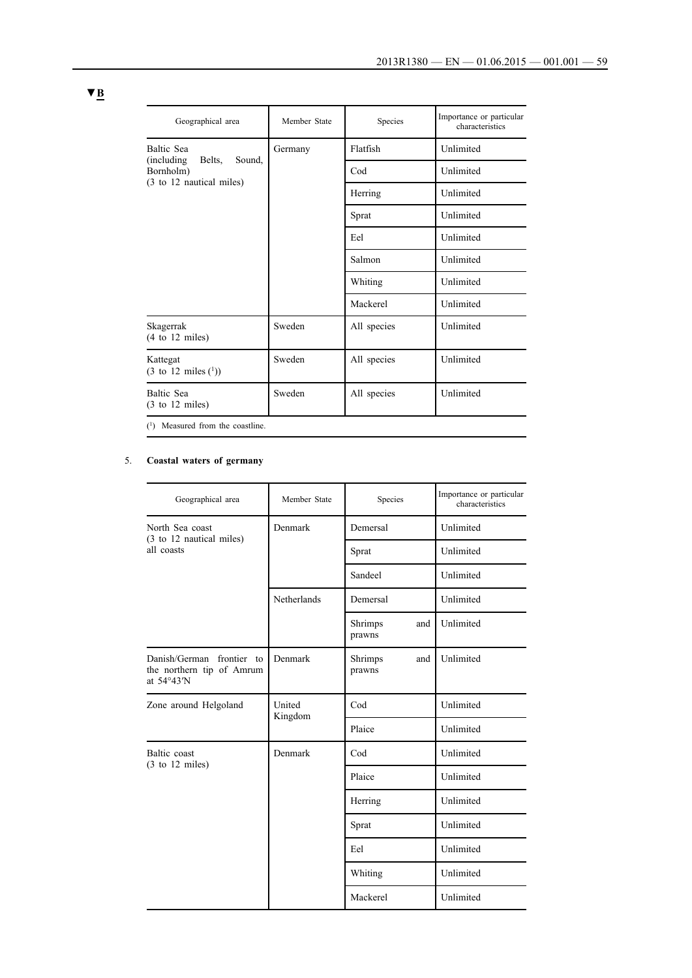| Geographical area                                      | Member State | Species     | Importance or particular<br>characteristics |
|--------------------------------------------------------|--------------|-------------|---------------------------------------------|
| Baltic Sea                                             | Germany      | Flatfish    | Unlimited                                   |
| Sound,<br>(including)<br>Belts,<br>Bornholm)           |              | Cod         | Unlimited                                   |
| (3 to 12 nautical miles)                               |              | Herring     | Unlimited                                   |
|                                                        |              | Sprat       | Unlimited                                   |
|                                                        |              | Eel         | Unlimited                                   |
|                                                        |              | Salmon      | Unlimited                                   |
|                                                        |              | Whiting     | Unlimited                                   |
|                                                        |              | Mackerel    | Unlimited                                   |
| Skagerrak<br>$(4 \text{ to } 12 \text{ miles})$        | Sweden       | All species | Unlimited                                   |
| Kattegat<br>$(3 \text{ to } 12 \text{ miles } (^{1}))$ | Sweden       | All species | Unlimited                                   |
| Baltic Sea<br>$(3 \text{ to } 12 \text{ miles})$       | Sweden       | All species | Unlimited                                   |
| $(1)$ Measured from the coastline.                     |              |             |                                             |

## 5. **Coastal waters of germany**

| Geographical area                                                    | Member State      | Species                  | Importance or particular<br>characteristics |
|----------------------------------------------------------------------|-------------------|--------------------------|---------------------------------------------|
| North Sea coast                                                      | Denmark           | Demersal                 | Unlimited                                   |
| (3 to 12 nautical miles)<br>all coasts                               |                   | Sprat                    | Unlimited                                   |
|                                                                      |                   | Sandeel                  | Unlimited                                   |
|                                                                      | Netherlands       | Demersal                 | Unlimited                                   |
|                                                                      |                   | Shrimps<br>and<br>prawns | Unlimited                                   |
| Danish/German frontier to<br>the northern tip of Amrum<br>at 54°43'N | Denmark           | Shrimps<br>and<br>prawns | Unlimited                                   |
| Zone around Helgoland                                                | United<br>Kingdom | Cod                      | Unlimited                                   |
|                                                                      |                   | Plaice                   | Unlimited                                   |
| Baltic coast<br>$(3$ to $12$ miles)                                  | Denmark           | Cod                      | Unlimited                                   |
|                                                                      |                   | Plaice                   | Unlimited                                   |
|                                                                      |                   | Herring                  | Unlimited                                   |
|                                                                      |                   | Sprat                    | Unlimited                                   |
|                                                                      |                   | Eel                      | Unlimited                                   |
|                                                                      |                   | Whiting                  | Unlimited                                   |
|                                                                      |                   | Mackerel                 | Unlimited                                   |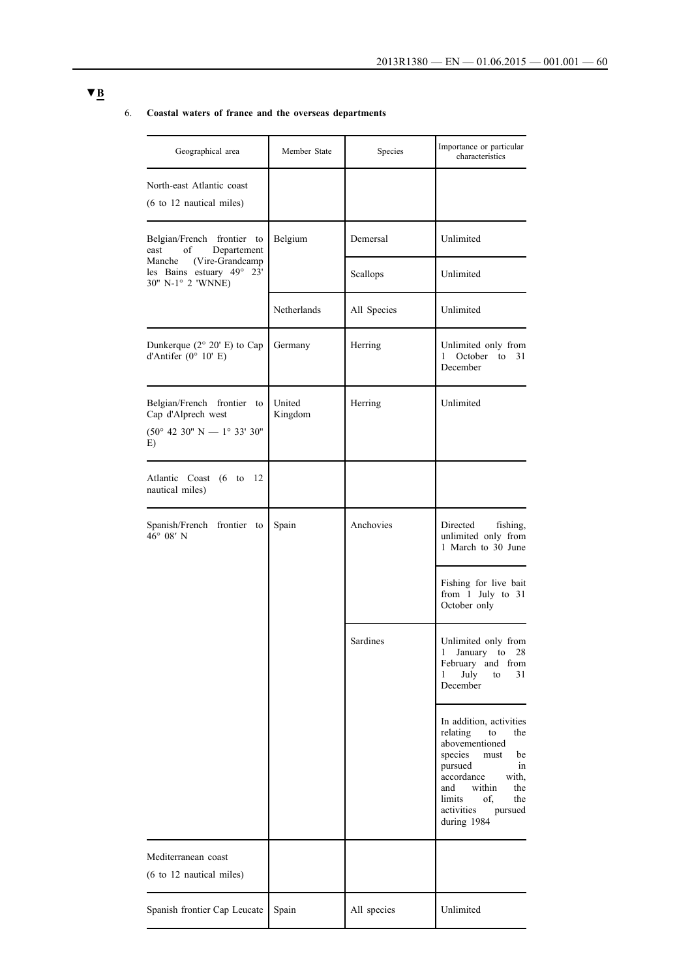## 6. **Coastal waters of france and the overseas departments**

| Geographical area                                                                                                  | Member State      | Species     | Importance or particular<br>characteristics                                                                                                                                                                                 |
|--------------------------------------------------------------------------------------------------------------------|-------------------|-------------|-----------------------------------------------------------------------------------------------------------------------------------------------------------------------------------------------------------------------------|
| North-east Atlantic coast<br>(6 to 12 nautical miles)                                                              |                   |             |                                                                                                                                                                                                                             |
| Belgian/French frontier to<br>of<br>Departement<br>east                                                            | Belgium           | Demersal    | Unlimited                                                                                                                                                                                                                   |
| (Vire-Grandcamp<br>Manche<br>les Bains estuary 49° 23'<br>30" N-1° 2 'WNNE)                                        |                   | Scallops    | Unlimited                                                                                                                                                                                                                   |
|                                                                                                                    | Netherlands       | All Species | Unlimited                                                                                                                                                                                                                   |
| Dunkerque (2° 20' E) to Cap<br>d'Antifer ( $0^{\circ}$ 10' E)                                                      | Germany           | Herring     | Unlimited only from<br>October to 31<br>$\mathbf{1}$<br>December                                                                                                                                                            |
| Belgian/French frontier to<br>Cap d'Alprech west<br>$(50^{\circ} 42 30^{\circ} N - 1^{\circ} 33' 30^{\circ}$<br>E) | United<br>Kingdom | Herring     | Unlimited                                                                                                                                                                                                                   |
| Atlantic Coast (6 to 12<br>nautical miles)                                                                         |                   |             |                                                                                                                                                                                                                             |
| Spanish/French frontier to<br>$46^{\circ}$ 08' N                                                                   | Spain             | Anchovies   | Directed<br>fishing,<br>unlimited only from<br>1 March to 30 June                                                                                                                                                           |
|                                                                                                                    |                   |             | Fishing for live bait<br>from 1 July to 31<br>October only                                                                                                                                                                  |
|                                                                                                                    |                   | Sardines    | Unlimited only from<br>January to 28<br>1<br>February and from<br>July<br>31<br>1<br>to<br>December                                                                                                                         |
|                                                                                                                    |                   |             | In addition, activities<br>relating<br>to<br>the<br>abovementioned<br>species<br>must<br>be<br>pursued<br>in<br>accordance<br>with,<br>within<br>and<br>the<br>limits<br>of.<br>the<br>activities<br>pursued<br>during 1984 |
| Mediterranean coast<br>$(6 \text{ to } 12 \text{ nautical miles})$                                                 |                   |             |                                                                                                                                                                                                                             |
| Spanish frontier Cap Leucate                                                                                       | Spain             | All species | Unlimited                                                                                                                                                                                                                   |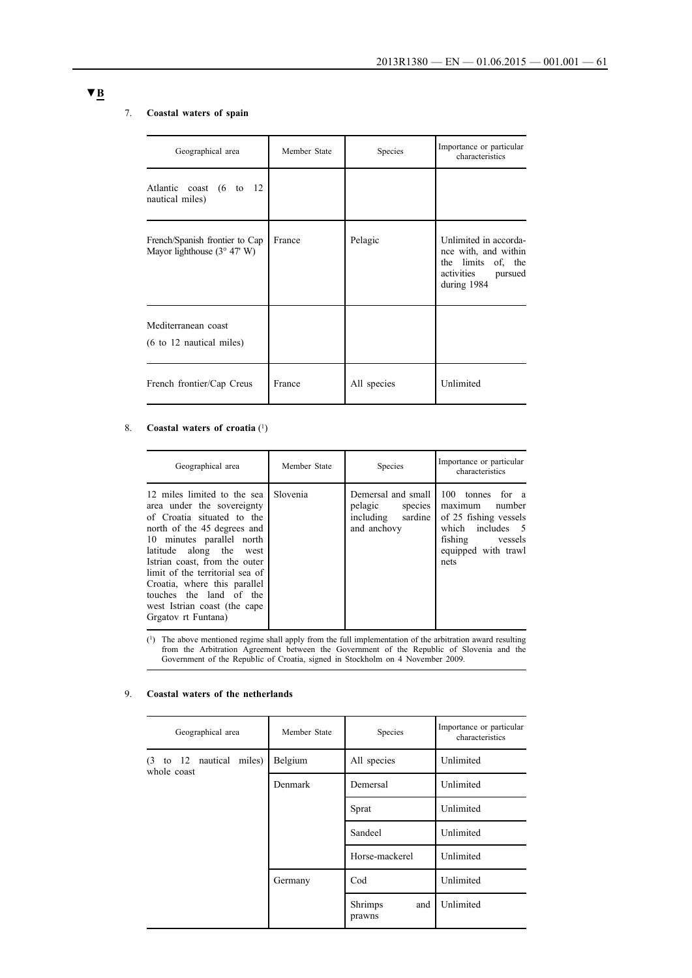## 7. **Coastal waters of spain**

| Geographical area                                                      | Member State | Species     | Importance or particular<br>characteristics                                                                 |
|------------------------------------------------------------------------|--------------|-------------|-------------------------------------------------------------------------------------------------------------|
| Atlantic coast (6 to 12<br>nautical miles)                             |              |             |                                                                                                             |
| French/Spanish frontier to Cap<br>Mayor lighthouse $(3^{\circ} 47' W)$ | France       | Pelagic     | Unlimited in accorda-<br>nce with, and within<br>the limits of, the<br>activities<br>pursued<br>during 1984 |
| Mediterranean coast<br>$(6 \text{ to } 12 \text{ nautical miles})$     |              |             |                                                                                                             |
| French frontier/Cap Creus                                              | France       | All species | Unlimited                                                                                                   |

## 8. **Coastal waters of croatia** (1)

| Geographical area                                                                                                                                                                                                                                                                                                                                                       | Member State | Species                                                                         | Importance or particular<br>characteristics                                                                                                      |
|-------------------------------------------------------------------------------------------------------------------------------------------------------------------------------------------------------------------------------------------------------------------------------------------------------------------------------------------------------------------------|--------------|---------------------------------------------------------------------------------|--------------------------------------------------------------------------------------------------------------------------------------------------|
| 12 miles limited to the sea<br>area under the sovereignty<br>of Croatia situated to the<br>north of the 45 degrees and<br>10 minutes parallel north<br>along the west<br>latitude<br>Istrian coast, from the outer<br>limit of the territorial sea of<br>Croatia, where this parallel<br>touches the land of the<br>west Istrian coast (the cape<br>Grgatov rt Funtana) | Slovenia     | Demersal and small<br>pelagic<br>species<br>including<br>sardine<br>and anchovy | 100<br>tonnes<br>for a<br>number<br>maximum<br>of 25 fishing vessels<br>includes 5<br>which<br>fishing<br>vessels<br>equipped with trawl<br>nets |

(1) The above mentioned regime shall apply from the full implementation of the arbitration award resulting from the Arbitration Agreement between the Government of the Republic of Slovenia and the Government of the Republic of Croatia, signed in Stockholm on 4 November 2009.

### 9. **Coastal waters of the netherlands**

| Geographical area                           | Member State | Species                         | Importance or particular<br>characteristics |
|---------------------------------------------|--------------|---------------------------------|---------------------------------------------|
| to 12 nautical miles)<br>(3)<br>whole coast | Belgium      | All species                     | Unlimited                                   |
|                                             | Denmark      | Demersal                        | Unlimited                                   |
|                                             |              | Sprat                           | Unlimited                                   |
|                                             |              | Sandeel                         | Unlimited                                   |
|                                             |              | Horse-mackerel                  | Unlimited                                   |
|                                             | Germany      | Cod                             | Unlimited                                   |
|                                             |              | <b>Shrimps</b><br>and<br>prawns | Unlimited                                   |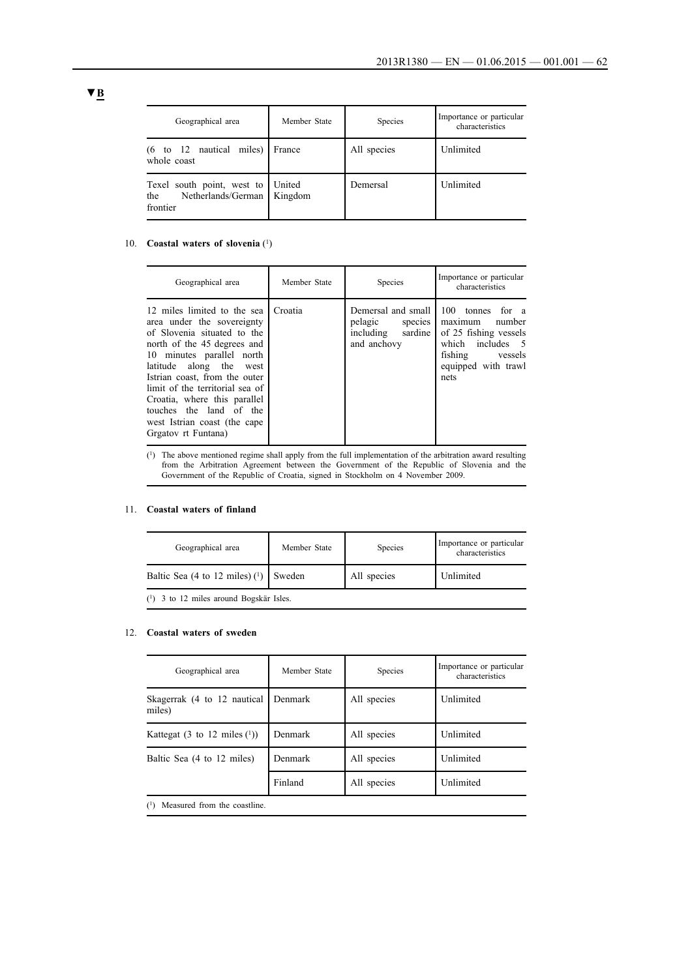| Geographical area                                                                      | Member State | Species     | Importance or particular<br>characteristics |
|----------------------------------------------------------------------------------------|--------------|-------------|---------------------------------------------|
| $(6 \text{ to } 12 \text{ nautical miles})$<br>whole coast                             | France       | All species | Unlimited                                   |
| Texel south point, west to   United<br>Netherlands/German   Kingdom<br>the<br>frontier |              | Demersal    | Unlimited                                   |

### 10. **Coastal waters of slovenia** (1)

| Geographical area                                                                                                                                                                                                                                                                                                                                                     | Member State | Species                                                                             | Importance or particular<br>characteristics                                                                                                      |
|-----------------------------------------------------------------------------------------------------------------------------------------------------------------------------------------------------------------------------------------------------------------------------------------------------------------------------------------------------------------------|--------------|-------------------------------------------------------------------------------------|--------------------------------------------------------------------------------------------------------------------------------------------------|
| 12 miles limited to the sea<br>area under the sovereignty<br>of Slovenia situated to the<br>north of the 45 degrees and<br>10 minutes parallel north<br>latitude along the west<br>Istrian coast, from the outer<br>limit of the territorial sea of<br>Croatia, where this parallel<br>touches the land of the<br>west Istrian coast (the cape<br>Grgatov rt Funtana) | Croatia      | Demersal and small I<br>pelagic<br>species  <br>sardine<br>including<br>and anchovy | 100<br>tonnes<br>for a<br>number<br>maximum<br>of 25 fishing vessels<br>includes 5<br>which<br>fishing<br>vessels<br>equipped with trawl<br>nets |

(1) The above mentioned regime shall apply from the full implementation of the arbitration award resulting from the Arbitration Agreement between the Government of the Republic of Slovenia and the Government of the Republic of Croatia, signed in Stockholm on 4 November 2009.

### 11. **Coastal waters of finland**

| Geographical area                         | Member State | <b>Species</b> | Importance or particular<br>characteristics |
|-------------------------------------------|--------------|----------------|---------------------------------------------|
| Baltic Sea (4 to 12 miles) $(1)$ Sweden   |              | All species    | Unlimited                                   |
| $(1)$ 3 to 12 miles around Bogskär Isles. |              |                |                                             |

#### 12. **Coastal waters of sweden**

| Geographical area                     | Member State | Species     | Importance or particular<br>characteristics |
|---------------------------------------|--------------|-------------|---------------------------------------------|
| Skagerrak (4 to 12 nautical<br>miles) | Denmark      | All species | Unlimited                                   |
| Kattegat (3 to 12 miles $(1)$ )       | Denmark      | All species | Unlimited                                   |
| Baltic Sea (4 to 12 miles)            | Denmark      | All species | Unlimited                                   |
|                                       | Finland      | All species | Unlimited                                   |

(1) Measured from the coastline.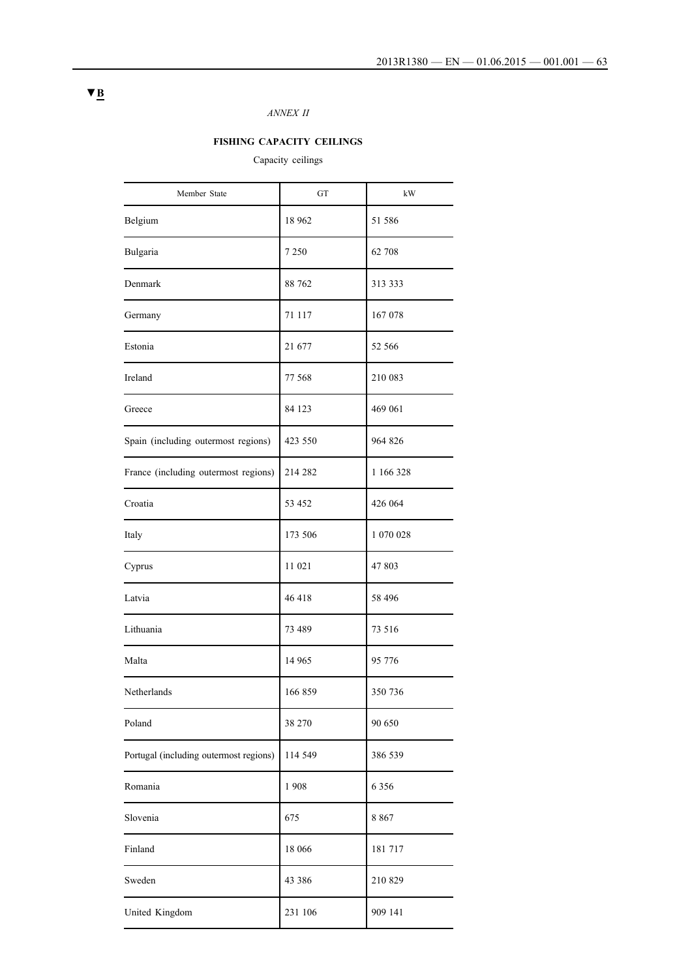## *ANNEX II*

## **FISHING CAPACITY CEILINGS**

Capacity ceilings

| Member State                           | GT       | kW        |
|----------------------------------------|----------|-----------|
| Belgium                                | 18 9 62  | 51 586    |
| Bulgaria                               | 7 2 5 0  | 62 708    |
| Denmark                                | 88 762   | 313 333   |
| Germany                                | 71 117   | 167 078   |
| Estonia                                | 21 677   | 52 566    |
| Ireland                                | 77 568   | 210 083   |
| Greece                                 | 84 123   | 469 061   |
| Spain (including outermost regions)    | 423 550  | 964 826   |
| France (including outermost regions)   | 214 282  | 1 166 328 |
| Croatia                                | 53 452   | 426 064   |
| Italy                                  | 173 506  | 1 070 028 |
| Cyprus                                 | 11 021   | 47 803    |
| Latvia                                 | 46418    | 58 496    |
| Lithuania                              | 73 489   | 73 516    |
| Malta                                  | 14 9 65  | 95 776    |
| Netherlands                            | 166 859  | 350 736   |
| Poland                                 | 38 270   | 90 650    |
| Portugal (including outermost regions) | 114 549  | 386 539   |
| Romania                                | 1908     | 6 3 5 6   |
| Slovenia                               | 675      | 8 8 6 7   |
| Finland                                | 18 066   | 181717    |
| Sweden                                 | 43 3 8 6 | 210 829   |
| United Kingdom                         | 231 106  | 909 141   |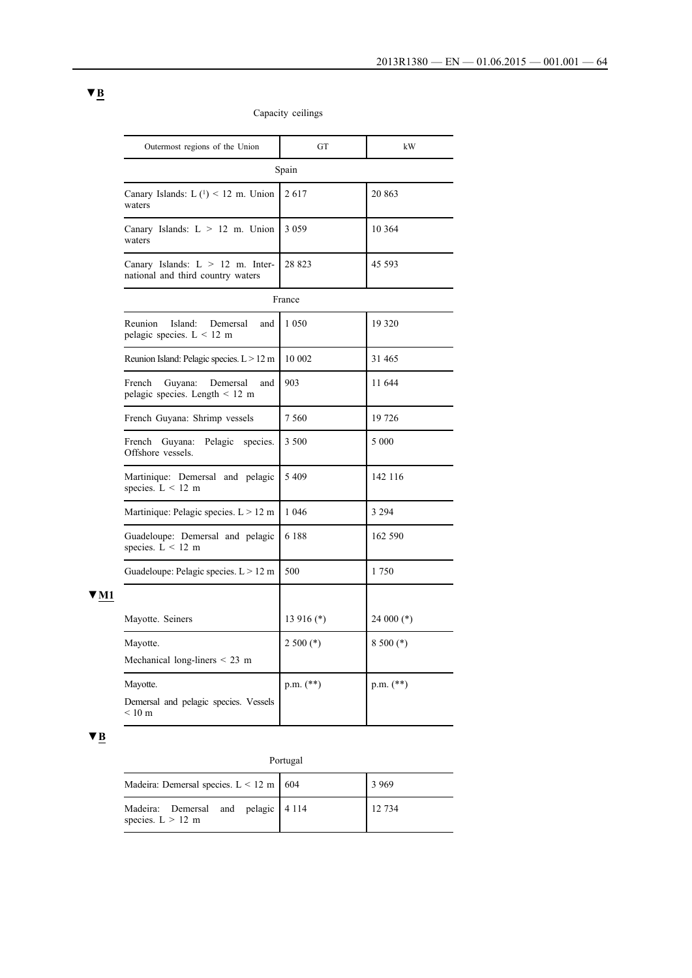| Outermost regions of the Union                                          | <b>GT</b>     | kW            |
|-------------------------------------------------------------------------|---------------|---------------|
|                                                                         | Spain         |               |
| Canary Islands: $L(^{1})$ < 12 m. Union<br>waters                       | 2617          | 20 863        |
| Canary Islands: $L > 12$ m. Union<br>waters                             | 3 0 5 9       | 10 3 64       |
| Canary Islands: $L > 12$ m. Inter-<br>national and third country waters | 28 823        | 45 593        |
|                                                                         | France        |               |
| Island:<br>Reunion<br>Demersal<br>and<br>pelagic species. $L < 12$ m    | 1 0 5 0       | 19 3 20       |
| Reunion Island: Pelagic species. L > 12 m                               | 10 002        | 31 465        |
| French<br>Guyana:<br>Demersal<br>and<br>pelagic species. Length < 12 m  | 903           | 11 644        |
| French Guyana: Shrimp vessels                                           | 7 5 6 0       | 19 726        |
| French<br>Guyana:<br>Pelagic<br>species.<br>Offshore vessels.           | 3 500         | 5 000         |
| Martinique: Demersal and pelagic<br>species. $L < 12$ m                 | 5409          | 142 116       |
| Martinique: Pelagic species. $L > 12$ m                                 | 1 0 4 6       | 3 2 9 4       |
| Guadeloupe: Demersal and pelagic<br>species. $L < 12$ m                 | 6 1 8 8       | 162 590       |
| Guadeloupe: Pelagic species. $L > 12$ m                                 | 500           | 1750          |
|                                                                         |               |               |
| Mayotte. Seiners                                                        | $13916$ (*)   | 24 000 $(*)$  |
| Mayotte.                                                                | $2500$ (*)    | $8500$ (*)    |
| Mechanical long-liners $\leq$ 23 m                                      |               |               |
| Mayotte.                                                                | $p.m.$ $(**)$ | $p.m.$ $(**)$ |
| Demersal and pelagic species. Vessels<br>$< 10 \text{ m}$               |               |               |

## Capacity ceilings

# ▼**B**

**▼M1**

## Portugal

| Madeira: Demersal species. $L < 12$ m   604                | 3 9 6 9 |
|------------------------------------------------------------|---------|
| Madeira: Demersal and pelagic 4 114<br>species. $L > 12$ m | 12 734  |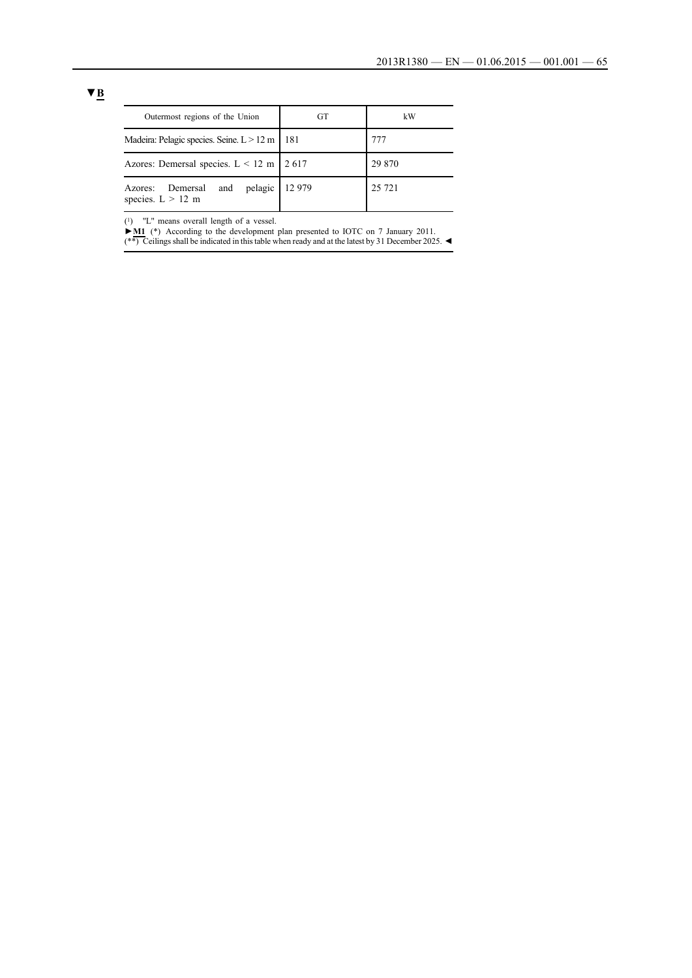| Outermost regions of the Union                               | GT     | kW      |
|--------------------------------------------------------------|--------|---------|
| Madeira: Pelagic species. Seine. $L > 12$ m                  | 181    | 777     |
| Azores: Demersal species. $L < 12$ m 2617                    |        | 29 870  |
| pelagic<br>and<br>Demersal<br>Azores:<br>species. $L > 12$ m | 12 979 | 25 7 21 |

 $(1)$  "L" means overall length of a vessel.

**►M1** (\*) According to the development plan presented to IOTC on 7 January 2011. (\*\*) Ceilings shall be indicated in this table when ready and at the latest by 31 December 2025.  $\blacktriangleleft$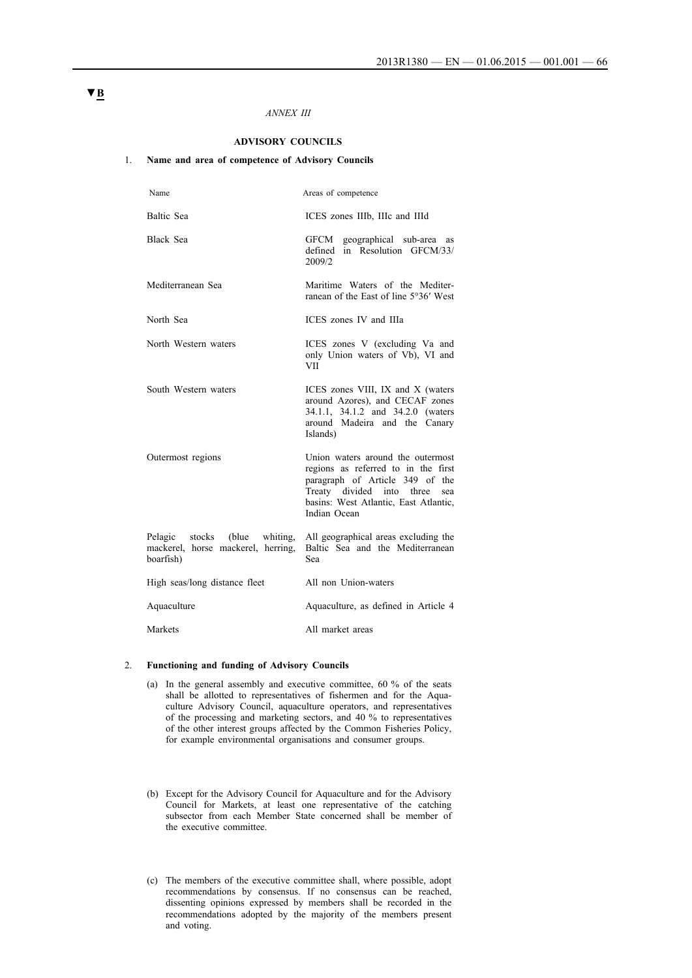#### *ANNEX III*

### **ADVISORY COUNCILS**

### 1. **Name and area of competence of Advisory Councils**

| Name                                                                                      | Areas of competence                                                                                                                                                                                      |
|-------------------------------------------------------------------------------------------|----------------------------------------------------------------------------------------------------------------------------------------------------------------------------------------------------------|
| <b>Baltic Sea</b>                                                                         | ICES zones IIIb, IIIc and IIId                                                                                                                                                                           |
| <b>Black Sea</b>                                                                          | GFCM geographical sub-area as<br>defined in Resolution GFCM/33/<br>2009/2                                                                                                                                |
| Mediterranean Sea                                                                         | Maritime Waters of the Mediter-<br>ranean of the East of line 5°36' West                                                                                                                                 |
| North Sea                                                                                 | ICES zones IV and IIIa                                                                                                                                                                                   |
| North Western waters                                                                      | ICES zones V (excluding Va and<br>only Union waters of Vb), VI and<br><b>VII</b>                                                                                                                         |
| South Western waters                                                                      | ICES zones VIII, IX and X (waters<br>around Azores), and CECAF zones<br>34.1.1, 34.1.2 and 34.2.0 (waters<br>around Madeira and the Canary<br>Islands)                                                   |
| Outermost regions                                                                         | Union waters around the outermost<br>regions as referred to in the first<br>paragraph of Article 349 of the<br>Treaty divided into three<br>sea<br>basins: West Atlantic, East Atlantic,<br>Indian Ocean |
| Pelagic<br>stocks<br>(blue<br>whiting.<br>mackerel, horse mackerel, herring,<br>boarfish) | All geographical areas excluding the<br>Baltic Sea and the Mediterranean<br>Sea                                                                                                                          |
| High seas/long distance fleet                                                             | All non Union-waters                                                                                                                                                                                     |
| Aquaculture                                                                               | Aquaculture, as defined in Article 4                                                                                                                                                                     |
| Markets                                                                                   | All market areas                                                                                                                                                                                         |

#### 2. **Functioning and funding of Advisory Councils**

- (a) In the general assembly and executive committee, 60 % of the seats shall be allotted to representatives of fishermen and for the Aquaculture Advisory Council, aquaculture operators, and representatives of the processing and marketing sectors, and 40 % to representatives of the other interest groups affected by the Common Fisheries Policy, for example environmental organisations and consumer groups.
- (b) Except for the Advisory Council for Aquaculture and for the Advisory Council for Markets, at least one representative of the catching subsector from each Member State concerned shall be member of the executive committee.
- (c) The members of the executive committee shall, where possible, adopt recommendations by consensus. If no consensus can be reached, dissenting opinions expressed by members shall be recorded in the recommendations adopted by the majority of the members present and voting.